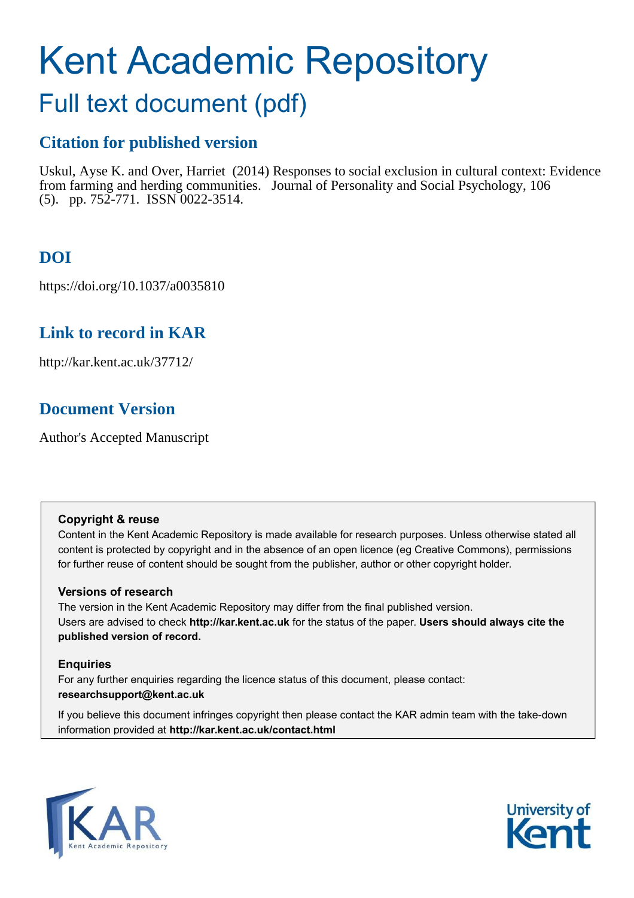# Kent Academic Repository

## Full text document (pdf)

## **Citation for published version**

Uskul, Ayse K. and Over, Harriet (2014) Responses to social exclusion in cultural context: Evidence from farming and herding communities. Journal of Personality and Social Psychology, 106 (5). pp. 752-771. ISSN 0022-3514.

## **DOI**

https://doi.org/10.1037/a0035810

## **Link to record in KAR**

http://kar.kent.ac.uk/37712/

## **Document Version**

Author's Accepted Manuscript

#### **Copyright & reuse**

Content in the Kent Academic Repository is made available for research purposes. Unless otherwise stated all content is protected by copyright and in the absence of an open licence (eg Creative Commons), permissions for further reuse of content should be sought from the publisher, author or other copyright holder.

#### **Versions of research**

The version in the Kent Academic Repository may differ from the final published version. Users are advised to check **http://kar.kent.ac.uk** for the status of the paper. **Users should always cite the published version of record.**

#### **Enquiries**

For any further enquiries regarding the licence status of this document, please contact: **researchsupport@kent.ac.uk**

If you believe this document infringes copyright then please contact the KAR admin team with the take-down information provided at **http://kar.kent.ac.uk/contact.html**



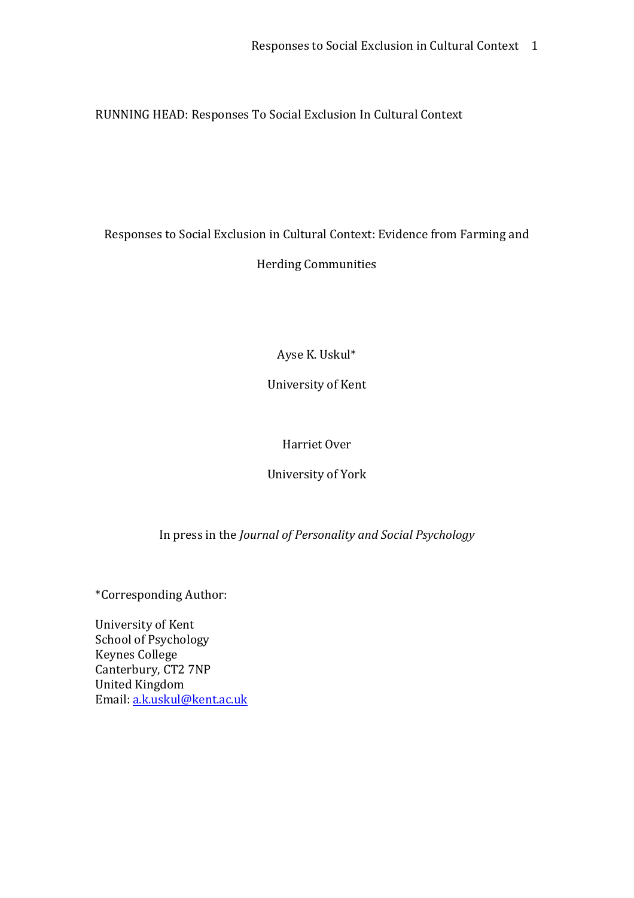RUNNING HEAD: Responses To Social Exclusion In Cultural Context

## Responses to Social Exclusion in Cultural Context: Evidence from Farming and Herding Communities

Ayse K. Uskul\*

University of Kent

#### Harriet Over

University of York

In press in the *Journal of Personality and Social Psychology*

\*Corresponding Author:

University of Kent School of Psychology Keynes College Canterbury, CT2 7NP United Kingdom Email: a.k.uskul@kent.ac.uk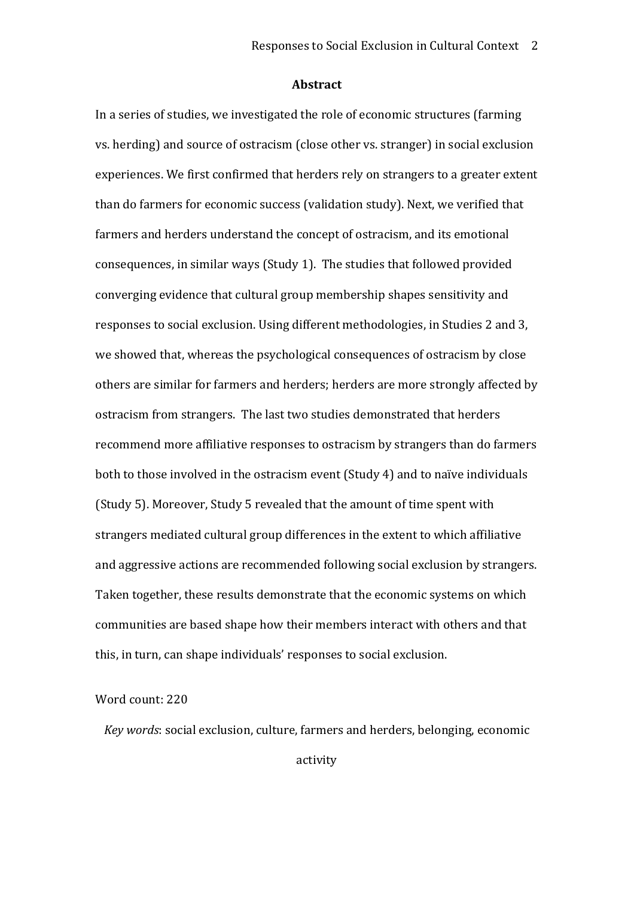#### **Abstract**

In a series of studies, we investigated the role of economic structures (farming vs. herding) and source of ostracism (close other vs. stranger) in social exclusion experiences. We first confirmed that herders rely on strangers to a greater extent than do farmers for economic success (validation study). Next, we verified that farmers and herders understand the concept of ostracism, and its emotional consequences, in similar ways (Study 1). The studies that followed provided converging evidence that cultural group membership shapes sensitivity and responses to social exclusion. Using different methodologies, in Studies 2 and 3, we showed that, whereas the psychological consequences of ostracism by close others are similar for farmers and herders; herders are more strongly affected by ostracism from strangers. The last two studies demonstrated that herders recommend more affiliative responses to ostracism by strangers than do farmers both to those involved in the ostracism event (Study 4) and to naïve individuals (Study 5). Moreover, Study 5 revealed that the amount of time spent with strangers mediated cultural group differences in the extent to which affiliative and aggressive actions are recommended following social exclusion by strangers. Taken together, these results demonstrate that the economic systems on which communities are based shape how their members interact with others and that this, in turn, can shape individuals' responses to social exclusion.

#### Word count: 220

*Key words*: social exclusion, culture, farmers and herders, belonging, economic

activity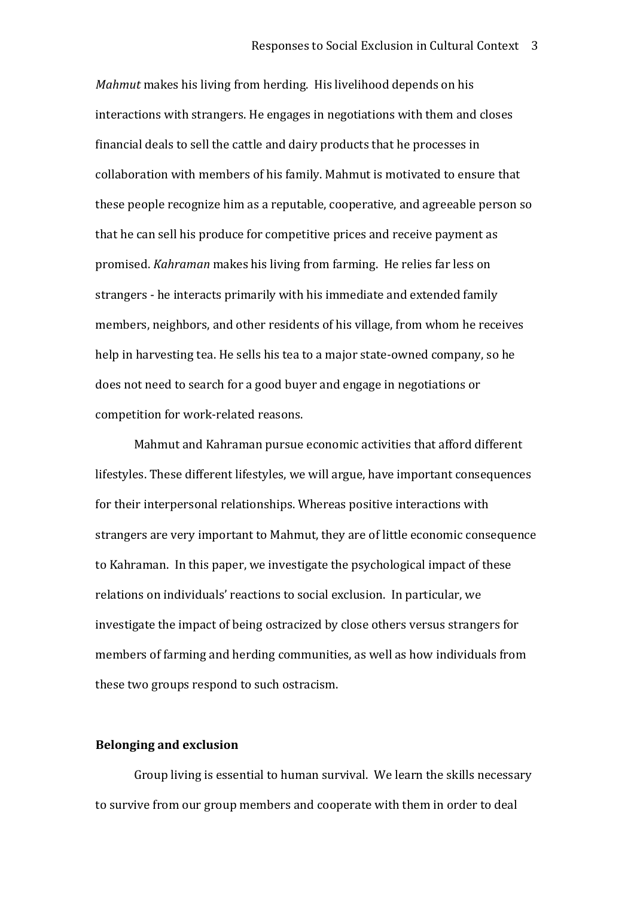*Mahmut* makes his living from herding. His livelihood depends on his interactions with strangers. He engages in negotiations with them and closes financial deals to sell the cattle and dairy products that he processes in collaboration with members of his family. Mahmut is motivated to ensure that these people recognize him as a reputable, cooperative, and agreeable person so that he can sell his produce for competitive prices and receive payment as promised. *Kahraman* makes his living from farming. He relies far less on strangers ‐ he interacts primarily with his immediate and extended family members, neighbors, and other residents of his village, from whom he receives help in harvesting tea. He sells his tea to a major state‐owned company, so he does not need to search for a good buyer and engage in negotiations or competition for work‐related reasons.

Mahmut and Kahraman pursue economic activities that afford different lifestyles. These different lifestyles, we will argue, have important consequences for their interpersonal relationships. Whereas positive interactions with strangers are very important to Mahmut, they are of little economic consequence to Kahraman. In this paper, we investigate the psychological impact of these relations on individuals' reactions to social exclusion. In particular, we investigate the impact of being ostracized by close others versus strangers for members of farming and herding communities, as well as how individuals from these two groups respond to such ostracism.

#### **Belonging and exclusion**

Group living is essential to human survival. We learn the skills necessary to survive from our group members and cooperate with them in order to deal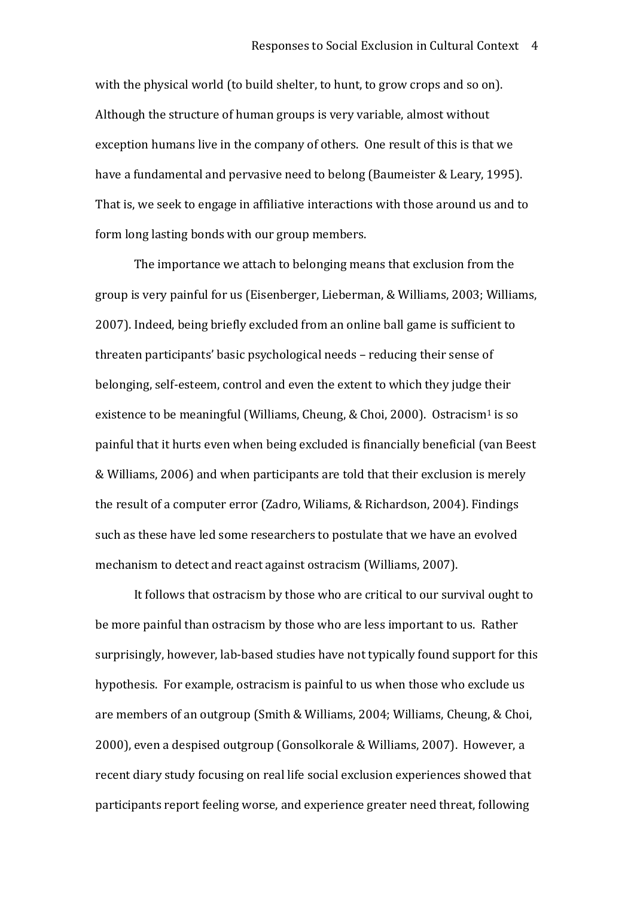with the physical world (to build shelter, to hunt, to grow crops and so on). Although the structure of human groups is very variable, almost without exception humans live in the company of others. One result of this is that we have a fundamental and pervasive need to belong (Baumeister & Leary, 1995). That is, we seek to engage in affiliative interactions with those around us and to form long lasting bonds with our group members.

The importance we attach to belonging means that exclusion from the group is very painful for us (Eisenberger, Lieberman, & Williams, 2003; Williams, 2007). Indeed, being briefly excluded from an online ball game is sufficient to threaten participants' basic psychological needs – reducing their sense of belonging, self‐esteem, control and even the extent to which they judge their existence to be meaningful (Williams, Cheung, & Choi, 2000). Ostracism<sup>1</sup> is so painful that it hurts even when being excluded is financially beneficial (van Beest & Williams, 2006) and when participants are told that their exclusion is merely the result of a computer error (Zadro, Wiliams, & Richardson, 2004). Findings such as these have led some researchers to postulate that we have an evolved mechanism to detect and react against ostracism (Williams, 2007).

It follows that ostracism by those who are critical to our survival ought to be more painful than ostracism by those who are less important to us. Rather surprisingly, however, lab-based studies have not typically found support for this hypothesis. For example, ostracism is painful to us when those who exclude us are members of an outgroup (Smith & Williams, 2004; Williams, Cheung, & Choi, 2000), even a despised outgroup (Gonsolkorale & Williams, 2007). However, a recent diary study focusing on real life social exclusion experiences showed that participants report feeling worse, and experience greater need threat, following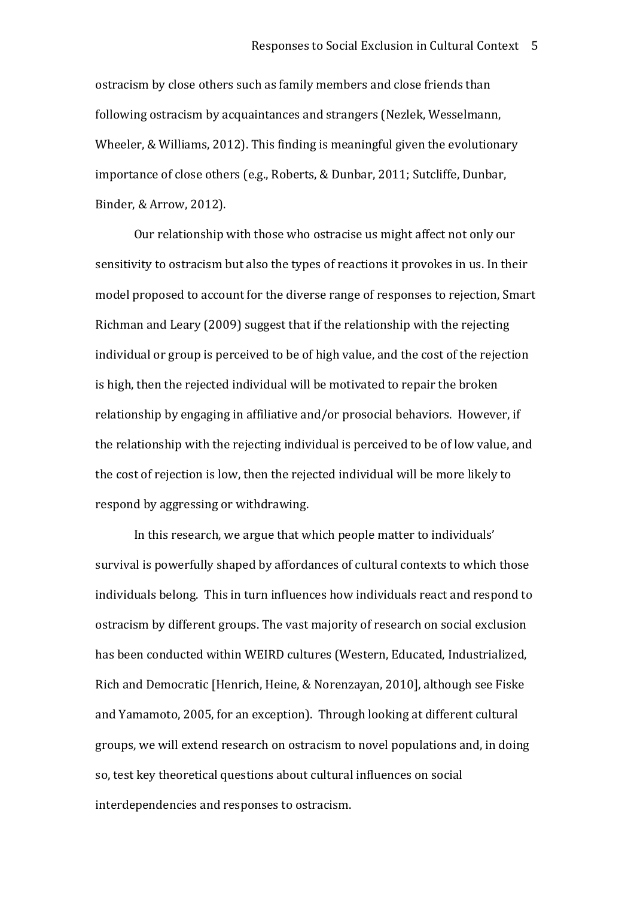ostracism by close others such as family members and close friends than following ostracism by acquaintances and strangers (Nezlek, Wesselmann, Wheeler, & Williams, 2012). This finding is meaningful given the evolutionary importance of close others (e.g., Roberts, & Dunbar, 2011; Sutcliffe, Dunbar, Binder, & Arrow, 2012).

Our relationship with those who ostracise us might affect not only our sensitivity to ostracism but also the types of reactions it provokes in us. In their model proposed to account for the diverse range of responses to rejection, Smart Richman and Leary (2009) suggest that if the relationship with the rejecting individual or group is perceived to be of high value, and the cost of the rejection is high, then the rejected individual will be motivated to repair the broken relationship by engaging in affiliative and/or prosocial behaviors. However, if the relationship with the rejecting individual is perceived to be of low value, and the cost of rejection is low, then the rejected individual will be more likely to respond by aggressing or withdrawing.

In this research, we argue that which people matter to individuals' survival is powerfully shaped by affordances of cultural contexts to which those individuals belong. This in turn influences how individuals react and respond to ostracism by different groups. The vast majority of research on social exclusion has been conducted within WEIRD cultures (Western, Educated, Industrialized, Rich and Democratic [Henrich, Heine, & Norenzayan, 2010], although see Fiske and Yamamoto, 2005, for an exception). Through looking at different cultural groups, we will extend research on ostracism to novel populations and, in doing so, test key theoretical questions about cultural influences on social interdependencies and responses to ostracism.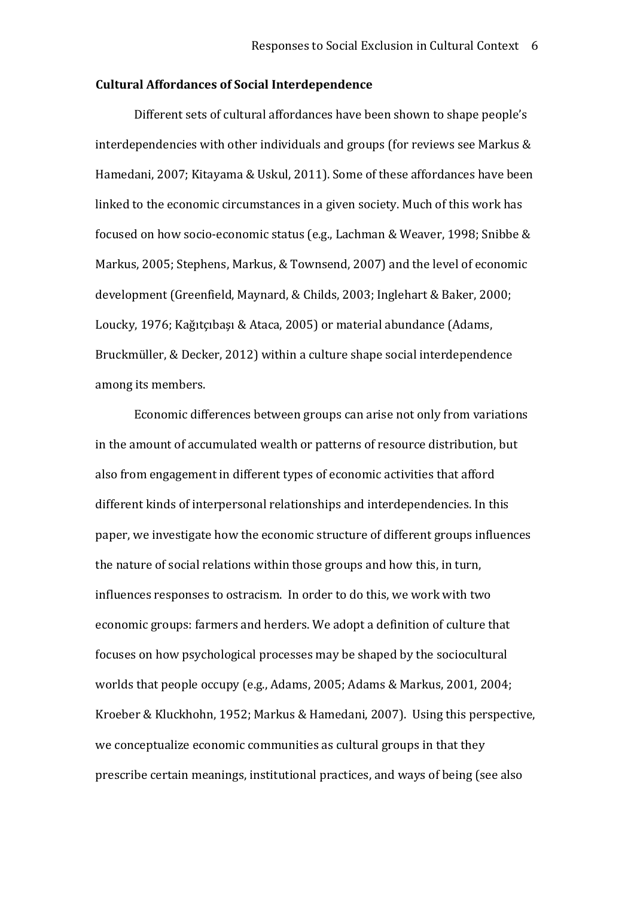#### **Cultural Affordances of Social Interdependence**

Different sets of cultural affordances have been shown to shape people's interdependencies with other individuals and groups (for reviews see Markus & Hamedani, 2007; Kitayama & Uskul, 2011). Some of these affordances have been linked to the economic circumstances in a given society. Much of this work has focused on how socio‐economic status (e.g., Lachman & Weaver, 1998; Snibbe & Markus, 2005; Stephens, Markus, & Townsend, 2007) and the level of economic development (Greenfield, Maynard, & Childs, 2003; Inglehart & Baker, 2000; Loucky, 1976; Kağıtçıbaşı & Ataca, 2005) or material abundance (Adams, Bruckmüller, & Decker, 2012) within a culture shape social interdependence among its members.

Economic differences between groups can arise not only from variations in the amount of accumulated wealth or patterns of resource distribution, but also from engagement in different types of economic activities that afford different kinds of interpersonal relationships and interdependencies. In this paper, we investigate how the economic structure of different groups influences the nature of social relations within those groups and how this, in turn, influences responses to ostracism. In order to do this, we work with two economic groups: farmers and herders. We adopt a definition of culture that focuses on how psychological processes may be shaped by the sociocultural worlds that people occupy (e.g., Adams, 2005; Adams & Markus, 2001, 2004; Kroeber & Kluckhohn, 1952; Markus & Hamedani, 2007). Using this perspective, we conceptualize economic communities as cultural groups in that they prescribe certain meanings, institutional practices, and ways of being (see also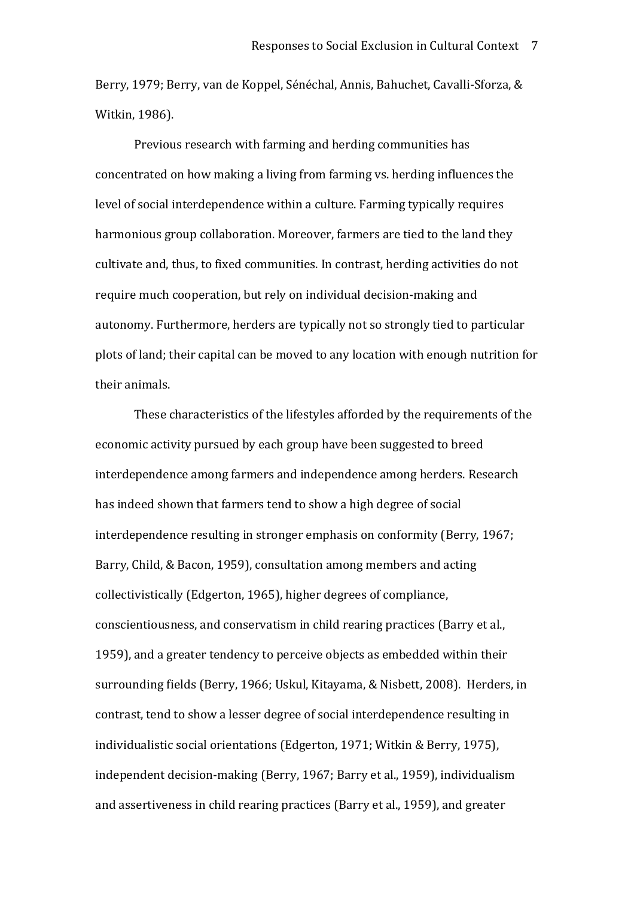Berry, 1979; Berry, van de Koppel, Sénéchal, Annis, Bahuchet, Cavalli‐Sforza, & Witkin, 1986).

Previous research with farming and herding communities has concentrated on how making a living from farming vs. herding influences the level of social interdependence within a culture. Farming typically requires harmonious group collaboration. Moreover, farmers are tied to the land they cultivate and, thus, to fixed communities. In contrast, herding activities do not require much cooperation, but rely on individual decision‐making and autonomy. Furthermore, herders are typically not so strongly tied to particular plots of land; their capital can be moved to any location with enough nutrition for their animals.

These characteristics of the lifestyles afforded by the requirements of the economic activity pursued by each group have been suggested to breed interdependence among farmers and independence among herders. Research has indeed shown that farmers tend to show a high degree of social interdependence resulting in stronger emphasis on conformity (Berry, 1967; Barry, Child, & Bacon, 1959), consultation among members and acting collectivistically (Edgerton, 1965), higher degrees of compliance, conscientiousness, and conservatism in child rearing practices (Barry et al., 1959), and a greater tendency to perceive objects as embedded within their surrounding fields (Berry, 1966; Uskul, Kitayama, & Nisbett, 2008). Herders, in contrast, tend to show a lesser degree of social interdependence resulting in individualistic social orientations (Edgerton, 1971; Witkin & Berry, 1975), independent decision‐making (Berry, 1967; Barry et al., 1959), individualism and assertiveness in child rearing practices (Barry et al., 1959), and greater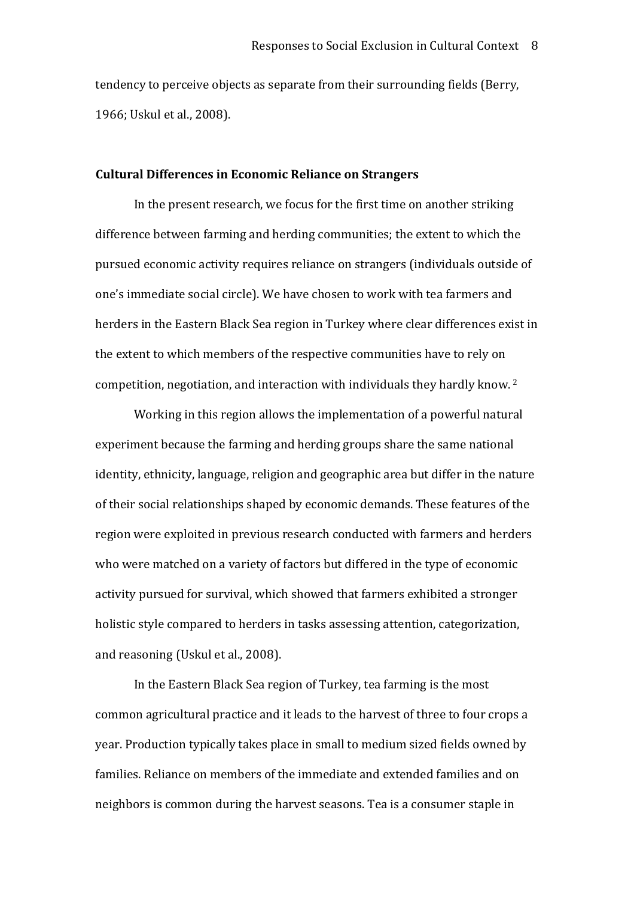tendency to perceive objects as separate from their surrounding fields (Berry, 1966; Uskul et al., 2008).

#### **Cultural Differences in Economic Reliance on Strangers**

In the present research, we focus for the first time on another striking difference between farming and herding communities; the extent to which the pursued economic activity requires reliance on strangers (individuals outside of one's immediate social circle). We have chosen to work with tea farmers and herders in the Eastern Black Sea region in Turkey where clear differences exist in the extent to which members of the respective communities have to rely on competition, negotiation, and interaction with individuals they hardly know. <sup>2</sup>

Working in this region allows the implementation of a powerful natural experiment because the farming and herding groups share the same national identity, ethnicity, language, religion and geographic area but differ in the nature of their social relationships shaped by economic demands. These features of the region were exploited in previous research conducted with farmers and herders who were matched on a variety of factors but differed in the type of economic activity pursued for survival, which showed that farmers exhibited a stronger holistic style compared to herders in tasks assessing attention, categorization, and reasoning (Uskul et al., 2008).

In the Eastern Black Sea region of Turkey, tea farming is the most common agricultural practice and it leads to the harvest of three to four crops a year. Production typically takes place in small to medium sized fields owned by families. Reliance on members of the immediate and extended families and on neighbors is common during the harvest seasons. Tea is a consumer staple in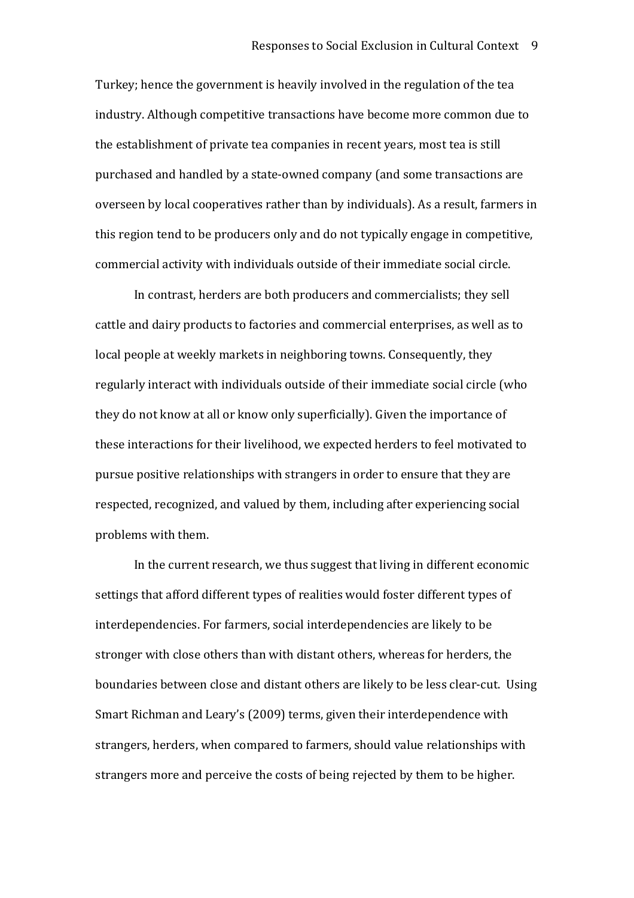Turkey; hence the government is heavily involved in the regulation of the tea industry. Although competitive transactions have become more common due to the establishment of private tea companies in recent years, most tea is still purchased and handled by a state‐owned company (and some transactions are overseen by local cooperatives rather than by individuals). As a result, farmers in this region tend to be producers only and do not typically engage in competitive, commercial activity with individuals outside of their immediate social circle.

In contrast, herders are both producers and commercialists; they sell cattle and dairy products to factories and commercial enterprises, as well as to local people at weekly markets in neighboring towns. Consequently, they regularly interact with individuals outside of their immediate social circle (who they do not know at all or know only superficially). Given the importance of these interactions for their livelihood, we expected herders to feel motivated to pursue positive relationships with strangers in order to ensure that they are respected, recognized, and valued by them, including after experiencing social problems with them.

In the current research, we thus suggest that living in different economic settings that afford different types of realities would foster different types of interdependencies. For farmers, social interdependencies are likely to be stronger with close others than with distant others, whereas for herders, the boundaries between close and distant others are likely to be less clear‐cut. Using Smart Richman and Leary's (2009) terms, given their interdependence with strangers, herders, when compared to farmers, should value relationships with strangers more and perceive the costs of being rejected by them to be higher.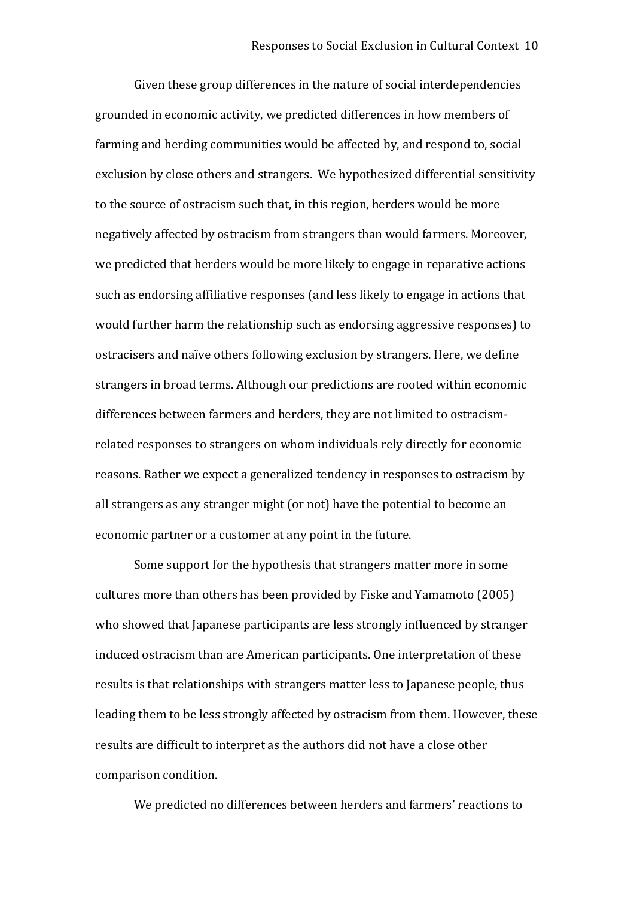Given these group differences in the nature of social interdependencies grounded in economic activity, we predicted differences in how members of farming and herding communities would be affected by, and respond to, social exclusion by close others and strangers. We hypothesized differential sensitivity to the source of ostracism such that, in this region, herders would be more negatively affected by ostracism from strangers than would farmers. Moreover, we predicted that herders would be more likely to engage in reparative actions such as endorsing affiliative responses (and less likely to engage in actions that would further harm the relationship such as endorsing aggressive responses) to ostracisers and naïve others following exclusion by strangers. Here, we define strangers in broad terms. Although our predictions are rooted within economic differences between farmers and herders, they are not limited to ostracism‐ related responses to strangers on whom individuals rely directly for economic reasons. Rather we expect a generalized tendency in responses to ostracism by all strangers as any stranger might (or not) have the potential to become an economic partner or a customer at any point in the future.

Some support for the hypothesis that strangers matter more in some cultures more than others has been provided by Fiske and Yamamoto (2005) who showed that Japanese participants are less strongly influenced by stranger induced ostracism than are American participants. One interpretation of these results is that relationships with strangers matter less to Japanese people, thus leading them to be less strongly affected by ostracism from them. However, these results are difficult to interpret as the authors did not have a close other comparison condition.

We predicted no differences between herders and farmers' reactions to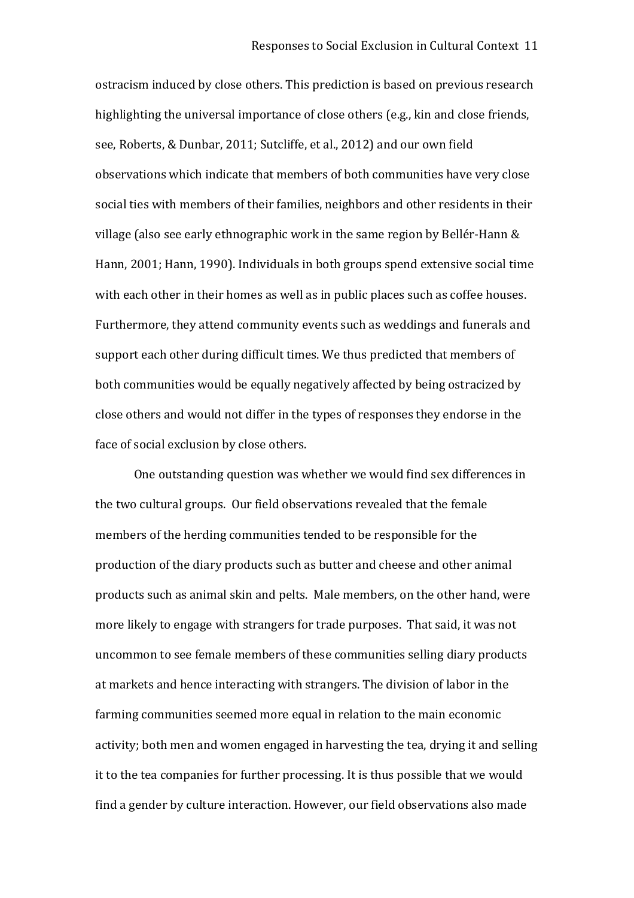ostracism induced by close others. This prediction is based on previous research highlighting the universal importance of close others (e.g., kin and close friends, see, Roberts, & Dunbar, 2011; Sutcliffe, et al., 2012) and our own field observations which indicate that members of both communities have very close social ties with members of their families, neighbors and other residents in their village (also see early ethnographic work in the same region by Bellér‐Hann & Hann, 2001; Hann, 1990). Individuals in both groups spend extensive social time with each other in their homes as well as in public places such as coffee houses. Furthermore, they attend community events such as weddings and funerals and support each other during difficult times. We thus predicted that members of both communities would be equally negatively affected by being ostracized by close others and would not differ in the types of responses they endorse in the face of social exclusion by close others.

One outstanding question was whether we would find sex differences in the two cultural groups. Our field observations revealed that the female members of the herding communities tended to be responsible for the production of the diary products such as butter and cheese and other animal products such as animal skin and pelts. Male members, on the other hand, were more likely to engage with strangers for trade purposes. That said, it was not uncommon to see female members of these communities selling diary products at markets and hence interacting with strangers. The division of labor in the farming communities seemed more equal in relation to the main economic activity; both men and women engaged in harvesting the tea, drying it and selling it to the tea companies for further processing. It is thus possible that we would find a gender by culture interaction. However, our field observations also made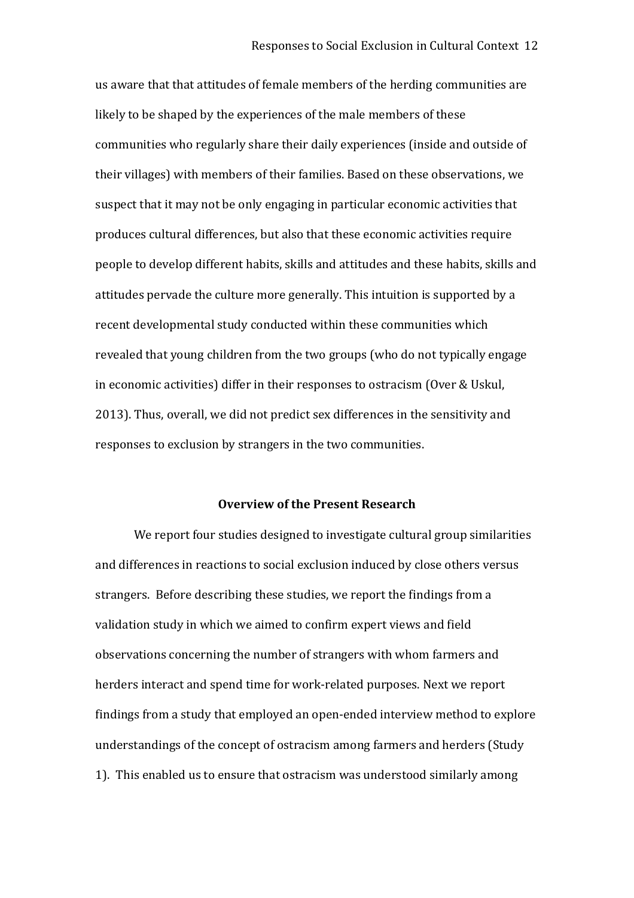us aware that that attitudes of female members of the herding communities are likely to be shaped by the experiences of the male members of these communities who regularly share their daily experiences (inside and outside of their villages) with members of their families. Based on these observations, we suspect that it may not be only engaging in particular economic activities that produces cultural differences, but also that these economic activities require people to develop different habits, skills and attitudes and these habits, skills and attitudes pervade the culture more generally. This intuition is supported by a recent developmental study conducted within these communities which revealed that young children from the two groups (who do not typically engage in economic activities) differ in their responses to ostracism (Over & Uskul, 2013). Thus, overall, we did not predict sex differences in the sensitivity and responses to exclusion by strangers in the two communities.

#### **Overview of the Present Research**

We report four studies designed to investigate cultural group similarities and differences in reactions to social exclusion induced by close others versus strangers. Before describing these studies, we report the findings from a validation study in which we aimed to confirm expert views and field observations concerning the number of strangers with whom farmers and herders interact and spend time for work‐related purposes. Next we report findings from a study that employed an open‐ended interview method to explore understandings of the concept of ostracism among farmers and herders (Study 1). This enabled us to ensure that ostracism was understood similarly among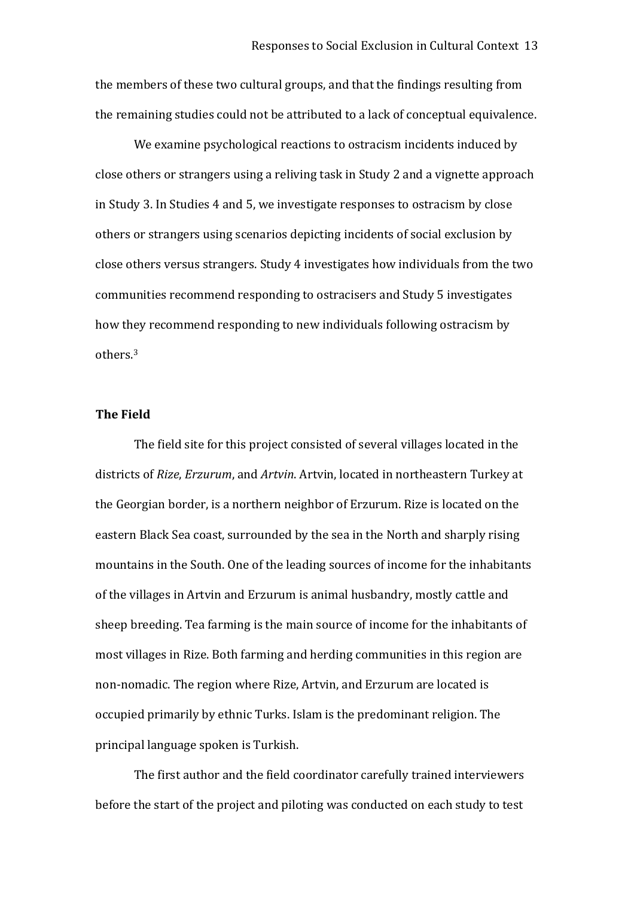the members of these two cultural groups, and that the findings resulting from the remaining studies could not be attributed to a lack of conceptual equivalence.

We examine psychological reactions to ostracism incidents induced by close others or strangers using a reliving task in Study 2 and a vignette approach in Study 3. In Studies 4 and 5, we investigate responses to ostracism by close others or strangers using scenarios depicting incidents of social exclusion by close others versus strangers. Study 4 investigates how individuals from the two communities recommend responding to ostracisers and Study 5 investigates how they recommend responding to new individuals following ostracism by others.<sup>3</sup>

#### **The Field**

The field site for this project consisted of several villages located in the districts of *Rize*, *Erzurum*, and *Artvin*. Artvin, located in northeastern Turkey at the Georgian border, is a northern neighbor of Erzurum. Rize is located on the eastern Black Sea coast, surrounded by the sea in the North and sharply rising mountains in the South. One of the leading sources of income for the inhabitants of the villages in Artvin and Erzurum is animal husbandry, mostly cattle and sheep breeding. Tea farming is the main source of income for the inhabitants of most villages in Rize. Both farming and herding communities in this region are non‐nomadic. The region where Rize, Artvin, and Erzurum are located is occupied primarily by ethnic Turks. Islam is the predominant religion. The principal language spoken is Turkish.

The first author and the field coordinator carefully trained interviewers before the start of the project and piloting was conducted on each study to test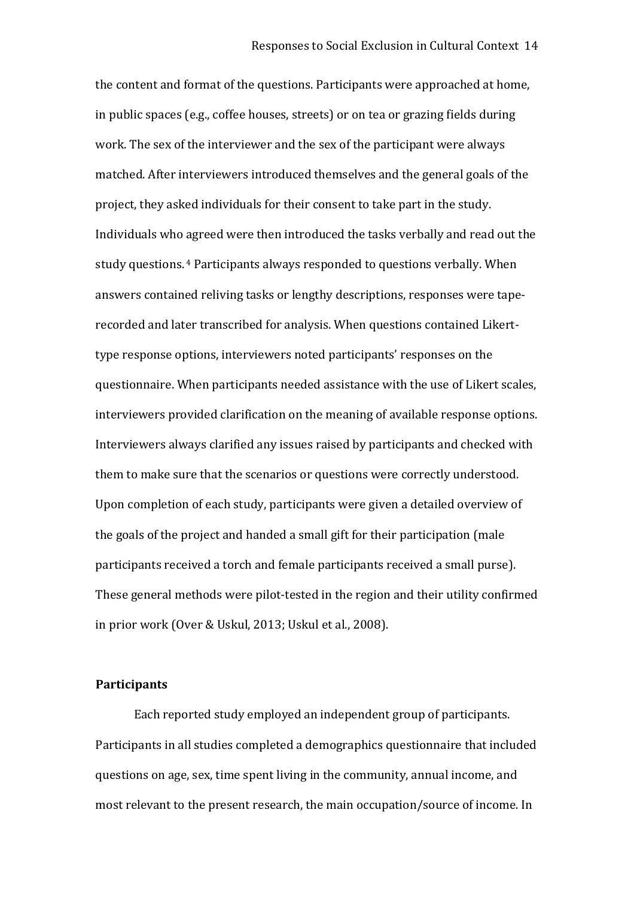the content and format of the questions. Participants were approached at home, in public spaces (e.g., coffee houses, streets) or on tea or grazing fields during work. The sex of the interviewer and the sex of the participant were always matched. After interviewers introduced themselves and the general goals of the project, they asked individuals for their consent to take part in the study. Individuals who agreed were then introduced the tasks verbally and read out the study questions. <sup>4</sup> Participants always responded to questions verbally. When answers contained reliving tasks or lengthy descriptions, responses were tape‐ recorded and later transcribed for analysis. When questions contained Likert‐ type response options, interviewers noted participants' responses on the questionnaire. When participants needed assistance with the use of Likert scales, interviewers provided clarification on the meaning of available response options. Interviewers always clarified any issues raised by participants and checked with them to make sure that the scenarios or questions were correctly understood. Upon completion of each study, participants were given a detailed overview of the goals of the project and handed a small gift for their participation (male participants received a torch and female participants received a small purse). These general methods were pilot-tested in the region and their utility confirmed in prior work (Over & Uskul, 2013; Uskul et al., 2008).

#### **Participants**

Each reported study employed an independent group of participants. Participants in all studies completed a demographics questionnaire that included questions on age, sex, time spent living in the community, annual income, and most relevant to the present research, the main occupation/source of income. In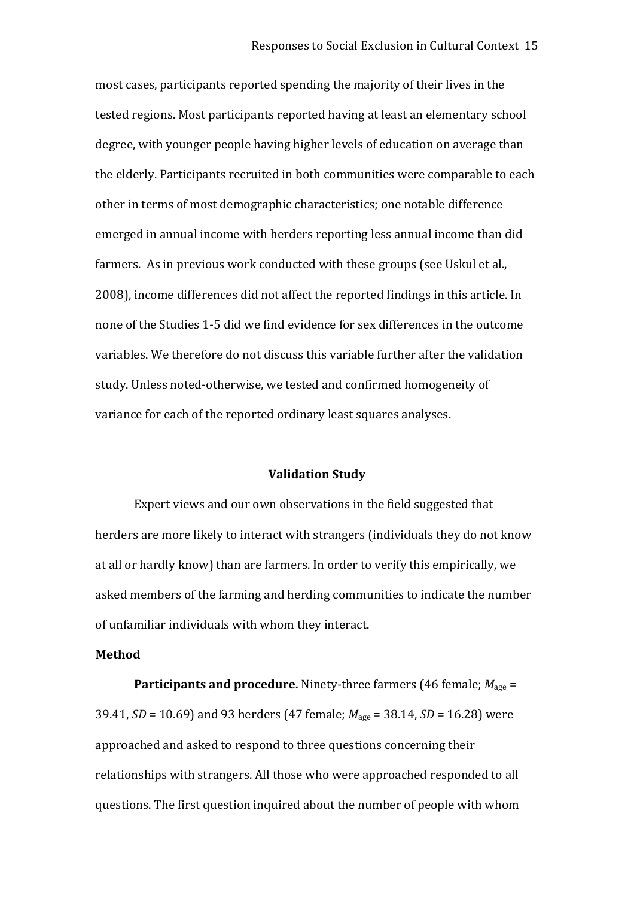most cases, participants reported spending the majority of their lives in the tested regions. Most participants reported having at least an elementary school degree, with younger people having higher levels of education on average than the elderly. Participants recruited in both communities were comparable to each other in terms of most demographic characteristics; one notable difference emerged in annual income with herders reporting less annual income than did farmers. As in previous work conducted with these groups (see Uskul et al., 2008), income differences did not affect the reported findings in this article. In none of the Studies 1‐5 did we find evidence for sex differences in the outcome variables. We therefore do not discuss this variable further after the validation study. Unless noted‐otherwise, we tested and confirmed homogeneity of variance for each of the reported ordinary least squares analyses.

#### **Validation Study**

Expert views and our own observations in the field suggested that herders are more likely to interact with strangers (individuals they do not know at all or hardly know) than are farmers. In order to verify this empirically, we asked members of the farming and herding communities to indicate the number of unfamiliar individuals with whom they interact.

#### **Method**

**Participants and procedure.** Ninety-three farmers (46 female;  $M_{\text{age}} =$ 39.41, *SD* = 10.69) and 93 herders (47 female; *M*age = 38.14, *SD* = 16.28) were approached and asked to respond to three questions concerning their relationships with strangers. All those who were approached responded to all questions. The first question inquired about the number of people with whom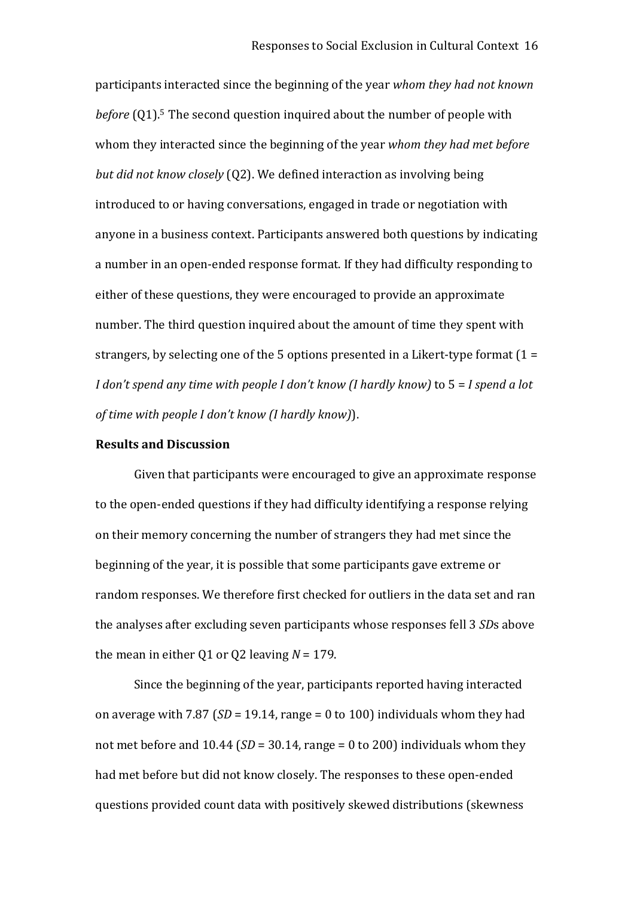participants interacted since the beginning of the year *whom they had not known before* (Q1). <sup>5</sup> The second question inquired about the number of people with whom they interacted since the beginning of the year *whom they had met before but did not know closely* (Q2). We defined interaction as involving being introduced to or having conversations, engaged in trade or negotiation with anyone in a business context. Participants answered both questions by indicating a number in an open‐ended response format. If they had difficulty responding to either of these questions, they were encouraged to provide an approximate number. The third question inquired about the amount of time they spent with strangers, by selecting one of the 5 options presented in a Likert-type format  $(1 =$ *I don't spend any time with people I don't know (I hardly know)* to 5 = *I spend a lot of time with people I don't know (I hardly know)*).

#### **Results and Discussion**

Given that participants were encouraged to give an approximate response to the open‐ended questions if they had difficulty identifying a response relying on their memory concerning the number of strangers they had met since the beginning of the year, it is possible that some participants gave extreme or random responses. We therefore first checked for outliers in the data set and ran the analyses after excluding seven participants whose responses fell 3 *SD*s above the mean in either Q1 or Q2 leaving  $N = 179$ .

Since the beginning of the year, participants reported having interacted on average with 7.87 (*SD* = 19.14, range = 0 to 100) individuals whom they had not met before and  $10.44$  ( $SD = 30.14$ , range  $= 0$  to 200) individuals whom they had met before but did not know closely. The responses to these open‐ended questions provided count data with positively skewed distributions (skewness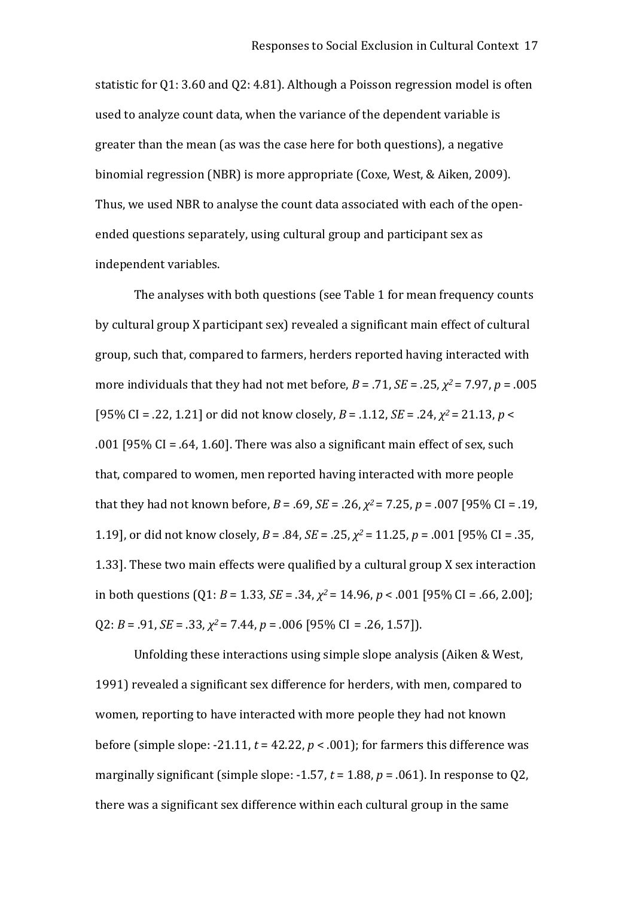statistic for Q1: 3.60 and Q2: 4.81). Although a Poisson regression model is often used to analyze count data, when the variance of the dependent variable is greater than the mean (as was the case here for both questions), a negative binomial regression (NBR) is more appropriate (Coxe, West, & Aiken, 2009). Thus, we used NBR to analyse the count data associated with each of the open‐ ended questions separately, using cultural group and participant sex as independent variables.

The analyses with both questions (see Table 1 for mean frequency counts by cultural group X participant sex) revealed a significant main effect of cultural group, such that, compared to farmers, herders reported having interacted with more individuals that they had not met before, *B* = .71, *SE* = .25, *χ <sup>2</sup>*= 7.97, *p* = .005 [95% CI = .22, 1.21] or did not know closely, *B* = .1.12, *SE* = .24, *χ <sup>2</sup>*= 21.13, *p* < .001 [95% CI = .64, 1.60]. There was also a significant main effect of sex, such that, compared to women, men reported having interacted with more people that they had not known before, *B* = .69, *SE* = .26, *χ <sup>2</sup>*= 7.25, *p* = .007 [95% CI = .19, 1.19], or did not know closely, *B* = .84, *SE* = .25, *χ <sup>2</sup>*= 11.25, *p* = .001 [95% CI = .35, 1.33]. These two main effects were qualified by a cultural group X sex interaction in both questions (Q1: *B* = 1.33, *SE* = .34, *χ <sup>2</sup>*= 14.96, *p* < .001 [95% CI = .66, 2.00]; Q2: *B* = .91, *SE* = .33, *χ <sup>2</sup>*= 7.44, *p* = .006 [95% CI = .26, 1.57]).

Unfolding these interactions using simple slope analysis (Aiken & West, 1991) revealed a significant sex difference for herders, with men, compared to women, reporting to have interacted with more people they had not known before (simple slope:  $-21.11$ ,  $t = 42.22$ ,  $p < .001$ ); for farmers this difference was marginally significant (simple slope: -1.57,  $t = 1.88$ ,  $p = .061$ ). In response to Q2, there was a significant sex difference within each cultural group in the same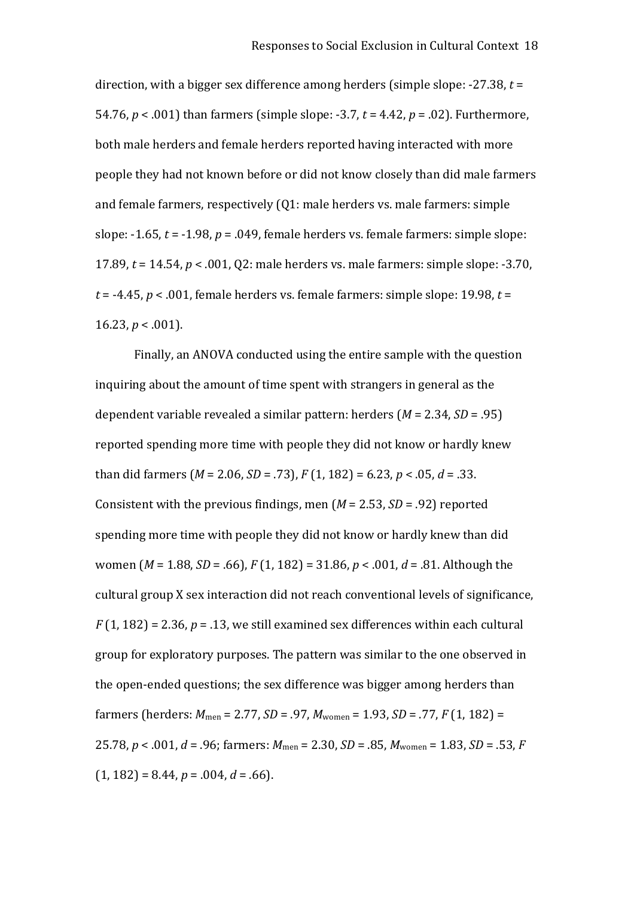direction, with a bigger sex difference among herders (simple slope: ‐27.38, *t* = 54.76, *p* < .001) than farmers (simple slope: ‐3.7, *t* = 4.42, *p* = .02). Furthermore, both male herders and female herders reported having interacted with more people they had not known before or did not know closely than did male farmers and female farmers, respectively (Q1: male herders vs. male farmers: simple slope: ‐1.65, *t* = ‐1.98, *p* = .049, female herders vs. female farmers: simple slope: 17.89, *t* = 14.54, *p* < .001, Q2: male herders vs. male farmers: simple slope: ‐3.70,  $t = -4.45$ ,  $p < .001$ , female herders vs. female farmers: simple slope: 19.98,  $t =$ 16.23,  $p < .001$ ).

Finally, an ANOVA conducted using the entire sample with the question inquiring about the amount of time spent with strangers in general as the dependent variable revealed a similar pattern: herders (*M* = 2.34, *SD* = .95) reported spending more time with people they did not know or hardly knew than did farmers (*M* = 2.06, *SD* = .73), *F* (1, 182) = 6.23, *p* < .05, *d* = .33. Consistent with the previous findings, men (*M* = 2.53, *SD* = .92) reported spending more time with people they did not know or hardly knew than did women (*M* = 1.88, *SD* = .66), *F* (1, 182) = 31.86, *p* < .001, *d* = .81. Although the cultural group X sex interaction did not reach conventional levels of significance,  $F(1, 182) = 2.36$ ,  $p = .13$ , we still examined sex differences within each cultural group for exploratory purposes. The pattern was similar to the one observed in the open‐ended questions; the sex difference was bigger among herders than farmers (herders: *M*men = 2.77, *SD* = .97, *M*women = 1.93, *SD* = .77, *F* (1, 182) = 25.78, *p* < .001, *d* = .96; farmers: *M*men = 2.30, *SD* = .85, *M*women = 1.83, *SD* = .53, *F*   $(1, 182) = 8.44, p = .004, d = .66$ .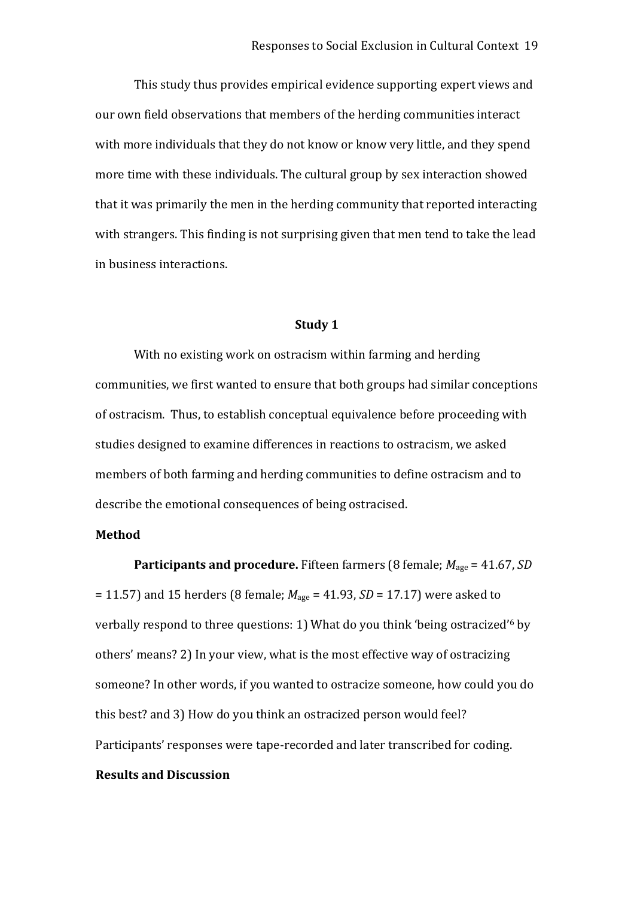This study thus provides empirical evidence supporting expert views and our own field observations that members of the herding communities interact with more individuals that they do not know or know very little, and they spend more time with these individuals. The cultural group by sex interaction showed that it was primarily the men in the herding community that reported interacting with strangers. This finding is not surprising given that men tend to take the lead in business interactions.

#### **Study 1**

With no existing work on ostracism within farming and herding communities, we first wanted to ensure that both groups had similar conceptions of ostracism. Thus, to establish conceptual equivalence before proceeding with studies designed to examine differences in reactions to ostracism, we asked members of both farming and herding communities to define ostracism and to describe the emotional consequences of being ostracised.

#### **Method**

**Participants and procedure.** Fifteen farmers (8 female;  $M_{\text{age}} = 41.67$ , *SD* = 11.57) and 15 herders (8 female; *M*age = 41.93, *SD* = 17.17) were asked to verbally respond to three questions: 1) What do you think 'being ostracized' <sup>6</sup> by others' means? 2) In your view, what is the most effective way of ostracizing someone? In other words, if you wanted to ostracize someone, how could you do this best? and 3) How do you think an ostracized person would feel? Participants' responses were tape‐recorded and later transcribed for coding.

#### **Results and Discussion**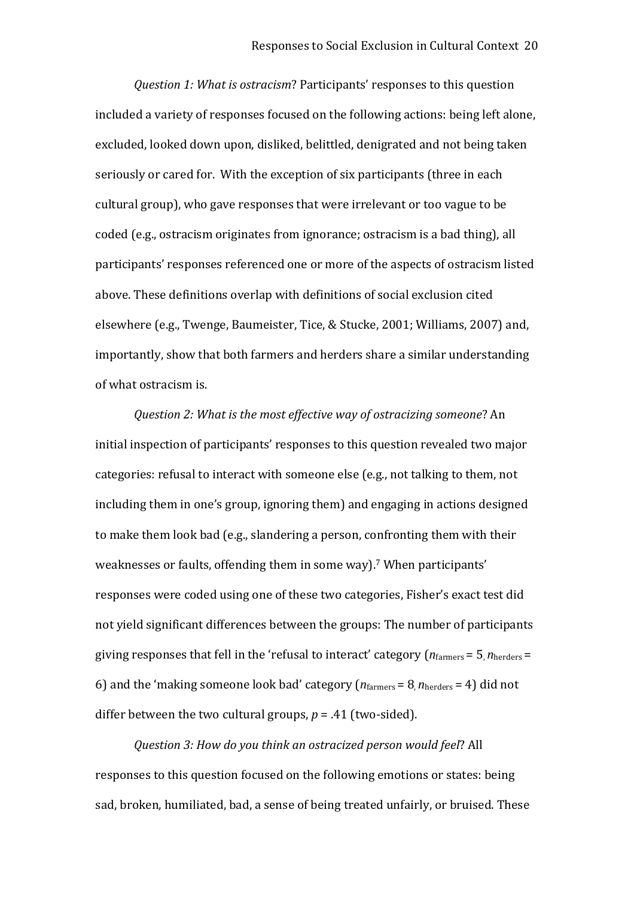*Question 1: What is ostracism*? Participants' responses to this question included a variety of responses focused on the following actions: being left alone, excluded, looked down upon, disliked, belittled, denigrated and not being taken seriously or cared for. With the exception of six participants (three in each cultural group), who gave responses that were irrelevant or too vague to be coded (e.g., ostracism originates from ignorance; ostracism is a bad thing), all participants' responses referenced one or more of the aspects of ostracism listed above. These definitions overlap with definitions of social exclusion cited elsewhere (e.g., Twenge, Baumeister, Tice, & Stucke, 2001; Williams, 2007) and, importantly, show that both farmers and herders share a similar understanding of what ostracism is.

*Question 2: What is the most effective way of ostracizing someone*? An initial inspection of participants' responses to this question revealed two major categories: refusal to interact with someone else (e.g., not talking to them, not including them in one's group, ignoring them) and engaging in actions designed to make them look bad (e.g., slandering a person, confronting them with their weaknesses or faults, offending them in some way).<sup>7</sup> When participants' responses were coded using one of these two categories, Fisher's exact test did not yield significant differences between the groups: The number of participants giving responses that fell in the 'refusal to interact' category (*n*farmers = 5, *n*herders = 6) and the 'making someone look bad' category  $(n_{\text{farmers}} = 8, n_{\text{herders}} = 4)$  did not differ between the two cultural groups,  $p = .41$  (two-sided).

*Question 3: How do you think an ostracized person would feel*? All responses to this question focused on the following emotions or states: being sad, broken, humiliated, bad, a sense of being treated unfairly, or bruised. These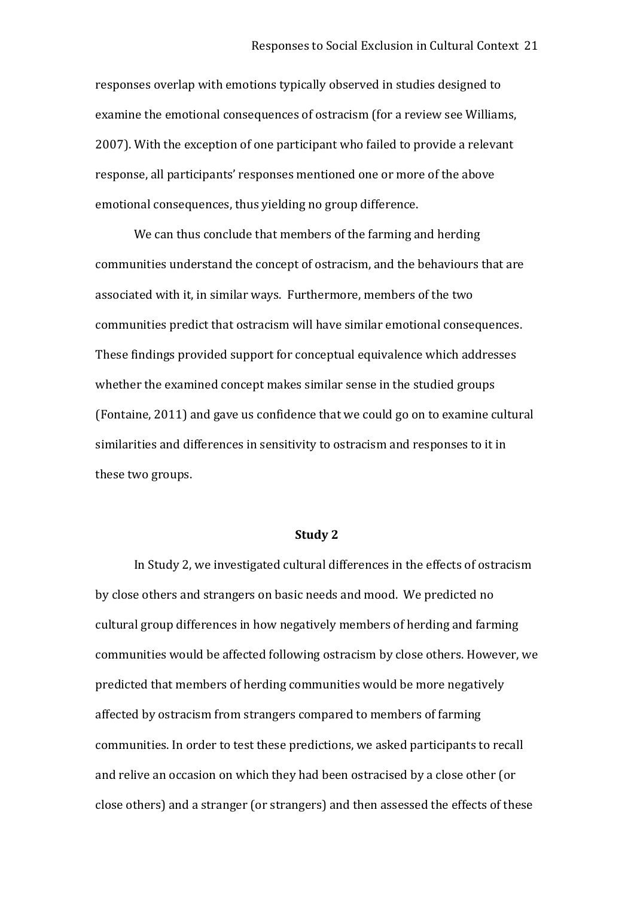responses overlap with emotions typically observed in studies designed to examine the emotional consequences of ostracism (for a review see Williams, 2007). With the exception of one participant who failed to provide a relevant response, all participants' responses mentioned one or more of the above emotional consequences, thus yielding no group difference.

We can thus conclude that members of the farming and herding communities understand the concept of ostracism, and the behaviours that are associated with it, in similar ways. Furthermore, members of the two communities predict that ostracism will have similar emotional consequences. These findings provided support for conceptual equivalence which addresses whether the examined concept makes similar sense in the studied groups (Fontaine, 2011) and gave us confidence that we could go on to examine cultural similarities and differences in sensitivity to ostracism and responses to it in these two groups.

#### **Study 2**

In Study 2, we investigated cultural differences in the effects of ostracism by close others and strangers on basic needs and mood. We predicted no cultural group differences in how negatively members of herding and farming communities would be affected following ostracism by close others. However, we predicted that members of herding communities would be more negatively affected by ostracism from strangers compared to members of farming communities. In order to test these predictions, we asked participants to recall and relive an occasion on which they had been ostracised by a close other (or close others) and a stranger (or strangers) and then assessed the effects of these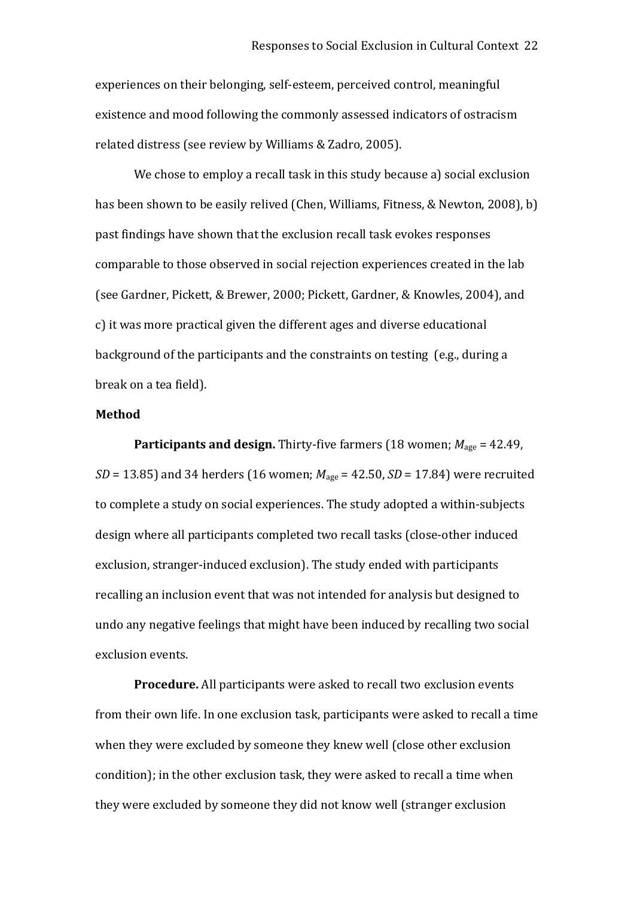experiences on their belonging, self‐esteem, perceived control, meaningful existence and mood following the commonly assessed indicators of ostracism related distress (see review by Williams & Zadro, 2005).

We chose to employ a recall task in this study because a) social exclusion has been shown to be easily relived (Chen, Williams, Fitness, & Newton, 2008), b) past findings have shown that the exclusion recall task evokes responses comparable to those observed in social rejection experiences created in the lab (see Gardner, Pickett, & Brewer, 2000; Pickett, Gardner, & Knowles, 2004), and c) it was more practical given the different ages and diverse educational background of the participants and the constraints on testing (e.g., during a break on a tea field).

#### **Method**

**Participants and design.** Thirty-five farmers (18 women;  $M_{\text{age}} = 42.49$ , *SD* = 13.85) and 34 herders (16 women; *M*age = 42.50, *SD* = 17.84) were recruited to complete a study on social experiences. The study adopted a within‐subjects design where all participants completed two recall tasks (close‐other induced exclusion, stranger‐induced exclusion). The study ended with participants recalling an inclusion event that was not intended for analysis but designed to undo any negative feelings that might have been induced by recalling two social exclusion events.

**Procedure.** All participants were asked to recall two exclusion events from their own life. In one exclusion task, participants were asked to recall a time when they were excluded by someone they knew well (close other exclusion condition); in the other exclusion task, they were asked to recall a time when they were excluded by someone they did not know well (stranger exclusion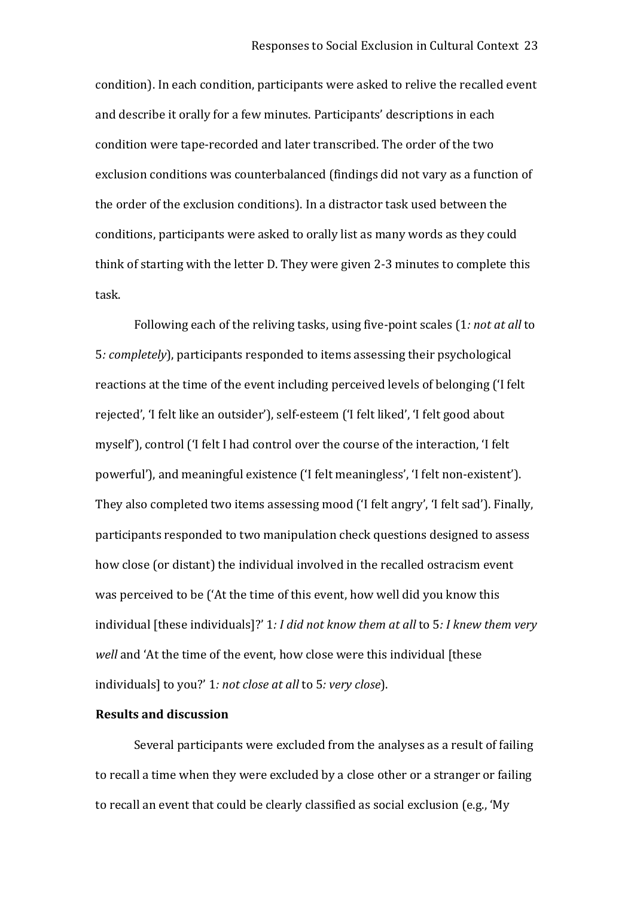condition). In each condition, participants were asked to relive the recalled event and describe it orally for a few minutes. Participants' descriptions in each condition were tape‐recorded and later transcribed. The order of the two exclusion conditions was counterbalanced (findings did not vary as a function of the order of the exclusion conditions). In a distractor task used between the conditions, participants were asked to orally list as many words as they could think of starting with the letter D. They were given 2‐3 minutes to complete this task.

Following each of the reliving tasks, using five‐point scales (1*: not at all* to 5*: completely*), participants responded to items assessing their psychological reactions at the time of the event including perceived levels of belonging ('I felt rejected', 'I felt like an outsider'), self‐esteem ('I felt liked', 'I felt good about myself'), control ('I felt I had control over the course of the interaction, 'I felt powerful'), and meaningful existence ('I felt meaningless', 'I felt non‐existent'). They also completed two items assessing mood ('I felt angry', 'I felt sad'). Finally, participants responded to two manipulation check questions designed to assess how close (or distant) the individual involved in the recalled ostracism event was perceived to be ('At the time of this event, how well did you know this individual [these individuals]?' 1*: I did not know them at all* to 5*: I knew them very well* and 'At the time of the event, how close were this individual [these individuals] to you?' 1*: not close at all* to 5*: very close*).

#### **Results and discussion**

Several participants were excluded from the analyses as a result of failing to recall a time when they were excluded by a close other or a stranger or failing to recall an event that could be clearly classified as social exclusion (e.g., 'My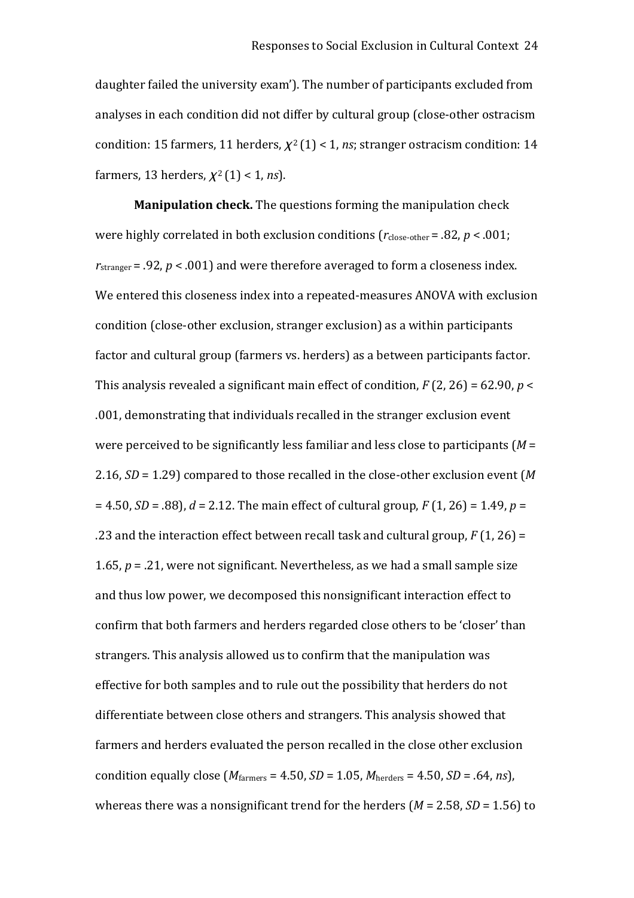daughter failed the university exam'). The number of participants excluded from analyses in each condition did not differ by cultural group (close‐other ostracism condition: 15 farmers, 11 herders,  $\chi^2(1)$  < 1, *ns*; stranger ostracism condition: 14 farmers, 13 herders,  $\chi^2(1)$  < 1, *ns*).

**Manipulation check.** The questions forming the manipulation check were highly correlated in both exclusion conditions  $(r_{\text{close-other}} = .82, p < .001;$  $r_{\text{stranger}}$  = .92,  $p$  < .001) and were therefore averaged to form a closeness index. We entered this closeness index into a repeated-measures ANOVA with exclusion condition (close‐other exclusion, stranger exclusion) as a within participants factor and cultural group (farmers vs. herders) as a between participants factor. This analysis revealed a significant main effect of condition,  $F(2, 26) = 62.90$ ,  $p <$ .001, demonstrating that individuals recalled in the stranger exclusion event were perceived to be significantly less familiar and less close to participants (*M* = 2.16, *SD* = 1.29) compared to those recalled in the close‐other exclusion event (*M*  = 4.50, *SD* = .88), *d* = 2.12. The main effect of cultural group, *F* (1, 26) = 1.49, *p* = .23 and the interaction effect between recall task and cultural group, *F* (1, 26) = 1.65, *p* = .21, were not significant. Nevertheless, as we had a small sample size and thus low power, we decomposed this nonsignificant interaction effect to confirm that both farmers and herders regarded close others to be 'closer' than strangers. This analysis allowed us to confirm that the manipulation was effective for both samples and to rule out the possibility that herders do not differentiate between close others and strangers. This analysis showed that farmers and herders evaluated the person recalled in the close other exclusion condition equally close  $(M<sub>farmers</sub> = 4.50, SD = 1.05, M<sub>herders</sub> = 4.50, SD = .64, ns)$ , whereas there was a nonsignificant trend for the herders (*M* = 2.58, *SD* = 1.56) to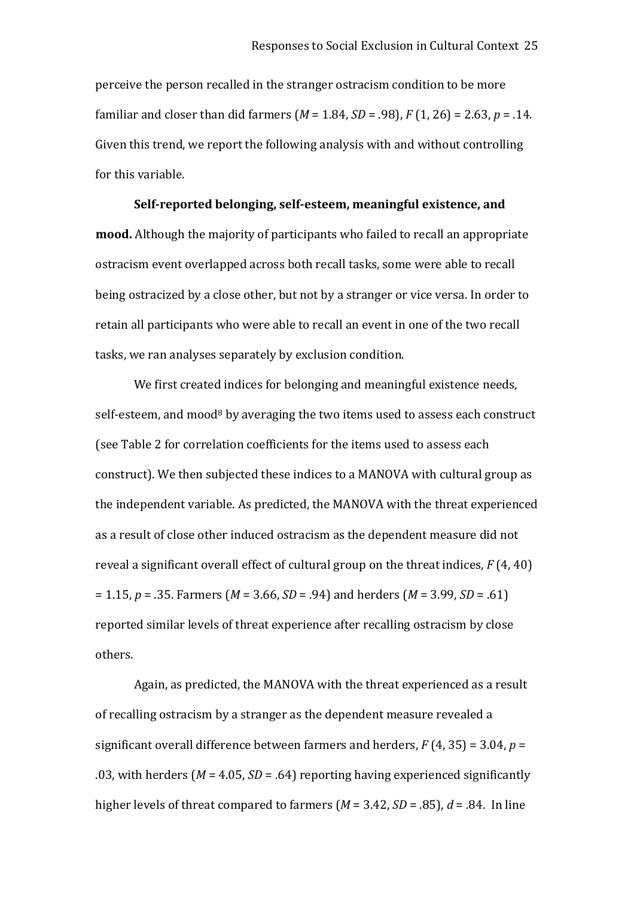perceive the person recalled in the stranger ostracism condition to be more familiar and closer than did farmers (*M* = 1.84, *SD* = .98), *F* (1, 26) = 2.63, *p* = .14. Given this trend, we report the following analysis with and without controlling for this variable.

#### **Self‐reported belonging, self‐esteem, meaningful existence, and**

**mood.** Although the majority of participants who failed to recall an appropriate ostracism event overlapped across both recall tasks, some were able to recall being ostracized by a close other, but not by a stranger or vice versa. In order to retain all participants who were able to recall an event in one of the two recall tasks, we ran analyses separately by exclusion condition.

We first created indices for belonging and meaningful existence needs, self-esteem, and mood<sup>8</sup> by averaging the two items used to assess each construct (see Table 2 for correlation coefficients for the items used to assess each construct). We then subjected these indices to a MANOVA with cultural group as the independent variable. As predicted, the MANOVA with the threat experienced as a result of close other induced ostracism as the dependent measure did not reveal a significant overall effect of cultural group on the threat indices, *F* (4, 40) = 1.15, *p* = .35. Farmers (*M* = 3.66, *SD* = .94) and herders (*M* = 3.99, *SD* = .61) reported similar levels of threat experience after recalling ostracism by close others.

Again, as predicted, the MANOVA with the threat experienced as a result of recalling ostracism by a stranger as the dependent measure revealed a significant overall difference between farmers and herders, *F* (4, 35) = 3.04, *p* = .03, with herders (*M* = 4.05, *SD* = .64) reporting having experienced significantly higher levels of threat compared to farmers (*M* = 3.42, *SD* = .85), *d* = .84. In line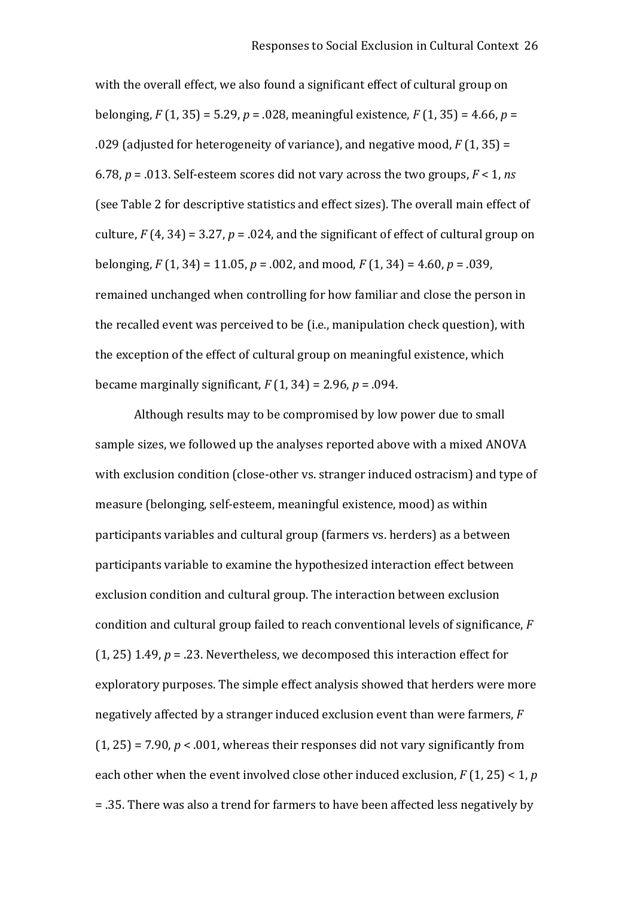with the overall effect, we also found a significant effect of cultural group on belonging, *F* (1, 35) = 5.29, *p* = .028, meaningful existence, *F* (1, 35) = 4.66, *p* = .029 (adjusted for heterogeneity of variance), and negative mood, *F* (1, 35) = 6.78, *p* = .013. Self‐esteem scores did not vary across the two groups, *F* < 1, *ns* (see Table 2 for descriptive statistics and effect sizes). The overall main effect of culture,  $F(4, 34) = 3.27$ ,  $p = 0.024$ , and the significant of effect of cultural group on belonging, *F* (1, 34) = 11.05, *p* = .002, and mood, *F* (1, 34) = 4.60, *p* = .039, remained unchanged when controlling for how familiar and close the person in the recalled event was perceived to be (i.e., manipulation check question), with the exception of the effect of cultural group on meaningful existence, which became marginally significant,  $F(1, 34) = 2.96$ ,  $p = .094$ .

Although results may to be compromised by low power due to small sample sizes, we followed up the analyses reported above with a mixed ANOVA with exclusion condition (close-other vs. stranger induced ostracism) and type of measure (belonging, self‐esteem, meaningful existence, mood) as within participants variables and cultural group (farmers vs. herders) as a between participants variable to examine the hypothesized interaction effect between exclusion condition and cultural group. The interaction between exclusion condition and cultural group failed to reach conventional levels of significance, *F* (1, 25) 1.49, *p* = .23. Nevertheless, we decomposed this interaction effect for exploratory purposes. The simple effect analysis showed that herders were more negatively affected by a stranger induced exclusion event than were farmers, *F*  $(1, 25)$  = 7.90,  $p < .001$ , whereas their responses did not vary significantly from each other when the event involved close other induced exclusion, *F* (1, 25) < 1, *p* = .35. There was also a trend for farmers to have been affected less negatively by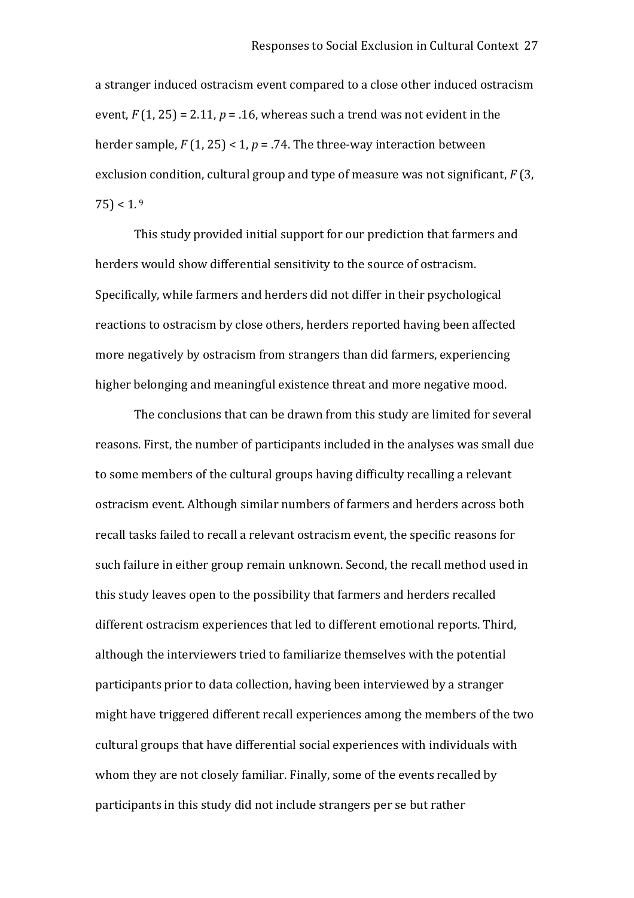a stranger induced ostracism event compared to a close other induced ostracism event,  $F(1, 25) = 2.11$ ,  $p = .16$ , whereas such a trend was not evident in the herder sample, *F* (1, 25) < 1, *p* = .74. The three‐way interaction between exclusion condition, cultural group and type of measure was not significant, *F* (3,  $(75) < 1.9$ 

This study provided initial support for our prediction that farmers and herders would show differential sensitivity to the source of ostracism. Specifically, while farmers and herders did not differ in their psychological reactions to ostracism by close others, herders reported having been affected more negatively by ostracism from strangers than did farmers, experiencing higher belonging and meaningful existence threat and more negative mood.

The conclusions that can be drawn from this study are limited for several reasons. First, the number of participants included in the analyses was small due to some members of the cultural groups having difficulty recalling a relevant ostracism event. Although similar numbers of farmers and herders across both recall tasks failed to recall a relevant ostracism event, the specific reasons for such failure in either group remain unknown. Second, the recall method used in this study leaves open to the possibility that farmers and herders recalled different ostracism experiences that led to different emotional reports. Third, although the interviewers tried to familiarize themselves with the potential participants prior to data collection, having been interviewed by a stranger might have triggered different recall experiences among the members of the two cultural groups that have differential social experiences with individuals with whom they are not closely familiar. Finally, some of the events recalled by participants in this study did not include strangers per se but rather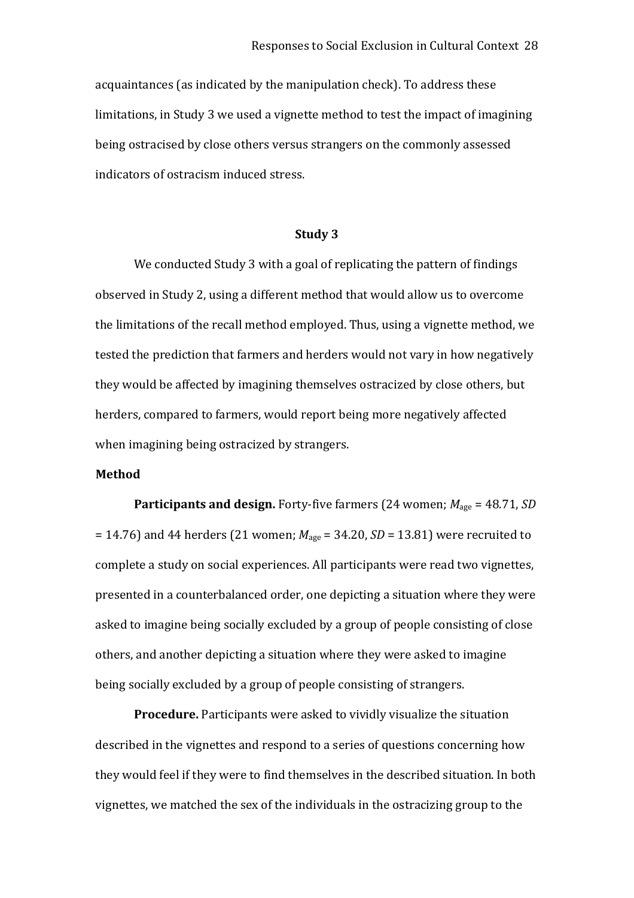acquaintances (as indicated by the manipulation check). To address these limitations, in Study 3 we used a vignette method to test the impact of imagining being ostracised by close others versus strangers on the commonly assessed indicators of ostracism induced stress.

#### **Study 3**

We conducted Study 3 with a goal of replicating the pattern of findings observed in Study 2, using a different method that would allow us to overcome the limitations of the recall method employed. Thus, using a vignette method, we tested the prediction that farmers and herders would not vary in how negatively they would be affected by imagining themselves ostracized by close others, but herders, compared to farmers, would report being more negatively affected when imagining being ostracized by strangers.

#### **Method**

**Participants and design.** Forty-five farmers (24 women;  $M_{\text{age}} = 48.71$ , *SD*  $= 14.76$ ) and 44 herders (21 women;  $M_{\text{age}} = 34.20$ , *SD* = 13.81) were recruited to complete a study on social experiences. All participants were read two vignettes, presented in a counterbalanced order, one depicting a situation where they were asked to imagine being socially excluded by a group of people consisting of close others, and another depicting a situation where they were asked to imagine being socially excluded by a group of people consisting of strangers.

**Procedure.** Participants were asked to vividly visualize the situation described in the vignettes and respond to a series of questions concerning how they would feel if they were to find themselves in the described situation. In both vignettes, we matched the sex of the individuals in the ostracizing group to the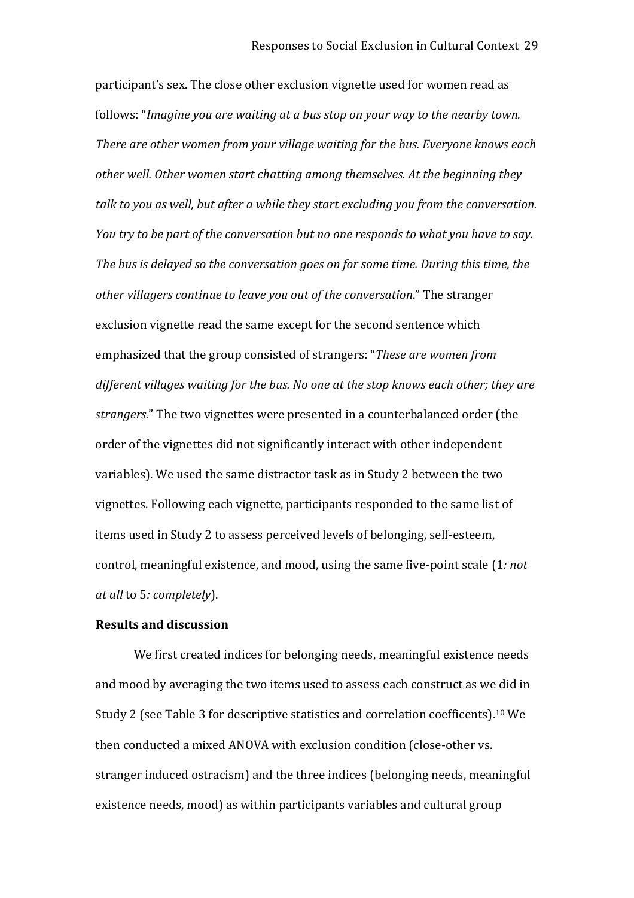participant's sex. The close other exclusion vignette used for women read as follows: "*Imagine you are waiting at a bus stop on your way to the nearby town. There are other women from your village waiting for the bus. Everyone knows each other well. Other women start chatting among themselves. At the beginning they talk to you as well, but after a while they start excluding you from the conversation. You try to be part of the conversation but no one responds to what you have to say. The bus is delayed so the conversation goes on for some time. During this time, the other villagers continue to leave you out of the conversation*." The stranger exclusion vignette read the same except for the second sentence which emphasized that the group consisted of strangers: "*These are women from different villages waiting for the bus. No one at the stop knows each other; they are strangers.*" The two vignettes were presented in a counterbalanced order (the order of the vignettes did not significantly interact with other independent variables). We used the same distractor task as in Study 2 between the two vignettes. Following each vignette, participants responded to the same list of items used in Study 2 to assess perceived levels of belonging, self‐esteem, control, meaningful existence, and mood, using the same five‐point scale (1*: not at all* to 5*: completely*).

#### **Results and discussion**

We first created indices for belonging needs, meaningful existence needs and mood by averaging the two items used to assess each construct as we did in Study 2 (see Table 3 for descriptive statistics and correlation coefficents).<sup>10</sup> We then conducted a mixed ANOVA with exclusion condition (close-other vs. stranger induced ostracism) and the three indices (belonging needs, meaningful existence needs, mood) as within participants variables and cultural group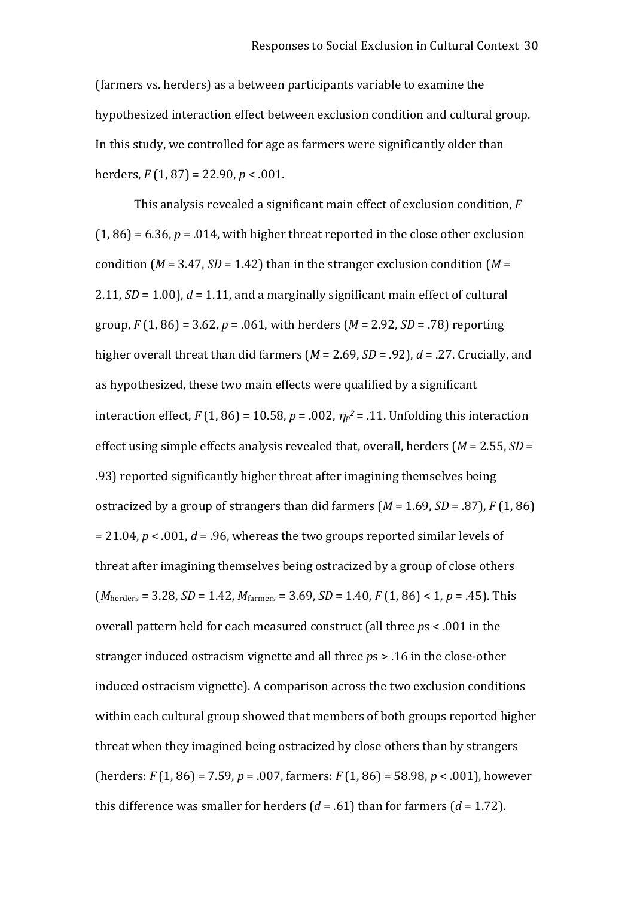(farmers vs. herders) as a between participants variable to examine the hypothesized interaction effect between exclusion condition and cultural group. In this study, we controlled for age as farmers were significantly older than herders, *F* (1, 87) = 22.90, *p* < .001.

This analysis revealed a significant main effect of exclusion condition, *F*  $(1, 86) = 6.36$ ,  $p = .014$ , with higher threat reported in the close other exclusion condition ( $M = 3.47$ ,  $SD = 1.42$ ) than in the stranger exclusion condition ( $M =$ 2.11,  $SD = 1.00$ ),  $d = 1.11$ , and a marginally significant main effect of cultural group, *F* (1, 86) = 3.62, *p* = .061, with herders (*M* = 2.92, *SD* = .78) reporting higher overall threat than did farmers (*M* = 2.69, *SD* = .92), *d* = .27. Crucially, and as hypothesized, these two main effects were qualified by a significant interaction effect,  $F(1, 86) = 10.58$ ,  $p = .002$ ,  $\eta_p^2 = .11$ . Unfolding this interaction effect using simple effects analysis revealed that, overall, herders (*M* = 2.55, *SD* = .93) reported significantly higher threat after imagining themselves being ostracized by a group of strangers than did farmers  $(M = 1.69, SD = .87)$ ,  $F(1, 86)$ = 21.04, *p* < .001, *d* = .96, whereas the two groups reported similar levels of threat after imagining themselves being ostracized by a group of close others  $(M<sub>herders</sub> = 3.28, SD = 1.42, M<sub>farmers</sub> = 3.69, SD = 1.40, F (1, 86) < 1, p = .45$ . This overall pattern held for each measured construct (all three *p*s < .001 in the stranger induced ostracism vignette and all three *p*s > .16 in the close‐other induced ostracism vignette). A comparison across the two exclusion conditions within each cultural group showed that members of both groups reported higher threat when they imagined being ostracized by close others than by strangers (herders: *F* (1, 86) = 7.59, *p* = .007, farmers: *F* (1, 86) = 58.98, *p* < .001), however this difference was smaller for herders  $(d = .61)$  than for farmers  $(d = 1.72)$ .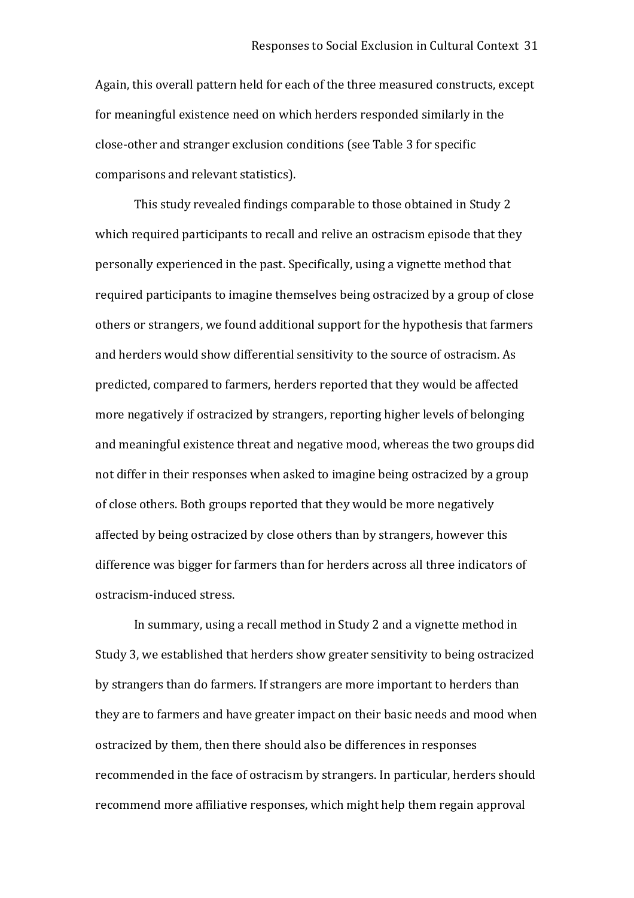Again, this overall pattern held for each of the three measured constructs, except for meaningful existence need on which herders responded similarly in the close‐other and stranger exclusion conditions (see Table 3 for specific comparisons and relevant statistics).

This study revealed findings comparable to those obtained in Study 2 which required participants to recall and relive an ostracism episode that they personally experienced in the past. Specifically, using a vignette method that required participants to imagine themselves being ostracized by a group of close others or strangers, we found additional support for the hypothesis that farmers and herders would show differential sensitivity to the source of ostracism. As predicted, compared to farmers, herders reported that they would be affected more negatively if ostracized by strangers, reporting higher levels of belonging and meaningful existence threat and negative mood, whereas the two groups did not differ in their responses when asked to imagine being ostracized by a group of close others. Both groups reported that they would be more negatively affected by being ostracized by close others than by strangers, however this difference was bigger for farmers than for herders across all three indicators of ostracism‐induced stress.

In summary, using a recall method in Study 2 and a vignette method in Study 3, we established that herders show greater sensitivity to being ostracized by strangers than do farmers. If strangers are more important to herders than they are to farmers and have greater impact on their basic needs and mood when ostracized by them, then there should also be differences in responses recommended in the face of ostracism by strangers. In particular, herders should recommend more affiliative responses, which might help them regain approval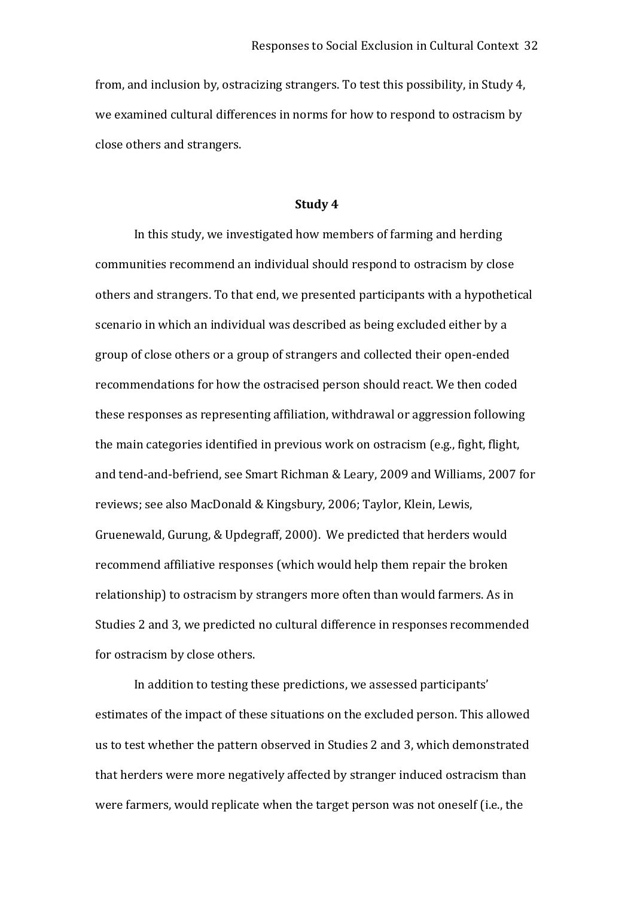from, and inclusion by, ostracizing strangers. To test this possibility, in Study 4, we examined cultural differences in norms for how to respond to ostracism by close others and strangers.

#### **Study 4**

In this study, we investigated how members of farming and herding communities recommend an individual should respond to ostracism by close others and strangers. To that end, we presented participants with a hypothetical scenario in which an individual was described as being excluded either by a group of close others or a group of strangers and collected their open‐ended recommendations for how the ostracised person should react. We then coded these responses as representing affiliation, withdrawal or aggression following the main categories identified in previous work on ostracism (e.g., fight, flight, and tend‐and‐befriend, see Smart Richman & Leary, 2009 and Williams, 2007 for reviews; see also MacDonald & Kingsbury, 2006; Taylor, Klein, Lewis, Gruenewald, Gurung, & Updegraff, 2000). We predicted that herders would recommend affiliative responses (which would help them repair the broken relationship) to ostracism by strangers more often than would farmers. As in Studies 2 and 3, we predicted no cultural difference in responses recommended for ostracism by close others.

In addition to testing these predictions, we assessed participants' estimates of the impact of these situations on the excluded person. This allowed us to test whether the pattern observed in Studies 2 and 3, which demonstrated that herders were more negatively affected by stranger induced ostracism than were farmers, would replicate when the target person was not oneself (i.e., the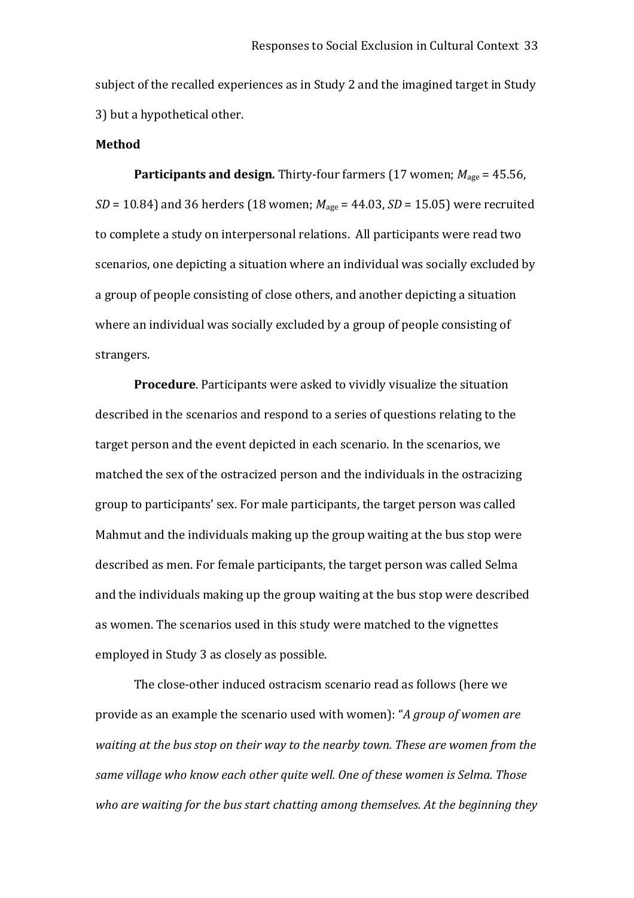subject of the recalled experiences as in Study 2 and the imagined target in Study 3) but a hypothetical other.

#### **Method**

**Participants and design***.* Thirty‐four farmers (17 women; *M*age = 45.56, *SD* = 10.84) and 36 herders (18 women;  $M_{\text{age}}$  = 44.03, *SD* = 15.05) were recruited to complete a study on interpersonal relations. All participants were read two scenarios, one depicting a situation where an individual was socially excluded by a group of people consisting of close others, and another depicting a situation where an individual was socially excluded by a group of people consisting of strangers.

**Procedure**. Participants were asked to vividly visualize the situation described in the scenarios and respond to a series of questions relating to the target person and the event depicted in each scenario. In the scenarios, we matched the sex of the ostracized person and the individuals in the ostracizing group to participants' sex. For male participants, the target person was called Mahmut and the individuals making up the group waiting at the bus stop were described as men. For female participants, the target person was called Selma and the individuals making up the group waiting at the bus stop were described as women. The scenarios used in this study were matched to the vignettes employed in Study 3 as closely as possible.

The close‐other induced ostracism scenario read as follows (here we provide as an example the scenario used with women): "*A group of women are waiting at the bus stop on their way to the nearby town. These are women from the same village who know each other quite well. One of these women is Selma. Those who are waiting for the bus start chatting among themselves. At the beginning they*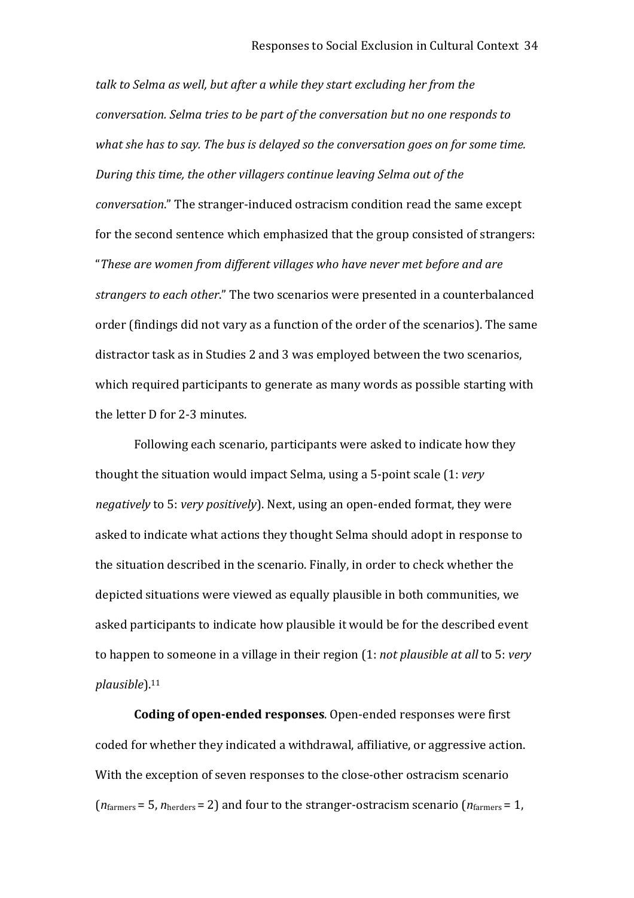*talk to Selma as well, but after a while they start excluding her from the conversation. Selma tries to be part of the conversation but no one responds to what she has to say. The bus is delayed so the conversation goes on for some time. During this time, the other villagers continue leaving Selma out of the conversation*." The stranger‐induced ostracism condition read the same except for the second sentence which emphasized that the group consisted of strangers: "*These are women from different villages who have never met before and are strangers to each other*." The two scenarios were presented in a counterbalanced order (findings did not vary as a function of the order of the scenarios). The same distractor task as in Studies 2 and 3 was employed between the two scenarios, which required participants to generate as many words as possible starting with the letter D for 2‐3 minutes.

Following each scenario, participants were asked to indicate how they thought the situation would impact Selma, using a 5‐point scale (1: *very negatively* to 5: *very positively*). Next, using an open‐ended format, they were asked to indicate what actions they thought Selma should adopt in response to the situation described in the scenario. Finally, in order to check whether the depicted situations were viewed as equally plausible in both communities, we asked participants to indicate how plausible it would be for the described event to happen to someone in a village in their region (1: *not plausible at all* to 5: *very plausible*).<sup>11</sup>

**Coding of open‐ended responses**. Open‐ended responses were first coded for whether they indicated a withdrawal, affiliative, or aggressive action. With the exception of seven responses to the close-other ostracism scenario (*n*farmers = 5, *n*herders = 2) and four to the stranger‐ostracism scenario (*n*farmers = 1,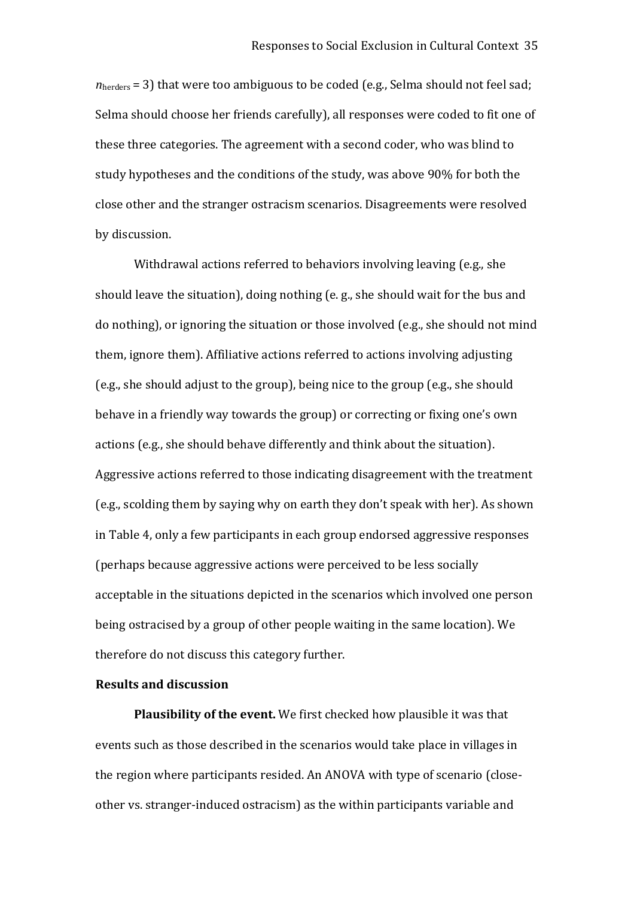*n*<sub>herders</sub> = 3) that were too ambiguous to be coded (e.g., Selma should not feel sad; Selma should choose her friends carefully), all responses were coded to fit one of these three categories. The agreement with a second coder, who was blind to study hypotheses and the conditions of the study, was above 90% for both the close other and the stranger ostracism scenarios. Disagreements were resolved by discussion.

Withdrawal actions referred to behaviors involving leaving (e.g., she should leave the situation), doing nothing (e. g., she should wait for the bus and do nothing), or ignoring the situation or those involved (e.g., she should not mind them, ignore them). Affiliative actions referred to actions involving adjusting (e.g., she should adjust to the group), being nice to the group (e.g., she should behave in a friendly way towards the group) or correcting or fixing one's own actions (e.g., she should behave differently and think about the situation). Aggressive actions referred to those indicating disagreement with the treatment (e.g., scolding them by saying why on earth they don't speak with her). As shown in Table 4, only a few participants in each group endorsed aggressive responses (perhaps because aggressive actions were perceived to be less socially acceptable in the situations depicted in the scenarios which involved one person being ostracised by a group of other people waiting in the same location). We therefore do not discuss this category further.

#### **Results and discussion**

**Plausibility of the event.** We first checked how plausible it was that events such as those described in the scenarios would take place in villages in the region where participants resided. An ANOVA with type of scenario (close‐ other vs. stranger‐induced ostracism) as the within participants variable and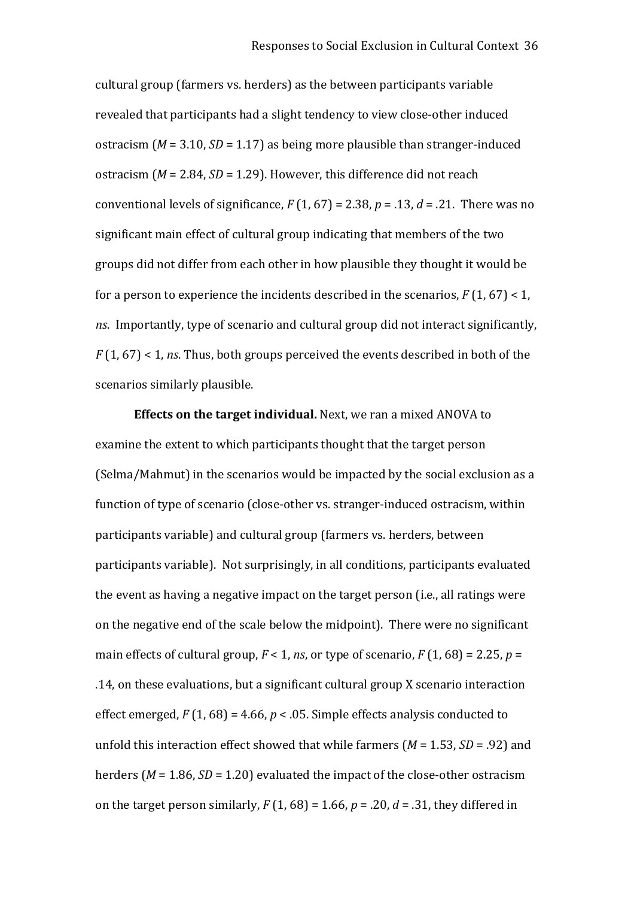cultural group (farmers vs. herders) as the between participants variable revealed that participants had a slight tendency to view close‐other induced ostracism ( $M = 3.10$ ,  $SD = 1.17$ ) as being more plausible than stranger-induced ostracism (*M* = 2.84, *SD* = 1.29). However, this difference did not reach conventional levels of significance,  $F(1, 67) = 2.38$ ,  $p = .13$ ,  $d = .21$ . There was no significant main effect of cultural group indicating that members of the two groups did not differ from each other in how plausible they thought it would be for a person to experience the incidents described in the scenarios,  $F(1, 67) < 1$ , *ns*. Importantly, type of scenario and cultural group did not interact significantly, *F* (1, 67) < 1, *ns*. Thus, both groups perceived the events described in both of the scenarios similarly plausible.

**Effects on the target individual.** Next, we ran a mixed ANOVA to examine the extent to which participants thought that the target person (Selma/Mahmut) in the scenarios would be impacted by the social exclusion as a function of type of scenario (close-other vs. stranger-induced ostracism, within participants variable) and cultural group (farmers vs. herders, between participants variable). Not surprisingly, in all conditions, participants evaluated the event as having a negative impact on the target person (i.e., all ratings were on the negative end of the scale below the midpoint). There were no significant main effects of cultural group,  $F < 1$ , *ns*, or type of scenario,  $F(1, 68) = 2.25$ ,  $p = 1$ .14, on these evaluations, but a significant cultural group X scenario interaction effect emerged,  $F(1, 68) = 4.66$ ,  $p < .05$ . Simple effects analysis conducted to unfold this interaction effect showed that while farmers (*M* = 1.53, *SD* = .92) and herders (*M* = 1.86, *SD* = 1.20) evaluated the impact of the close-other ostracism on the target person similarly,  $F(1, 68) = 1.66$ ,  $p = .20$ ,  $d = .31$ , they differed in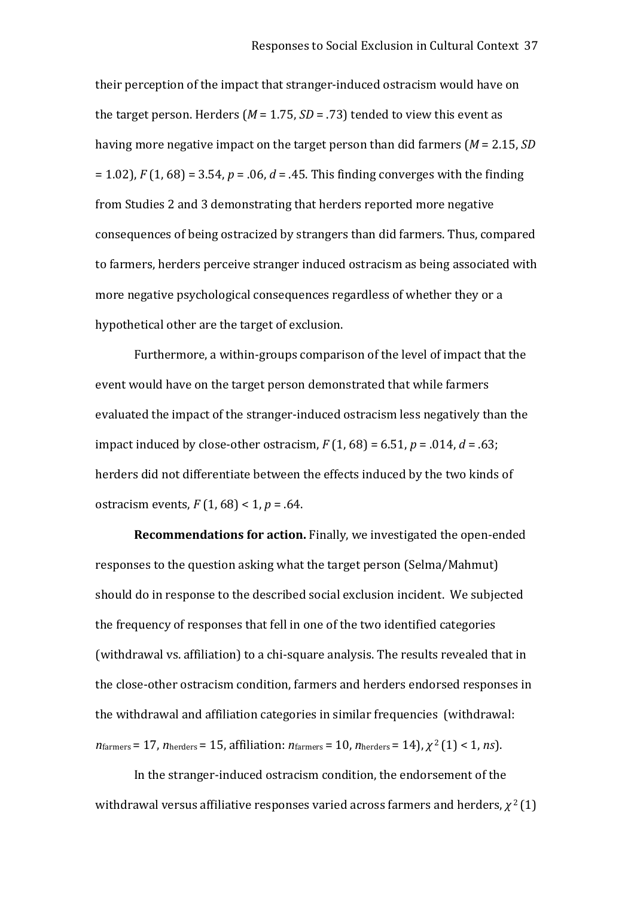their perception of the impact that stranger‐induced ostracism would have on the target person. Herders ( $M = 1.75$ ,  $SD = .73$ ) tended to view this event as having more negative impact on the target person than did farmers (*M* = 2.15, *SD* = 1.02), *F* (1, 68) = 3.54, *p* = .06, *d* = .45. This finding converges with the finding from Studies 2 and 3 demonstrating that herders reported more negative consequences of being ostracized by strangers than did farmers. Thus, compared to farmers, herders perceive stranger induced ostracism as being associated with more negative psychological consequences regardless of whether they or a hypothetical other are the target of exclusion.

Furthermore, a within‐groups comparison of the level of impact that the event would have on the target person demonstrated that while farmers evaluated the impact of the stranger‐induced ostracism less negatively than the impact induced by close‐other ostracism, *F* (1, 68) = 6.51, *p* = .014, *d* = .63; herders did not differentiate between the effects induced by the two kinds of ostracism events,  $F(1, 68) < 1, p = .64$ .

**Recommendations for action.** Finally, we investigated the open‐ended responses to the question asking what the target person (Selma/Mahmut) should do in response to the described social exclusion incident. We subjected the frequency of responses that fell in one of the two identified categories (withdrawal vs. affiliation) to a chi‐square analysis. The results revealed that in the close‐other ostracism condition, farmers and herders endorsed responses in the withdrawal and affiliation categories in similar frequencies (withdrawal: *n*farmers = 17, *n*herders = 15, affiliation: *n*farmers = 10, *n*herders = 14), *χ* <sup>2</sup>(1) < 1, *ns*).

In the stranger‐induced ostracism condition, the endorsement of the withdrawal versus affiliative responses varied across farmers and herders, *χ* 2 (1)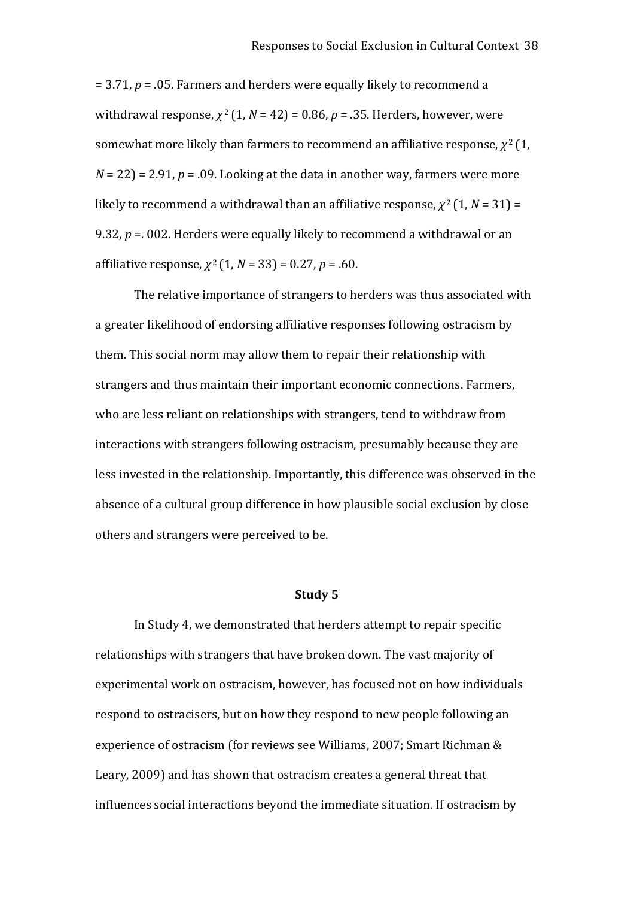= 3.71, *p* = .05. Farmers and herders were equally likely to recommend a withdrawal response,  $\chi^2(1, N = 42) = 0.86$ ,  $p = .35$ . Herders, however, were somewhat more likely than farmers to recommend an affiliative response,  $\chi^2(1)$ ,  $N = 22$ ) = 2.91,  $p = 0.09$ . Looking at the data in another way, farmers were more likely to recommend a withdrawal than an affiliative response,  $\chi^2(1, N = 31)$  = 9.32, *p* =. 002. Herders were equally likely to recommend a withdrawal or an affiliative response, *χ* <sup>2</sup>(1, *N* = 33) = 0.27, *p* = .60.

The relative importance of strangers to herders was thus associated with a greater likelihood of endorsing affiliative responses following ostracism by them. This social norm may allow them to repair their relationship with strangers and thus maintain their important economic connections. Farmers, who are less reliant on relationships with strangers, tend to withdraw from interactions with strangers following ostracism, presumably because they are less invested in the relationship. Importantly, this difference was observed in the absence of a cultural group difference in how plausible social exclusion by close others and strangers were perceived to be.

### **Study 5**

In Study 4, we demonstrated that herders attempt to repair specific relationships with strangers that have broken down. The vast majority of experimental work on ostracism, however, has focused not on how individuals respond to ostracisers, but on how they respond to new people following an experience of ostracism (for reviews see Williams, 2007; Smart Richman & Leary, 2009) and has shown that ostracism creates a general threat that influences social interactions beyond the immediate situation. If ostracism by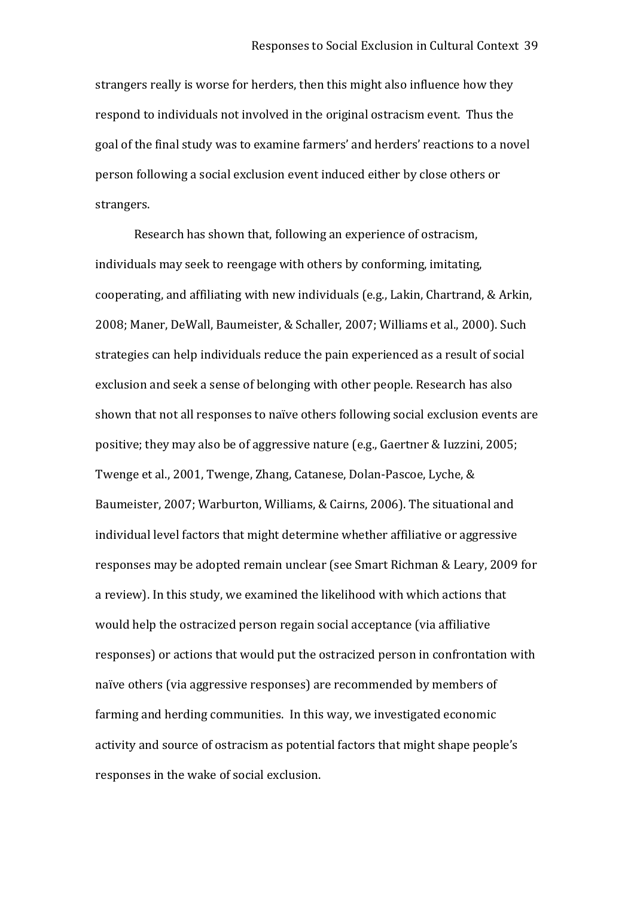strangers really is worse for herders, then this might also influence how they respond to individuals not involved in the original ostracism event. Thus the goal of the final study was to examine farmers' and herders' reactions to a novel person following a social exclusion event induced either by close others or strangers.

Research has shown that, following an experience of ostracism, individuals may seek to reengage with others by conforming, imitating, cooperating, and affiliating with new individuals (e.g., Lakin, Chartrand, & Arkin, 2008; Maner, DeWall, Baumeister, & Schaller, 2007; Williams et al., 2000). Such strategies can help individuals reduce the pain experienced as a result of social exclusion and seek a sense of belonging with other people. Research has also shown that not all responses to naïve others following social exclusion events are positive; they may also be of aggressive nature (e.g., Gaertner & Iuzzini, 2005; Twenge et al., 2001, Twenge, Zhang, Catanese, Dolan‐Pascoe, Lyche, & Baumeister, 2007; Warburton, Williams, & Cairns, 2006). The situational and individual level factors that might determine whether affiliative or aggressive responses may be adopted remain unclear (see Smart Richman & Leary, 2009 for a review). In this study, we examined the likelihood with which actions that would help the ostracized person regain social acceptance (via affiliative responses) or actions that would put the ostracized person in confrontation with naïve others (via aggressive responses) are recommended by members of farming and herding communities. In this way, we investigated economic activity and source of ostracism as potential factors that might shape people's responses in the wake of social exclusion.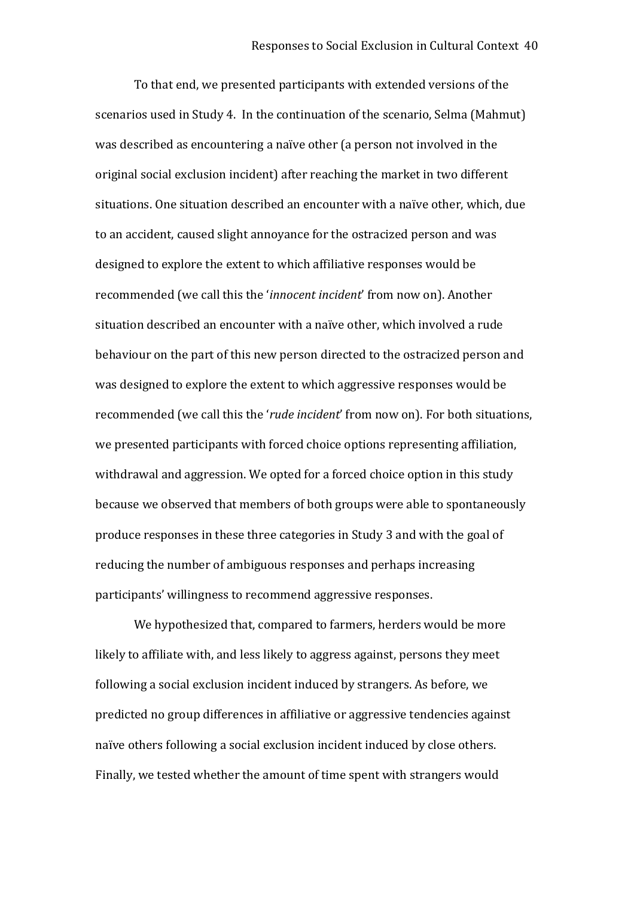To that end, we presented participants with extended versions of the scenarios used in Study 4. In the continuation of the scenario, Selma (Mahmut) was described as encountering a naïve other (a person not involved in the original social exclusion incident) after reaching the market in two different situations. One situation described an encounter with a naïve other, which, due to an accident, caused slight annoyance for the ostracized person and was designed to explore the extent to which affiliative responses would be recommended (we call this the '*innocent incident*' from now on). Another situation described an encounter with a naïve other, which involved a rude behaviour on the part of this new person directed to the ostracized person and was designed to explore the extent to which aggressive responses would be recommended (we call this the '*rude incident*' from now on). For both situations, we presented participants with forced choice options representing affiliation, withdrawal and aggression. We opted for a forced choice option in this study because we observed that members of both groups were able to spontaneously produce responses in these three categories in Study 3 and with the goal of reducing the number of ambiguous responses and perhaps increasing participants' willingness to recommend aggressive responses.

We hypothesized that, compared to farmers, herders would be more likely to affiliate with, and less likely to aggress against, persons they meet following a social exclusion incident induced by strangers. As before, we predicted no group differences in affiliative or aggressive tendencies against naïve others following a social exclusion incident induced by close others. Finally, we tested whether the amount of time spent with strangers would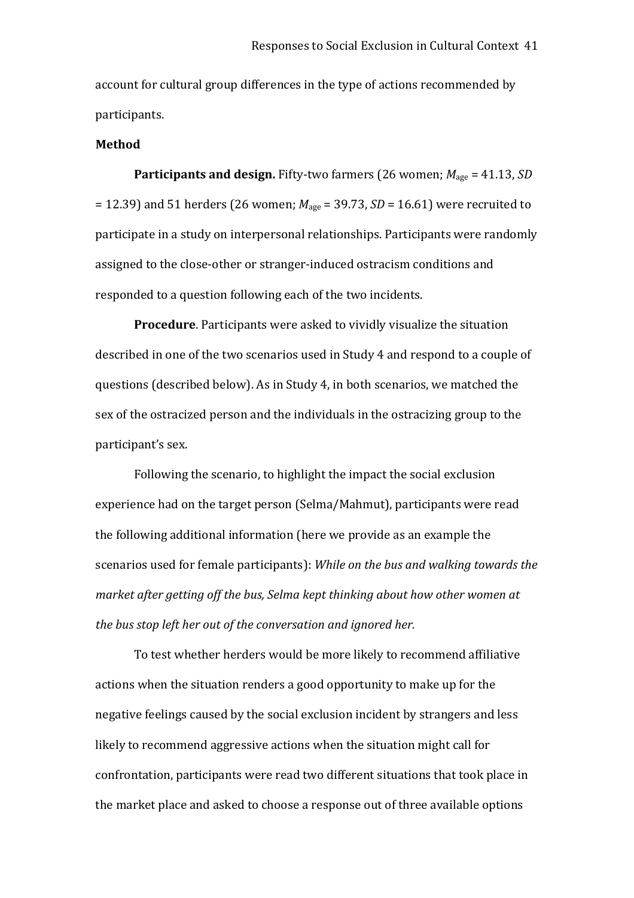account for cultural group differences in the type of actions recommended by participants.

### **Method**

**Participants and design.** Fifty-two farmers (26 women;  $M_{\text{age}} = 41.13$ , *SD* = 12.39) and 51 herders (26 women; *M*age = 39.73, *SD* = 16.61) were recruited to participate in a study on interpersonal relationships. Participants were randomly assigned to the close‐other or stranger‐induced ostracism conditions and responded to a question following each of the two incidents.

**Procedure**. Participants were asked to vividly visualize the situation described in one of the two scenarios used in Study 4 and respond to a couple of questions (described below). As in Study 4, in both scenarios, we matched the sex of the ostracized person and the individuals in the ostracizing group to the participant's sex.

Following the scenario, to highlight the impact the social exclusion experience had on the target person (Selma/Mahmut), participants were read the following additional information (here we provide as an example the scenarios used for female participants): *While on the bus and walking towards the market after getting off the bus, Selma kept thinking about how other women at the bus stop left her out of the conversation and ignored her.* 

To test whether herders would be more likely to recommend affiliative actions when the situation renders a good opportunity to make up for the negative feelings caused by the social exclusion incident by strangers and less likely to recommend aggressive actions when the situation might call for confrontation, participants were read two different situations that took place in the market place and asked to choose a response out of three available options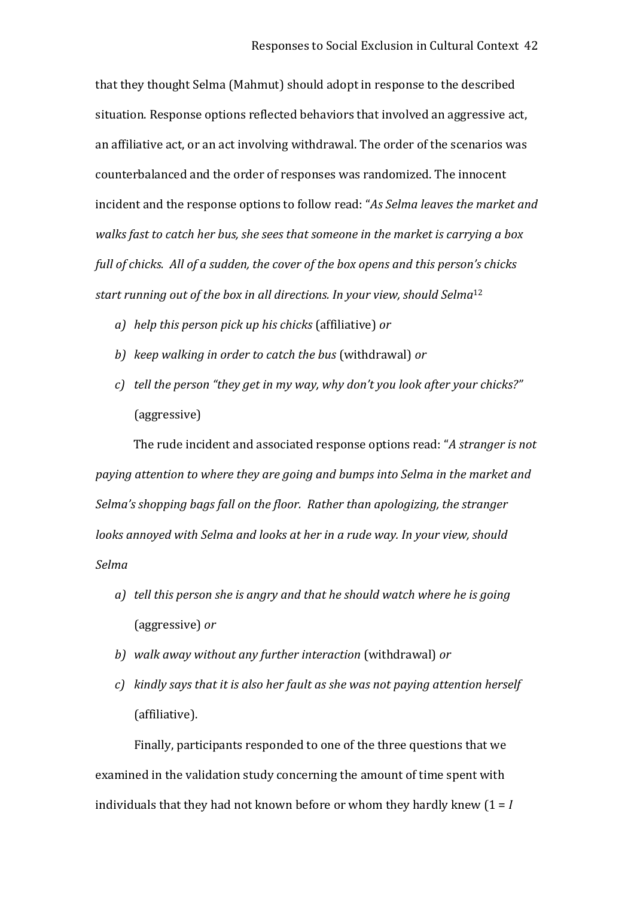that they thought Selma (Mahmut) should adopt in response to the described situation. Response options reflected behaviors that involved an aggressive act, an affiliative act, or an act involving withdrawal. The order of the scenarios was counterbalanced and the order of responses was randomized. The innocent incident and the response options to follow read: "*As Selma leaves the market and walks fast to catch her bus, she sees that someone in the market is carrying a box full of chicks. All of a sudden, the cover of the box opens and this person's chicks start running out of the box in all directions. In your view, should Selma*<sup>12</sup>

- *a) help this person pick up his chicks* (affiliative) *or*
- *b) keep walking in order to catch the bus* (withdrawal) *or*
- *c) tell the person "they get in my way, why don't you look after your chicks?"* (aggressive)

The rude incident and associated response options read: "*A stranger is not paying attention to where they are going and bumps into Selma in the market and Selma's shopping bags fall on the floor. Rather than apologizing, the stranger looks annoyed with Selma and looks at her in a rude way. In your view, should Selma* 

- *a) tell this person she is angry and that he should watch where he is going*  (aggressive) *or*
- *b) walk away without any further interaction* (withdrawal) *or*
- *c) kindly says that it is also her fault as she was not paying attention herself*  (affiliative).

Finally, participants responded to one of the three questions that we examined in the validation study concerning the amount of time spent with individuals that they had not known before or whom they hardly knew (1 = *I*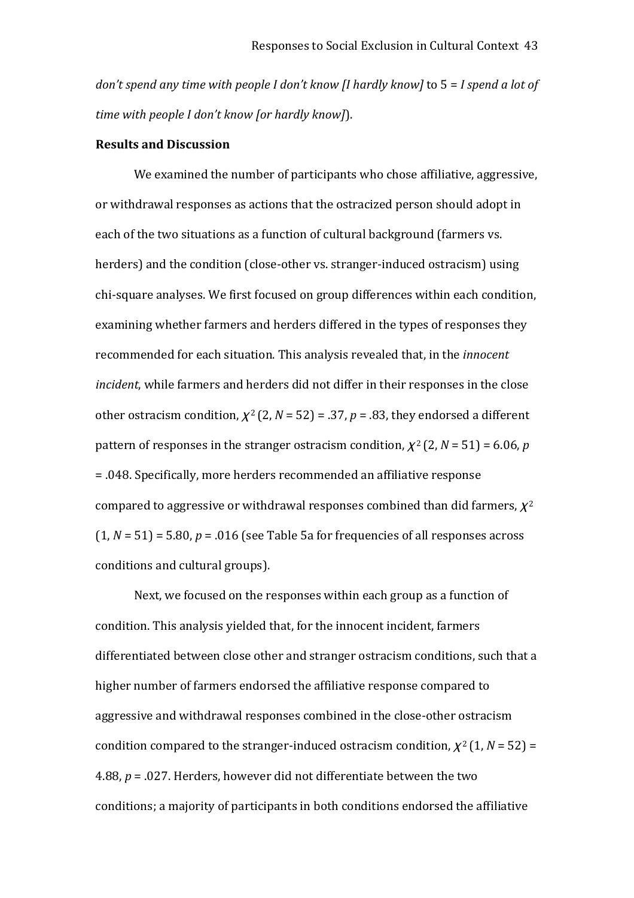*don't spend any time with people I don't know [I hardly know]* to 5 = *I spend a lot of time with people I don't know [or hardly know]*).

### **Results and Discussion**

We examined the number of participants who chose affiliative, aggressive, or withdrawal responses as actions that the ostracized person should adopt in each of the two situations as a function of cultural background (farmers vs. herders) and the condition (close-other vs. stranger-induced ostracism) using chi‐square analyses. We first focused on group differences within each condition, examining whether farmers and herders differed in the types of responses they recommended for each situation. This analysis revealed that, in the *innocent incident*, while farmers and herders did not differ in their responses in the close other ostracism condition,  $\chi^2$  (2, *N* = 52) = .37, *p* = .83, they endorsed a different pattern of responses in the stranger ostracism condition,  $\chi^2$  (2,  $N = 51$ ) = 6.06, *p* = .048. Specifically, more herders recommended an affiliative response compared to aggressive or withdrawal responses combined than did farmers,  $\chi^2$  $(1, N = 51) = 5.80, p = .016$  (see Table 5a for frequencies of all responses across conditions and cultural groups).

Next, we focused on the responses within each group as a function of condition. This analysis yielded that, for the innocent incident, farmers differentiated between close other and stranger ostracism conditions, such that a higher number of farmers endorsed the affiliative response compared to aggressive and withdrawal responses combined in the close‐other ostracism condition compared to the stranger-induced ostracism condition,  $\chi^2(1, N = 52)$  = 4.88, *p* = .027. Herders, however did not differentiate between the two conditions; a majority of participants in both conditions endorsed the affiliative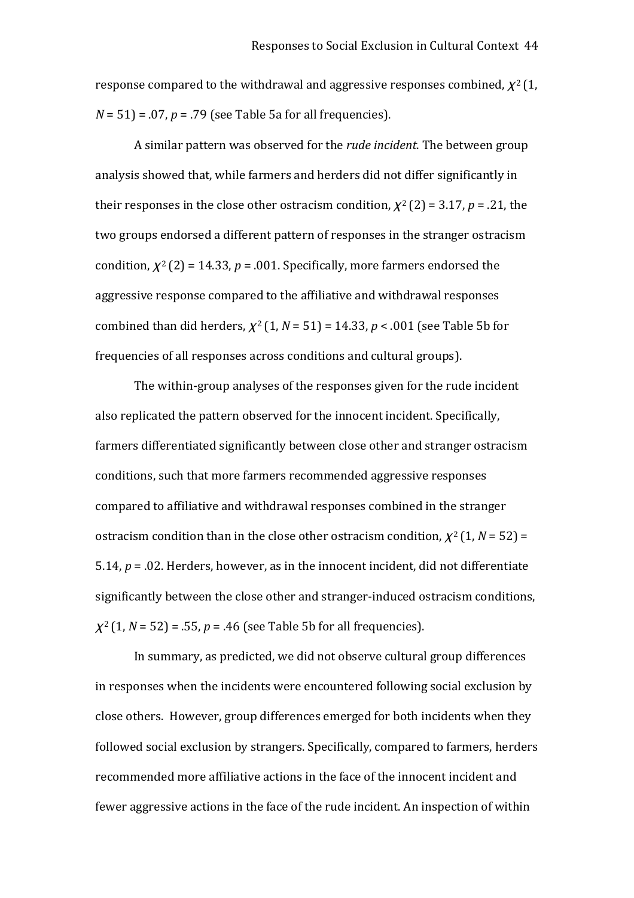response compared to the withdrawal and aggressive responses combined,  $\chi^2(1, \mathcal{C})$ *N* = 51) = .07, *p* = .79 (see Table 5a for all frequencies).

A similar pattern was observed for the *rude incident*. The between group analysis showed that, while farmers and herders did not differ significantly in their responses in the close other ostracism condition,  $\chi^2(2) = 3.17$ ,  $p = .21$ , the two groups endorsed a different pattern of responses in the stranger ostracism condition,  $\chi^2(2) = 14.33$ ,  $p = .001$ . Specifically, more farmers endorsed the aggressive response compared to the affiliative and withdrawal responses combined than did herders,  $\chi^2$  (1, *N* = 51) = 14.33, *p* < .001 (see Table 5b for frequencies of all responses across conditions and cultural groups).

The within‐group analyses of the responses given for the rude incident also replicated the pattern observed for the innocent incident. Specifically, farmers differentiated significantly between close other and stranger ostracism conditions, such that more farmers recommended aggressive responses compared to affiliative and withdrawal responses combined in the stranger ostracism condition than in the close other ostracism condition,  $\chi^2(1, N = 52)$  = 5.14, *p* = .02. Herders, however, as in the innocent incident, did not differentiate significantly between the close other and stranger-induced ostracism conditions,  $\chi^2$  (1, *N* = 52) = .55, *p* = .46 (see Table 5b for all frequencies).

In summary, as predicted, we did not observe cultural group differences in responses when the incidents were encountered following social exclusion by close others. However, group differences emerged for both incidents when they followed social exclusion by strangers. Specifically, compared to farmers, herders recommended more affiliative actions in the face of the innocent incident and fewer aggressive actions in the face of the rude incident. An inspection of within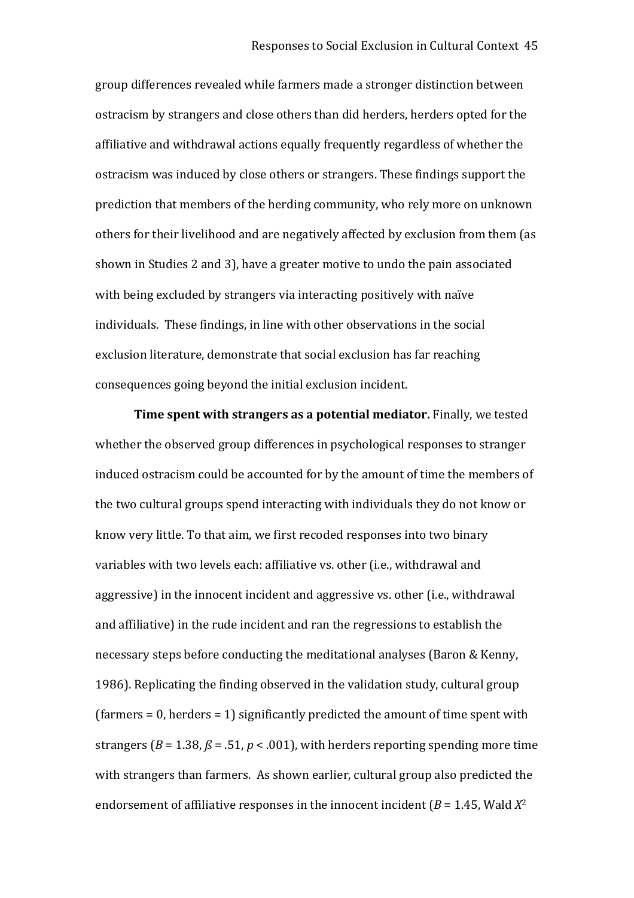group differences revealed while farmers made a stronger distinction between ostracism by strangers and close others than did herders, herders opted for the affiliative and withdrawal actions equally frequently regardless of whether the ostracism was induced by close others or strangers. These findings support the prediction that members of the herding community, who rely more on unknown others for their livelihood and are negatively affected by exclusion from them (as shown in Studies 2 and 3), have a greater motive to undo the pain associated with being excluded by strangers via interacting positively with naïve individuals. These findings, in line with other observations in the social exclusion literature, demonstrate that social exclusion has far reaching consequences going beyond the initial exclusion incident.

**Time spent with strangers as a potential mediator.** Finally, we tested whether the observed group differences in psychological responses to stranger induced ostracism could be accounted for by the amount of time the members of the two cultural groups spend interacting with individuals they do not know or know very little. To that aim, we first recoded responses into two binary variables with two levels each: affiliative vs. other (i.e., withdrawal and aggressive) in the innocent incident and aggressive vs. other (i.e., withdrawal and affiliative) in the rude incident and ran the regressions to establish the necessary steps before conducting the meditational analyses (Baron & Kenny, 1986). Replicating the finding observed in the validation study, cultural group (farmers = 0, herders = 1) significantly predicted the amount of time spent with strangers ( $B = 1.38$ ,  $\beta = .51$ ,  $p < .001$ ), with herders reporting spending more time with strangers than farmers. As shown earlier, cultural group also predicted the endorsement of affiliative responses in the innocent incident  $(B = 1.45$ , Wald  $X^2$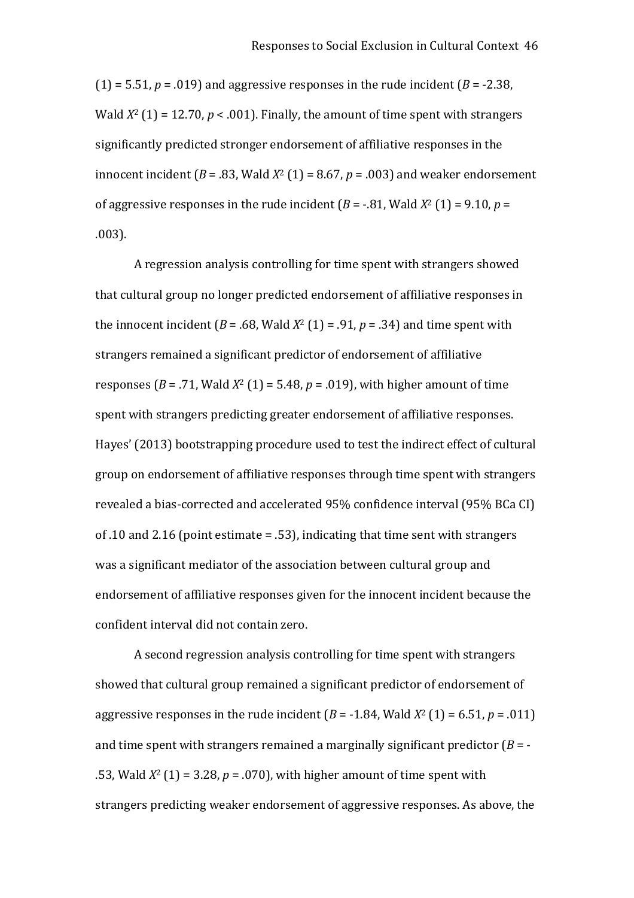$(1) = 5.51, p = .019$  and aggressive responses in the rude incident  $(B = -2.38, p = 0.019)$ Wald  $X^2$  (1) = 12.70,  $p < .001$ ). Finally, the amount of time spent with strangers significantly predicted stronger endorsement of affiliative responses in the innocent incident ( $B = .83$ , Wald  $X^2$  (1) = 8.67,  $p = .003$ ) and weaker endorsement of aggressive responses in the rude incident  $(B = -0.81,$  Wald  $X^2(1) = 9.10, p =$ .003).

A regression analysis controlling for time spent with strangers showed that cultural group no longer predicted endorsement of affiliative responses in the innocent incident ( $B = .68$ , Wald  $X^2$  (1) = .91,  $p = .34$ ) and time spent with strangers remained a significant predictor of endorsement of affiliative responses ( $B = .71$ , Wald  $X^2$  (1) = 5.48,  $p = .019$ ), with higher amount of time spent with strangers predicting greater endorsement of affiliative responses. Hayes' (2013) bootstrapping procedure used to test the indirect effect of cultural group on endorsement of affiliative responses through time spent with strangers revealed a bias‐corrected and accelerated 95% confidence interval (95% BCa CI) of .10 and 2.16 (point estimate = .53), indicating that time sent with strangers was a significant mediator of the association between cultural group and endorsement of affiliative responses given for the innocent incident because the confident interval did not contain zero.

A second regression analysis controlling for time spent with strangers showed that cultural group remained a significant predictor of endorsement of aggressive responses in the rude incident ( $B = -1.84$ , Wald  $X^2$  (1) = 6.51,  $p = .011$ ) and time spent with strangers remained a marginally significant predictor  $(B = -1)$ .53, Wald *X*<sup>2</sup> (1) = 3.28, *p* = .070), with higher amount of time spent with strangers predicting weaker endorsement of aggressive responses. As above, the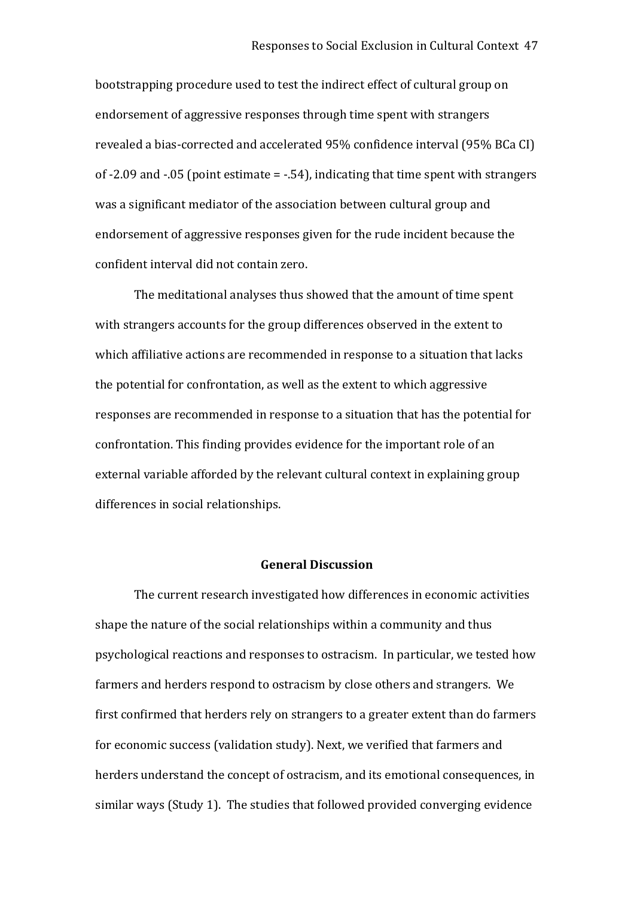bootstrapping procedure used to test the indirect effect of cultural group on endorsement of aggressive responses through time spent with strangers revealed a bias‐corrected and accelerated 95% confidence interval (95% BCa CI) of ‐2.09 and ‐.05 (point estimate = ‐.54), indicating that time spent with strangers was a significant mediator of the association between cultural group and endorsement of aggressive responses given for the rude incident because the confident interval did not contain zero.

The meditational analyses thus showed that the amount of time spent with strangers accounts for the group differences observed in the extent to which affiliative actions are recommended in response to a situation that lacks the potential for confrontation, as well as the extent to which aggressive responses are recommended in response to a situation that has the potential for confrontation. This finding provides evidence for the important role of an external variable afforded by the relevant cultural context in explaining group differences in social relationships.

## **General Discussion**

The current research investigated how differences in economic activities shape the nature of the social relationships within a community and thus psychological reactions and responses to ostracism. In particular, we tested how farmers and herders respond to ostracism by close others and strangers. We first confirmed that herders rely on strangers to a greater extent than do farmers for economic success (validation study). Next, we verified that farmers and herders understand the concept of ostracism, and its emotional consequences, in similar ways (Study 1). The studies that followed provided converging evidence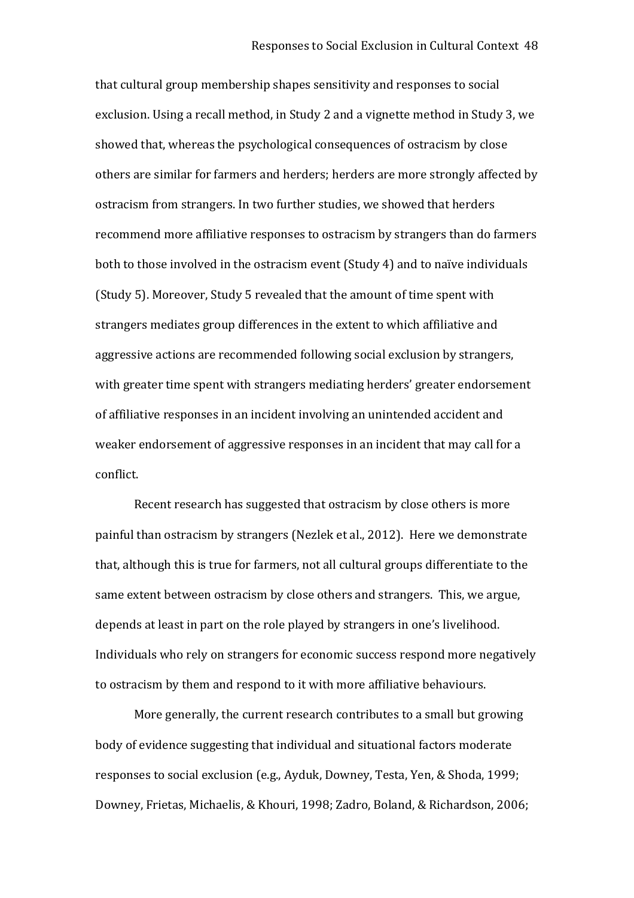that cultural group membership shapes sensitivity and responses to social exclusion. Using a recall method, in Study 2 and a vignette method in Study 3, we showed that, whereas the psychological consequences of ostracism by close others are similar for farmers and herders; herders are more strongly affected by ostracism from strangers. In two further studies, we showed that herders recommend more affiliative responses to ostracism by strangers than do farmers both to those involved in the ostracism event (Study 4) and to naïve individuals (Study 5). Moreover, Study 5 revealed that the amount of time spent with strangers mediates group differences in the extent to which affiliative and aggressive actions are recommended following social exclusion by strangers, with greater time spent with strangers mediating herders' greater endorsement of affiliative responses in an incident involving an unintended accident and weaker endorsement of aggressive responses in an incident that may call for a conflict.

Recent research has suggested that ostracism by close others is more painful than ostracism by strangers (Nezlek et al., 2012). Here we demonstrate that, although this is true for farmers, not all cultural groups differentiate to the same extent between ostracism by close others and strangers. This, we argue, depends at least in part on the role played by strangers in one's livelihood. Individuals who rely on strangers for economic success respond more negatively to ostracism by them and respond to it with more affiliative behaviours.

More generally, the current research contributes to a small but growing body of evidence suggesting that individual and situational factors moderate responses to social exclusion (e.g., Ayduk, Downey, Testa, Yen, & Shoda, 1999; Downey, Frietas, Michaelis, & Khouri, 1998; Zadro, Boland, & Richardson, 2006;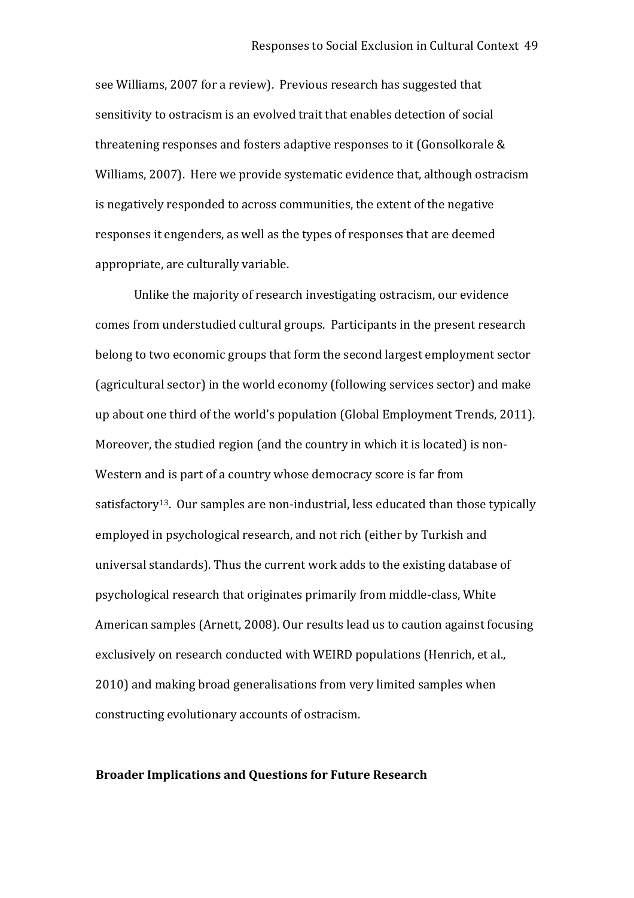see Williams, 2007 for a review). Previous research has suggested that sensitivity to ostracism is an evolved trait that enables detection of social threatening responses and fosters adaptive responses to it (Gonsolkorale & Williams, 2007). Here we provide systematic evidence that, although ostracism is negatively responded to across communities, the extent of the negative responses it engenders, as well as the types of responses that are deemed appropriate, are culturally variable.

Unlike the majority of research investigating ostracism, our evidence comes from understudied cultural groups. Participants in the present research belong to two economic groups that form the second largest employment sector (agricultural sector) in the world economy (following services sector) and make up about one third of the world's population (Global Employment Trends, 2011). Moreover, the studied region (and the country in which it is located) is non-Western and is part of a country whose democracy score is far from satisfactory<sup>13</sup>. Our samples are non-industrial, less educated than those typically employed in psychological research, and not rich (either by Turkish and universal standards). Thus the current work adds to the existing database of psychological research that originates primarily from middle‐class, White American samples (Arnett, 2008). Our results lead us to caution against focusing exclusively on research conducted with WEIRD populations (Henrich, et al., 2010) and making broad generalisations from very limited samples when constructing evolutionary accounts of ostracism.

#### **Broader Implications and Questions for Future Research**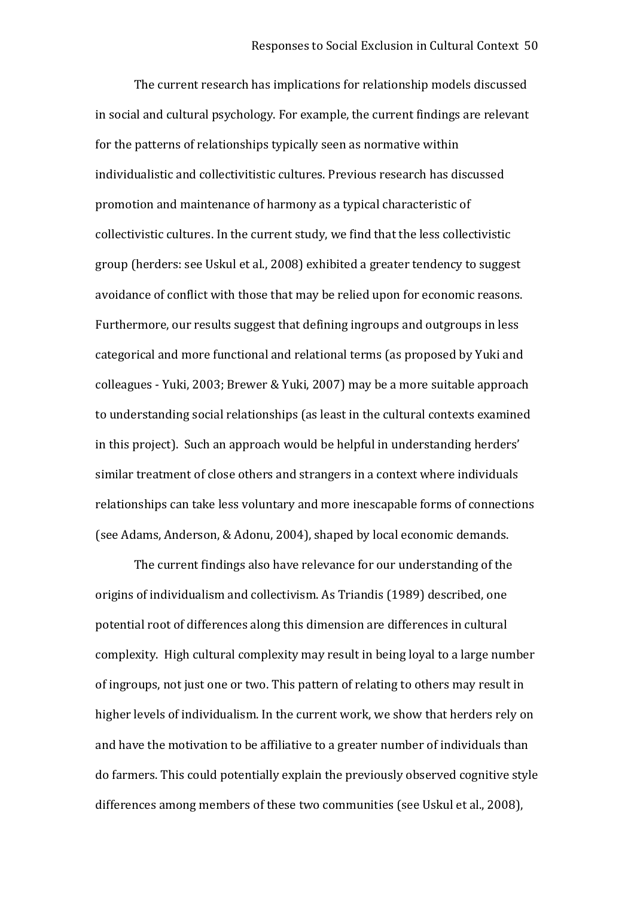The current research has implications for relationship models discussed in social and cultural psychology. For example, the current findings are relevant for the patterns of relationships typically seen as normative within individualistic and collectivitistic cultures. Previous research has discussed promotion and maintenance of harmony as a typical characteristic of collectivistic cultures. In the current study, we find that the less collectivistic group (herders: see Uskul et al., 2008) exhibited a greater tendency to suggest avoidance of conflict with those that may be relied upon for economic reasons. Furthermore, our results suggest that defining ingroups and outgroups in less categorical and more functional and relational terms (as proposed by Yuki and colleagues ‐ Yuki, 2003; Brewer & Yuki, 2007) may be a more suitable approach to understanding social relationships (as least in the cultural contexts examined in this project). Such an approach would be helpful in understanding herders' similar treatment of close others and strangers in a context where individuals relationships can take less voluntary and more inescapable forms of connections (see Adams, Anderson, & Adonu, 2004), shaped by local economic demands.

The current findings also have relevance for our understanding of the origins of individualism and collectivism. As Triandis (1989) described, one potential root of differences along this dimension are differences in cultural complexity. High cultural complexity may result in being loyal to a large number of ingroups, not just one or two. This pattern of relating to others may result in higher levels of individualism. In the current work, we show that herders rely on and have the motivation to be affiliative to a greater number of individuals than do farmers. This could potentially explain the previously observed cognitive style differences among members of these two communities (see Uskul et al., 2008),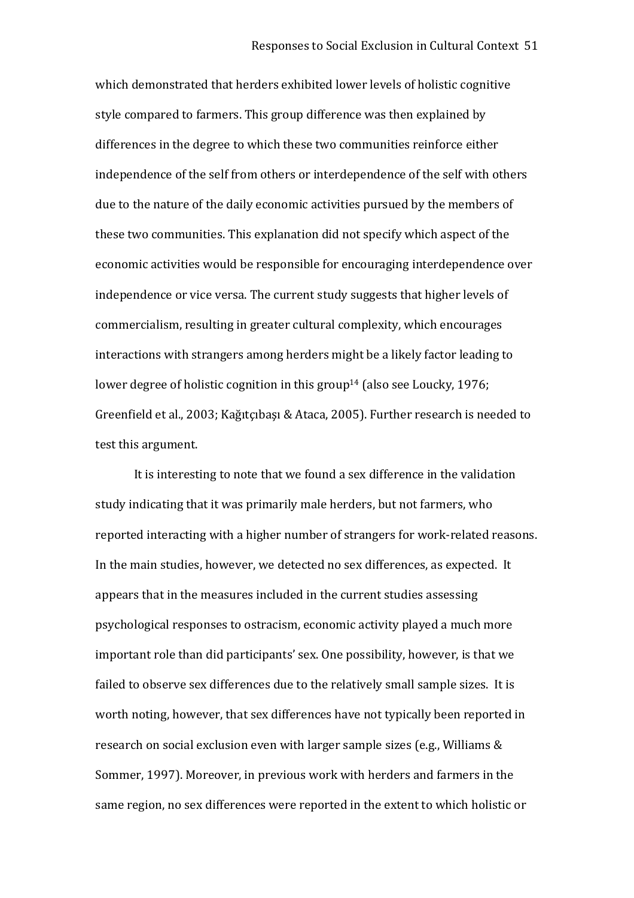which demonstrated that herders exhibited lower levels of holistic cognitive style compared to farmers. This group difference was then explained by differences in the degree to which these two communities reinforce either independence of the self from others or interdependence of the self with others due to the nature of the daily economic activities pursued by the members of these two communities. This explanation did not specify which aspect of the economic activities would be responsible for encouraging interdependence over independence or vice versa. The current study suggests that higher levels of commercialism, resulting in greater cultural complexity, which encourages interactions with strangers among herders might be a likely factor leading to lower degree of holistic cognition in this group<sup>14</sup> (also see Loucky, 1976; Greenfield et al., 2003; Kağıtçıbaşı & Ataca, 2005). Further research is needed to test this argument.

It is interesting to note that we found a sex difference in the validation study indicating that it was primarily male herders, but not farmers, who reported interacting with a higher number of strangers for work‐related reasons. In the main studies, however, we detected no sex differences, as expected. It appears that in the measures included in the current studies assessing psychological responses to ostracism, economic activity played a much more important role than did participants' sex. One possibility, however, is that we failed to observe sex differences due to the relatively small sample sizes. It is worth noting, however, that sex differences have not typically been reported in research on social exclusion even with larger sample sizes (e.g., Williams & Sommer, 1997). Moreover, in previous work with herders and farmers in the same region, no sex differences were reported in the extent to which holistic or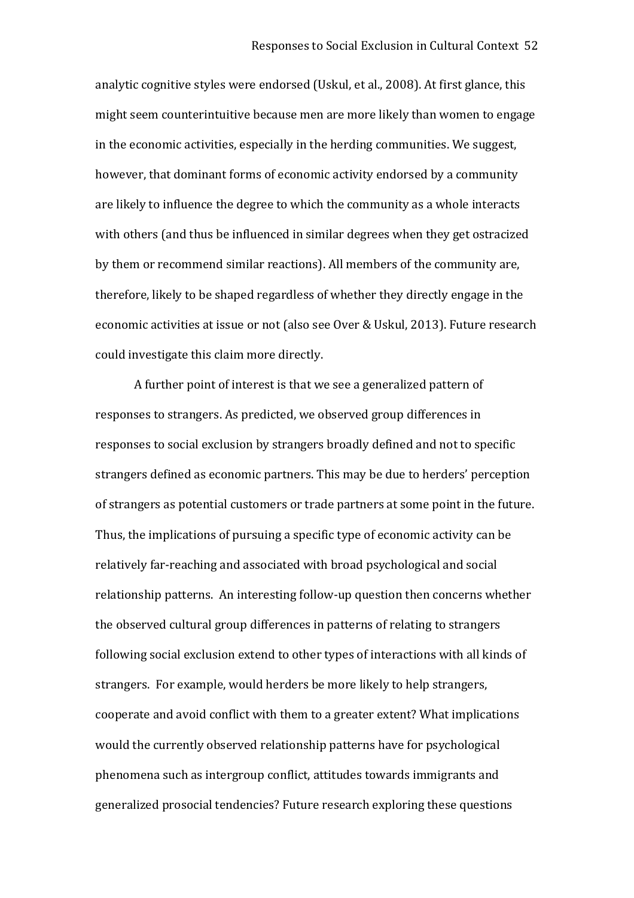analytic cognitive styles were endorsed (Uskul, et al., 2008). At first glance, this might seem counterintuitive because men are more likely than women to engage in the economic activities, especially in the herding communities. We suggest, however, that dominant forms of economic activity endorsed by a community are likely to influence the degree to which the community as a whole interacts with others (and thus be influenced in similar degrees when they get ostracized by them or recommend similar reactions). All members of the community are, therefore, likely to be shaped regardless of whether they directly engage in the economic activities at issue or not (also see Over & Uskul, 2013). Future research could investigate this claim more directly.

A further point of interest is that we see a generalized pattern of responses to strangers. As predicted, we observed group differences in responses to social exclusion by strangers broadly defined and not to specific strangers defined as economic partners. This may be due to herders' perception of strangers as potential customers or trade partners at some point in the future. Thus, the implications of pursuing a specific type of economic activity can be relatively far‐reaching and associated with broad psychological and social relationship patterns. An interesting follow‐up question then concerns whether the observed cultural group differences in patterns of relating to strangers following social exclusion extend to other types of interactions with all kinds of strangers. For example, would herders be more likely to help strangers, cooperate and avoid conflict with them to a greater extent? What implications would the currently observed relationship patterns have for psychological phenomena such as intergroup conflict, attitudes towards immigrants and generalized prosocial tendencies? Future research exploring these questions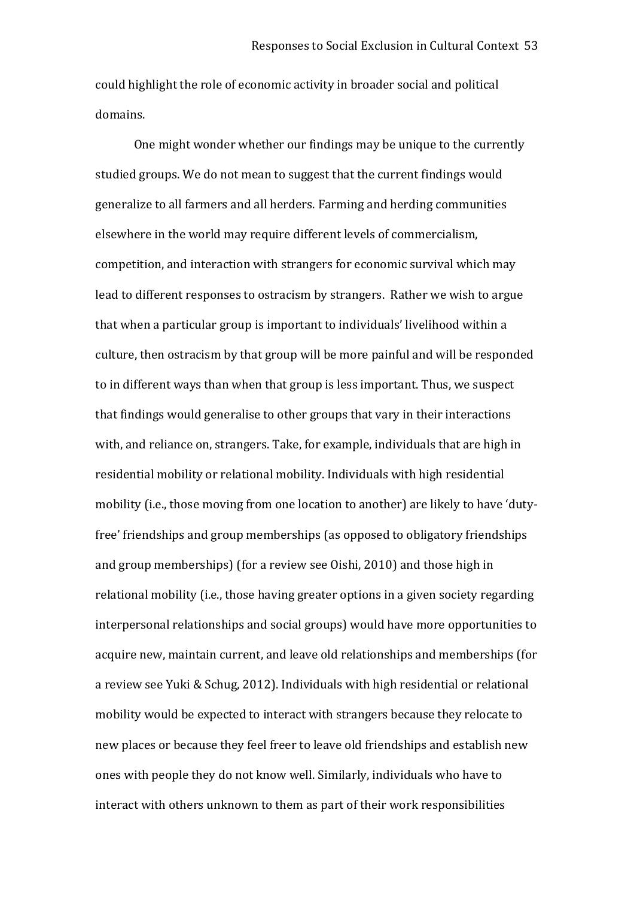could highlight the role of economic activity in broader social and political domains.

One might wonder whether our findings may be unique to the currently studied groups. We do not mean to suggest that the current findings would generalize to all farmers and all herders. Farming and herding communities elsewhere in the world may require different levels of commercialism, competition, and interaction with strangers for economic survival which may lead to different responses to ostracism by strangers. Rather we wish to argue that when a particular group is important to individuals' livelihood within a culture, then ostracism by that group will be more painful and will be responded to in different ways than when that group is less important. Thus, we suspect that findings would generalise to other groups that vary in their interactions with, and reliance on, strangers. Take, for example, individuals that are high in residential mobility or relational mobility. Individuals with high residential mobility (i.e., those moving from one location to another) are likely to have 'duty‐ free' friendships and group memberships (as opposed to obligatory friendships and group memberships) (for a review see Oishi, 2010) and those high in relational mobility (i.e., those having greater options in a given society regarding interpersonal relationships and social groups) would have more opportunities to acquire new, maintain current, and leave old relationships and memberships (for a review see Yuki & Schug, 2012). Individuals with high residential or relational mobility would be expected to interact with strangers because they relocate to new places or because they feel freer to leave old friendships and establish new ones with people they do not know well. Similarly, individuals who have to interact with others unknown to them as part of their work responsibilities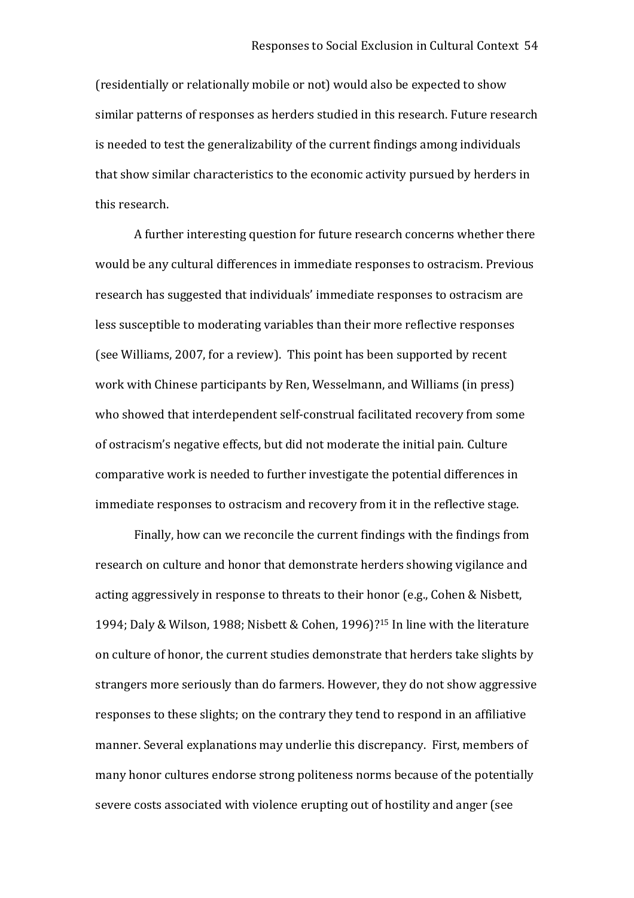(residentially or relationally mobile or not) would also be expected to show similar patterns of responses as herders studied in this research. Future research is needed to test the generalizability of the current findings among individuals that show similar characteristics to the economic activity pursued by herders in this research.

A further interesting question for future research concerns whether there would be any cultural differences in immediate responses to ostracism. Previous research has suggested that individuals' immediate responses to ostracism are less susceptible to moderating variables than their more reflective responses (see Williams, 2007, for a review). This point has been supported by recent work with Chinese participants by Ren, Wesselmann, and Williams (in press) who showed that interdependent self-construal facilitated recovery from some of ostracism's negative effects, but did not moderate the initial pain. Culture comparative work is needed to further investigate the potential differences in immediate responses to ostracism and recovery from it in the reflective stage.

Finally, how can we reconcile the current findings with the findings from research on culture and honor that demonstrate herders showing vigilance and acting aggressively in response to threats to their honor (e.g., Cohen & Nisbett, 1994; Daly & Wilson, 1988; Nisbett & Cohen, 1996)? <sup>15</sup> In line with the literature on culture of honor, the current studies demonstrate that herders take slights by strangers more seriously than do farmers. However, they do not show aggressive responses to these slights; on the contrary they tend to respond in an affiliative manner. Several explanations may underlie this discrepancy. First, members of many honor cultures endorse strong politeness norms because of the potentially severe costs associated with violence erupting out of hostility and anger (see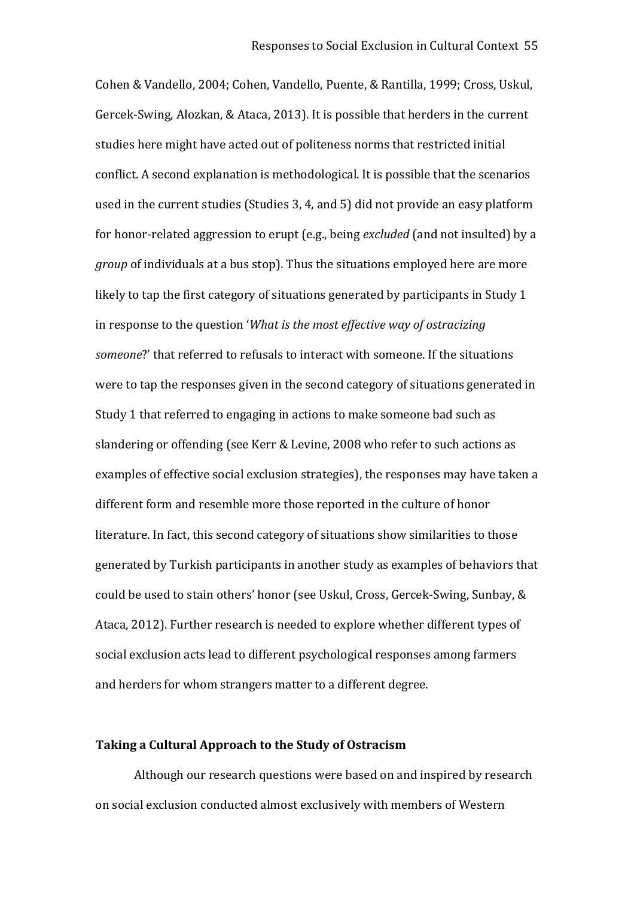Cohen & Vandello, 2004; Cohen, Vandello, Puente, & Rantilla, 1999; Cross, Uskul, Gercek‐Swing, Alozkan, & Ataca, 2013). It is possible that herders in the current studies here might have acted out of politeness norms that restricted initial conflict. A second explanation is methodological. It is possible that the scenarios used in the current studies (Studies 3, 4, and 5) did not provide an easy platform for honor‐related aggression to erupt (e.g., being *excluded* (and not insulted) by a *group* of individuals at a bus stop). Thus the situations employed here are more likely to tap the first category of situations generated by participants in Study 1 in response to the question '*What is the most effective way of ostracizing someone*?' that referred to refusals to interact with someone. If the situations were to tap the responses given in the second category of situations generated in Study 1 that referred to engaging in actions to make someone bad such as slandering or offending (see Kerr & Levine, 2008 who refer to such actions as examples of effective social exclusion strategies), the responses may have taken a different form and resemble more those reported in the culture of honor literature. In fact, this second category of situations show similarities to those generated by Turkish participants in another study as examples of behaviors that could be used to stain others' honor (see Uskul, Cross, Gercek‐Swing, Sunbay, & Ataca, 2012). Further research is needed to explore whether different types of social exclusion acts lead to different psychological responses among farmers and herders for whom strangers matter to a different degree.

## **Taking a Cultural Approach to the Study of Ostracism**

Although our research questions were based on and inspired by research on social exclusion conducted almost exclusively with members of Western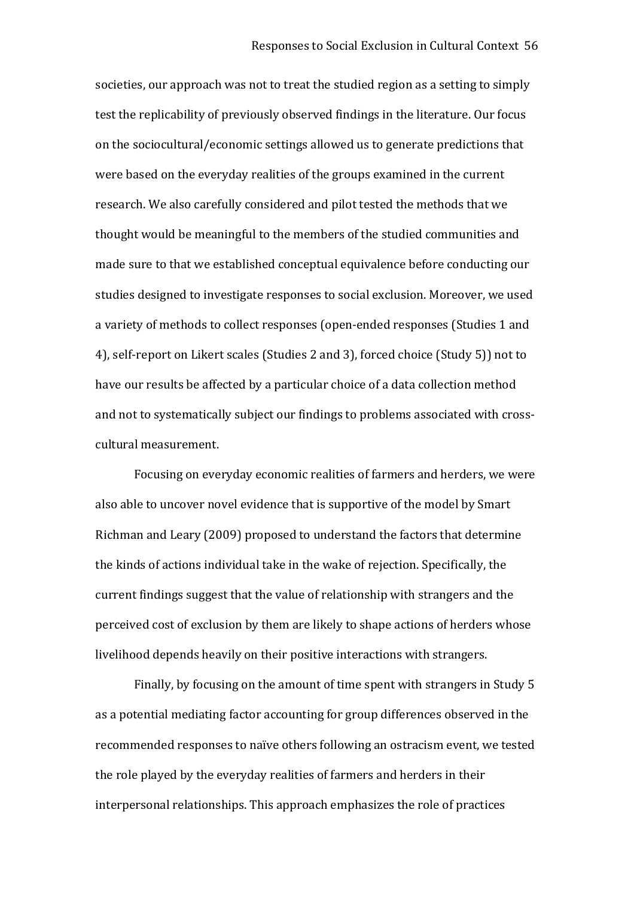societies, our approach was not to treat the studied region as a setting to simply test the replicability of previously observed findings in the literature. Our focus on the sociocultural/economic settings allowed us to generate predictions that were based on the everyday realities of the groups examined in the current research. We also carefully considered and pilot tested the methods that we thought would be meaningful to the members of the studied communities and made sure to that we established conceptual equivalence before conducting our studies designed to investigate responses to social exclusion. Moreover, we used a variety of methods to collect responses (open‐ended responses (Studies 1 and 4), self‐report on Likert scales (Studies 2 and 3), forced choice (Study 5)) not to have our results be affected by a particular choice of a data collection method and not to systematically subject our findings to problems associated with crosscultural measurement.

Focusing on everyday economic realities of farmers and herders, we were also able to uncover novel evidence that is supportive of the model by Smart Richman and Leary (2009) proposed to understand the factors that determine the kinds of actions individual take in the wake of rejection. Specifically, the current findings suggest that the value of relationship with strangers and the perceived cost of exclusion by them are likely to shape actions of herders whose livelihood depends heavily on their positive interactions with strangers.

Finally, by focusing on the amount of time spent with strangers in Study 5 as a potential mediating factor accounting for group differences observed in the recommended responses to naïve others following an ostracism event, we tested the role played by the everyday realities of farmers and herders in their interpersonal relationships. This approach emphasizes the role of practices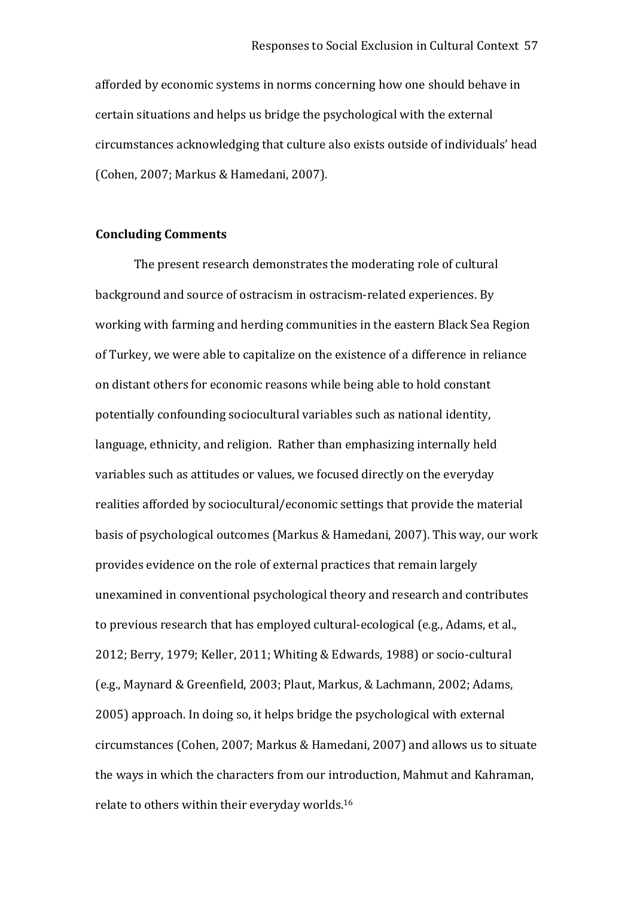afforded by economic systems in norms concerning how one should behave in certain situations and helps us bridge the psychological with the external circumstances acknowledging that culture also exists outside of individuals' head (Cohen, 2007; Markus & Hamedani, 2007).

# **Concluding Comments**

The present research demonstrates the moderating role of cultural background and source of ostracism in ostracism‐related experiences. By working with farming and herding communities in the eastern Black Sea Region of Turkey, we were able to capitalize on the existence of a difference in reliance on distant others for economic reasons while being able to hold constant potentially confounding sociocultural variables such as national identity, language, ethnicity, and religion. Rather than emphasizing internally held variables such as attitudes or values, we focused directly on the everyday realities afforded by sociocultural/economic settings that provide the material basis of psychological outcomes (Markus & Hamedani, 2007). This way, our work provides evidence on the role of external practices that remain largely unexamined in conventional psychological theory and research and contributes to previous research that has employed cultural‐ecological (e.g., Adams, et al., 2012; Berry, 1979; Keller, 2011; Whiting & Edwards, 1988) or socio‐cultural (e.g., Maynard & Greenfield, 2003; Plaut, Markus, & Lachmann, 2002; Adams, 2005) approach. In doing so, it helps bridge the psychological with external circumstances (Cohen, 2007; Markus & Hamedani, 2007) and allows us to situate the ways in which the characters from our introduction, Mahmut and Kahraman, relate to others within their everyday worlds.<sup>16</sup>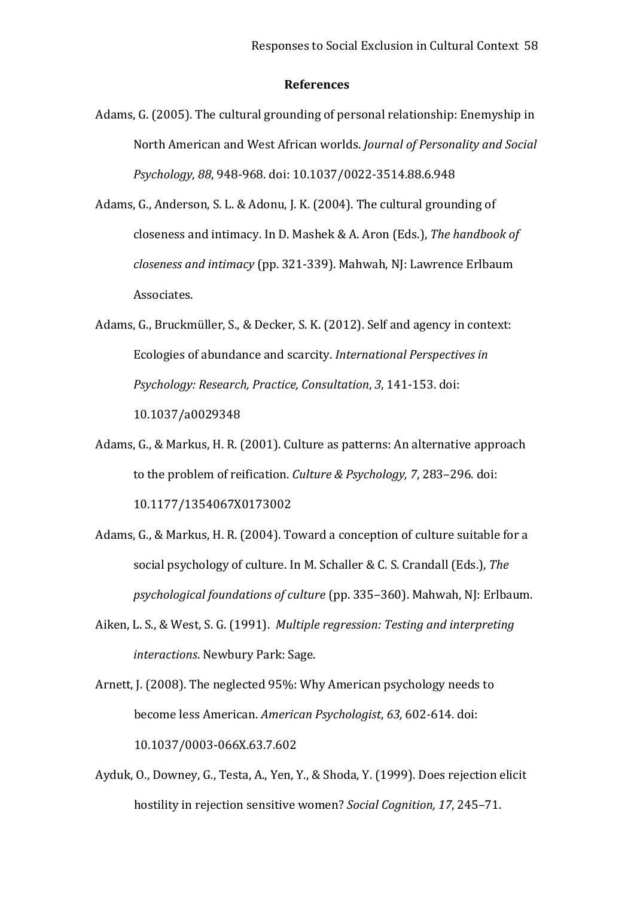### **References**

- Adams, G. (2005). The cultural grounding of personal relationship: Enemyship in North American and West African worlds. *Journal of Personality and Social Psychology*, *88*, 948‐968. doi: 10.1037/0022‐3514.88.6.948
- Adams, G., Anderson, S. L. & Adonu, J. K. (2004). The cultural grounding of closeness and intimacy. In D. Mashek & A. Aron (Eds.), *The handbook of closeness and intimacy* (pp. 321‐339). Mahwah, NJ: Lawrence Erlbaum Associates.
- Adams, G., Bruckmüller, S., & Decker, S. K. (2012). Self and agency in context: Ecologies of abundance and scarcity. *International Perspectives in Psychology: Research, Practice, Consultation*, *3*, 141‐153. doi: 10.1037/a0029348
- Adams, G., & Markus, H. R. (2001). Culture as patterns: An alternative approach to the problem of reification. *Culture & Psychology, 7*, 283–296. doi: 10.1177/1354067X0173002
- Adams, G., & Markus, H. R. (2004). Toward a conception of culture suitable for a social psychology of culture. In M. Schaller & C. S. Crandall (Eds.), *The psychological foundations of culture* (pp. 335–360). Mahwah, NJ: Erlbaum.
- Aiken, L. S., & West, S. G. (1991). *Multiple regression: Testing and interpreting interactions*. Newbury Park: Sage.
- Arnett, J. (2008). The neglected 95%: Why American psychology needs to become less American. *American Psychologist*, *63,* 602*‐*614*.* doi: 10.1037/0003‐066X.63.7.602
- Ayduk, O., Downey, G., Testa, A., Yen, Y., & Shoda, Y. (1999). Does rejection elicit hostility in rejection sensitive women? *Social Cognition, 17*, 245–71.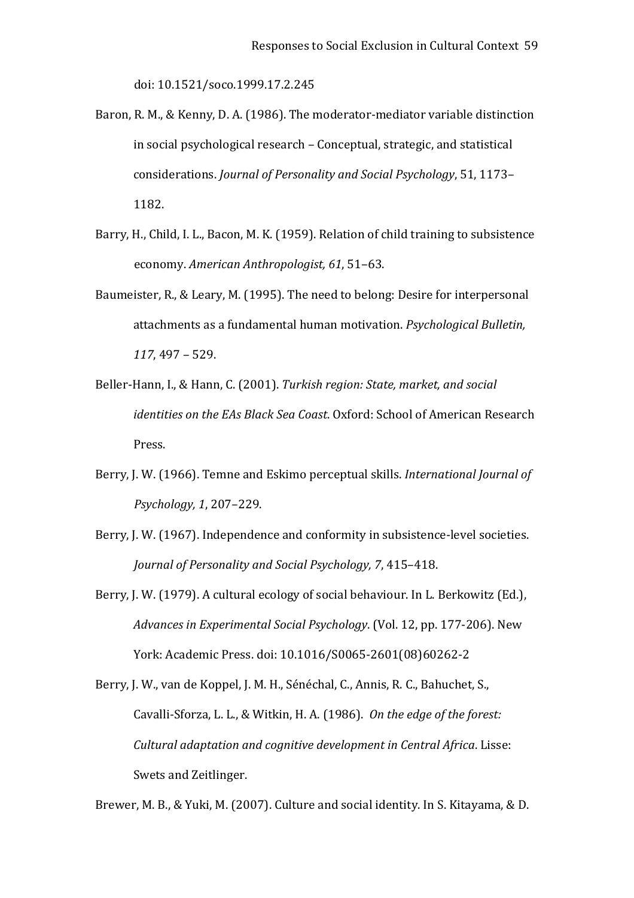doi: 10.1521/soco.1999.17.2.245

- Baron, R. M., & Kenny, D. A. (1986). The moderator-mediator variable distinction in social psychological research – Conceptual, strategic, and statistical considerations. *Journal of Personality and Social Psychology*, 51, 1173– 1182.
- Barry, H., Child, I. L., Bacon, M. K. (1959). Relation of child training to subsistence economy. *American Anthropologist, 61*, 51–63.
- Baumeister, R., & Leary, M. (1995). The need to belong: Desire for interpersonal attachments as a fundamental human motivation. *Psychological Bulletin, 117*, 497 – 529.
- Beller‐Hann, I., & Hann, C. (2001). *Turkish region: State, market, and social identities on the EAs Black Sea Coast*. Oxford: School of American Research Press.
- Berry, J. W. (1966). Temne and Eskimo perceptual skills. *International Journal of Psychology, 1*, 207–229.
- Berry, J. W. (1967). Independence and conformity in subsistence-level societies. *Journal of Personality and Social Psychology, 7*, 415–418.
- Berry, J. W. (1979). A cultural ecology of social behaviour. In L. Berkowitz (Ed.), *Advances in Experimental Social Psychology*. (Vol. 12, pp. 177‐206). New York: Academic Press. doi: 10.1016/S0065‐2601(08)60262‐2
- Berry, J. W., van de Koppel, J. M. H., Sénéchal, C., Annis, R. C., Bahuchet, S., Cavalli‐Sforza, L. L., & Witkin, H. A. (1986). *On the edge of the forest: Cultural adaptation and cognitive development in Central Africa*. Lisse: Swets and Zeitlinger.

Brewer, M. B., & Yuki, M. (2007). Culture and social identity. In S. Kitayama, & D.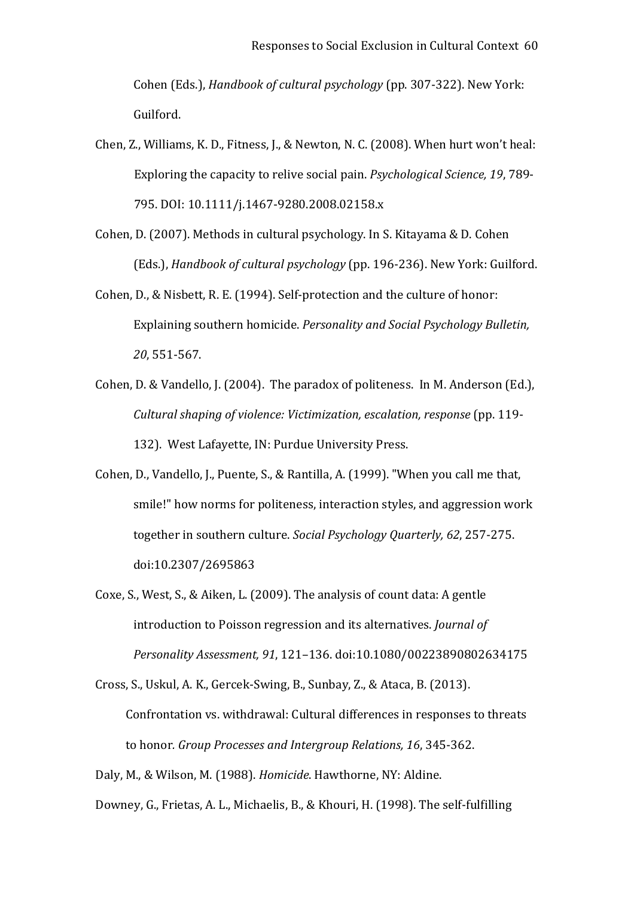Cohen (Eds.), *Handbook of cultural psychology* (pp. 307‐322). New York: Guilford.

- Chen, Z., Williams, K. D., Fitness, J., & Newton, N. C. (2008). When hurt won't heal: Exploring the capacity to relive social pain. *Psychological Science, 19*, 789‐ 795. DOI: 10.1111/j.1467‐9280.2008.02158.x
- Cohen, D. (2007). Methods in cultural psychology. In S. Kitayama & D. Cohen (Eds.), *Handbook of cultural psychology* (pp. 196‐236). New York: Guilford.
- Cohen, D., & Nisbett, R. E. (1994). Self‐protection and the culture of honor: Explaining southern homicide. *Personality and Social Psychology Bulletin, 20*, 551‐567.
- Cohen, D. & Vandello, J. (2004). The paradox of politeness. In M. Anderson (Ed.), *Cultural shaping of violence: Victimization, escalation, response* (pp. 119‐ 132). West Lafayette, IN: Purdue University Press.
- Cohen, D., Vandello, J., Puente, S., & Rantilla, A. (1999). "When you call me that, smile!" how norms for politeness, interaction styles, and aggression work together in southern culture. *Social Psychology Quarterly, 62*, 257‐275. doi:10.2307/2695863
- Coxe, S., West, S., & Aiken, L. (2009). The analysis of count data: A gentle introduction to Poisson regression and its alternatives. *Journal of Personality Assessment, 91*, 121–136. doi:10.1080/00223890802634175
- Cross, S., Uskul, A. K., Gercek‐Swing, B., Sunbay, Z., & Ataca, B. (2013). Confrontation vs. withdrawal: Cultural differences in responses to threats to honor*. Group Processes and Intergroup Relations, 16*, 345‐362.

Daly, M., & Wilson, M. (1988). *Homicide*. Hawthorne, NY: Aldine.

Downey, G., Frietas, A. L., Michaelis, B., & Khouri, H. (1998). The self‐fulfilling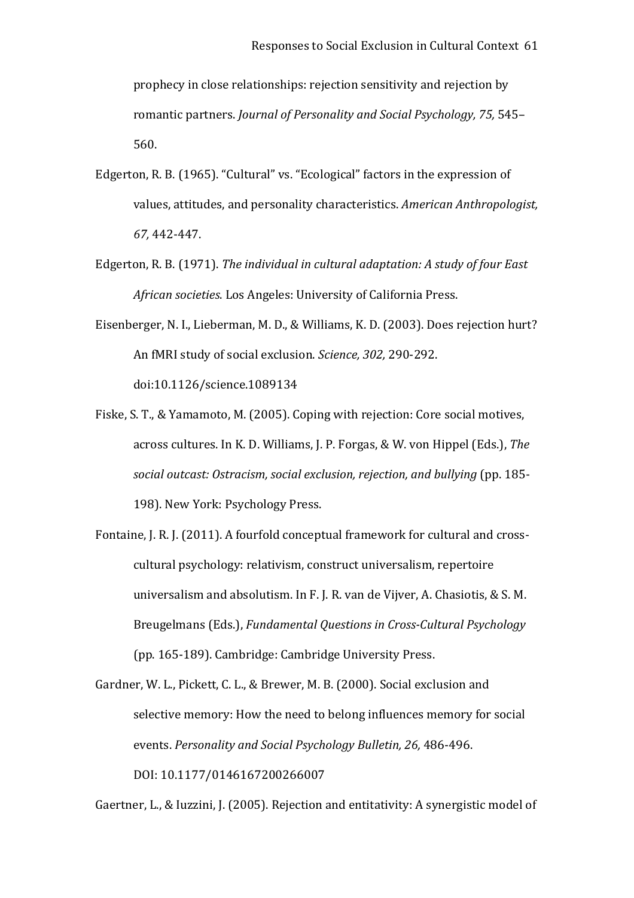prophecy in close relationships: rejection sensitivity and rejection by romantic partners. *Journal of Personality and Social Psychology, 75,* 545– 560.

- Edgerton, R. B. (1965). "Cultural" vs. "Ecological" factors in the expression of values, attitudes, and personality characteristics. *American Anthropologist, 67,* 442‐447.
- Edgerton, R. B. (1971). *The individual in cultural adaptation: A study of four East African societies*. Los Angeles: University of California Press.
- Eisenberger, N. I., Lieberman, M. D., & Williams, K. D. (2003). Does rejection hurt? An fMRI study of social exclusion. *Science, 302,* 290‐292. doi:10.1126/science.1089134
- Fiske, S. T., & Yamamoto, M. (2005). Coping with rejection: Core social motives, across cultures. In K. D. Williams, J. P. Forgas, & W. von Hippel (Eds.), *The social outcast: Ostracism, social exclusion, rejection, and bullying* (pp. 185‐ 198). New York: Psychology Press.
- Fontaine, J. R. J. (2011). A fourfold conceptual framework for cultural and crosscultural psychology: relativism, construct universalism, repertoire universalism and absolutism. In F. J. R. van de Vijver, A. Chasiotis, & S. M. Breugelmans (Eds.), *Fundamental Questions in Cross‐Cultural Psychology* (pp. 165‐189). Cambridge: Cambridge University Press.

Gardner, W. L., Pickett, C. L., & Brewer, M. B. (2000). Social exclusion and selective memory: How the need to belong influences memory for social events. *Personality and Social Psychology Bulletin, 26,* 486‐496. DOI: 10.1177/0146167200266007

Gaertner, L., & Iuzzini, J. (2005). Rejection and entitativity: A synergistic model of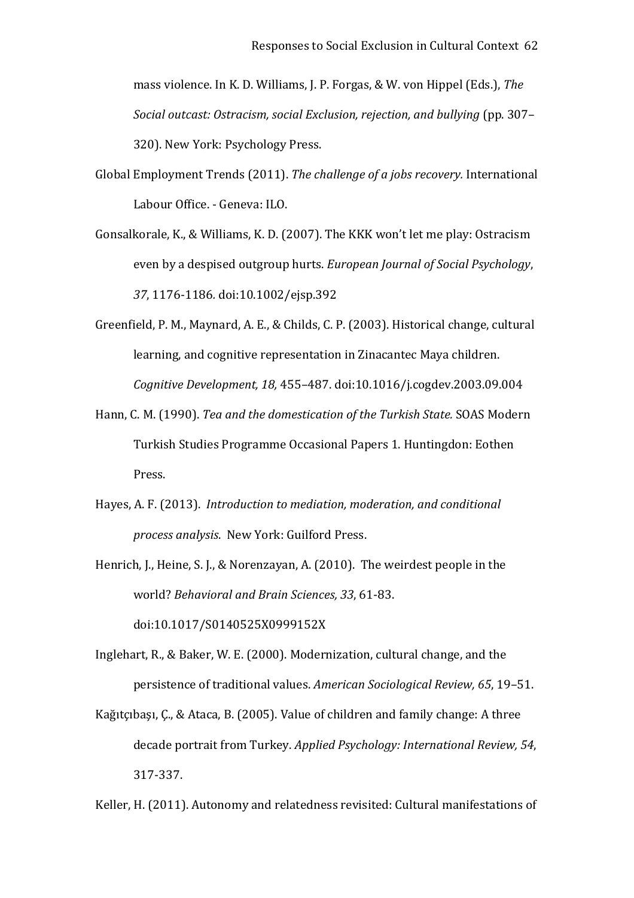mass violence. In K. D. Williams, J. P. Forgas, & W. von Hippel (Eds.), *The Social outcast: Ostracism, social Exclusion, rejection, and bullying* (pp. 307– 320). New York: Psychology Press.

- Global Employment Trends (2011). *The challenge of a jobs recovery.* International Labour Office. ‐ Geneva: ILO.
- Gonsalkorale, K., & Williams, K. D. (2007). The KKK won't let me play: Ostracism even by a despised outgroup hurts. *European Journal of Social Psychology*, *37*, 1176‐1186*.* doi:10.1002/ejsp.392
- Greenfield, P. M., Maynard, A. E., & Childs, C. P. (2003). Historical change, cultural learning, and cognitive representation in Zinacantec Maya children. *Cognitive Development, 18,* 455–487. doi:10.1016/j.cogdev.2003.09.004
- Hann, C. M. (1990). *Tea and the domestication of the Turkish State.* SOAS Modern Turkish Studies Programme Occasional Papers 1. Huntingdon: Eothen Press.
- Hayes, A. F. (2013). *Introduction to mediation, moderation, and conditional process analysis*. New York: Guilford Press.
- Henrich, J., Heine, S. J., & Norenzayan, A. (2010). The weirdest people in the world? *Behavioral and Brain Sciences, 33*, 61‐83. doi:10.1017/S0140525X0999152X
- Inglehart, R., & Baker, W. E. (2000). Modernization, cultural change, and the persistence of traditional values. *American Sociological Review, 65*, 19–51.
- Kağıtçıbaşı, Ç., & Ataca, B. (2005). Value of children and family change: A three decade portrait from Turkey. *Applied Psychology: International Review, 54*, 317‐337.

Keller, H. (2011). Autonomy and relatedness revisited: Cultural manifestations of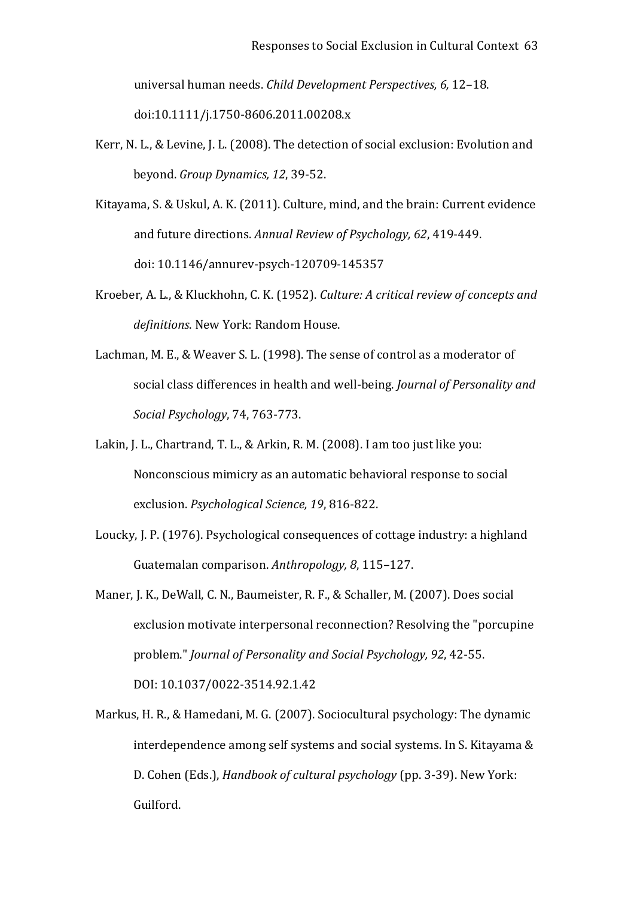universal human needs. *Child Development Perspectives, 6,* 12–18. doi:10.1111/j.1750‐8606.2011.00208.x

- Kerr, N. L., & Levine, J. L. (2008). The detection of social exclusion: Evolution and beyond. *Group Dynamics, 12*, 39‐52.
- Kitayama, S. & Uskul, A. K. (2011). Culture, mind, and the brain: Current evidence and future directions. *Annual Review of Psychology, 62*, 419‐449. doi: 10.1146/annurev‐psych‐120709‐145357
- Kroeber, A. L., & Kluckhohn, C. K. (1952). *Culture: A critical review of concepts and definitions*. New York: Random House.
- Lachman, M. E., & Weaver S. L. (1998). The sense of control as a moderator of social class differences in health and well‐being. *Journal of Personality and Social Psychology*, 74, 763‐773.
- Lakin, J. L., Chartrand, T. L., & Arkin, R. M. (2008). I am too just like you: Nonconscious mimicry as an automatic behavioral response to social exclusion. *Psychological Science, 19*, 816‐822.
- Loucky, J. P. (1976). Psychological consequences of cottage industry: a highland Guatemalan comparison. *Anthropology, 8*, 115–127.
- Maner, J. K., DeWall, C. N., Baumeister, R. F., & Schaller, M. (2007). Does social exclusion motivate interpersonal reconnection? Resolving the "porcupine problem." *Journal of Personality and Social Psychology, 92*, 42‐55. DOI: 10.1037/0022‐3514.92.1.42
- Markus, H. R., & Hamedani, M. G. (2007). Sociocultural psychology: The dynamic interdependence among self systems and social systems. In S. Kitayama & D. Cohen (Eds.), *Handbook of cultural psychology* (pp. 3‐39). New York: Guilford.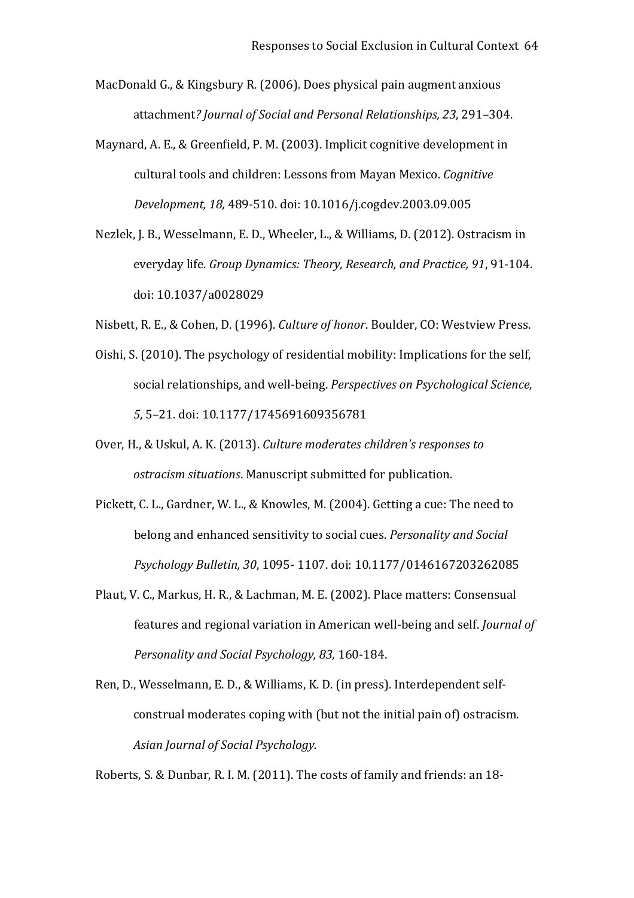MacDonald G., & Kingsbury R. (2006). Does physical pain augment anxious attachment*? Journal of Social and Personal Relationships, 23*, 291–304.

- Maynard, A. E., & Greenfield, P. M. (2003). Implicit cognitive development in cultural tools and children: Lessons from Mayan Mexico. *Cognitive Development, 18,* 489‐510. doi: 10.1016/j.cogdev.2003.09.005
- Nezlek, J. B., Wesselmann, E. D., Wheeler, L., & Williams, D. (2012). Ostracism in everyday life. *Group Dynamics: Theory, Research, and Practice, 91*, 91‐104. doi: 10.1037/a0028029
- Nisbett, R. E., & Cohen, D. (1996). *Culture of honor*. Boulder, CO: Westview Press.
- Oishi, S. (2010). The psychology of residential mobility: Implications for the self, social relationships, and well‐being. *Perspectives on Psychological Science, 5*, 5–21. doi: 10.1177/1745691609356781
- Over, H., & Uskul, A. K. (2013). *Culture moderates children's responses to ostracism situations*. Manuscript submitted for publication.
- Pickett, C. L., Gardner, W. L., & Knowles, M. (2004). Getting a cue: The need to belong and enhanced sensitivity to social cues. *Personality and Social Psychology Bulletin, 30*, 1095‐ 1107. doi: 10.1177/0146167203262085
- Plaut, V. C., Markus, H. R., & Lachman, M. E. (2002). Place matters: Consensual features and regional variation in American well‐being and self. *Journal of Personality and Social Psychology, 83,* 160‐184.
- Ren, D., Wesselmann, E. D., & Williams, K. D. (in press). Interdependent self‐ construal moderates coping with (but not the initial pain of) ostracism. *Asian Journal of Social Psychology.*

Roberts, S. & Dunbar, R. I. M. (2011). The costs of family and friends: an 18‐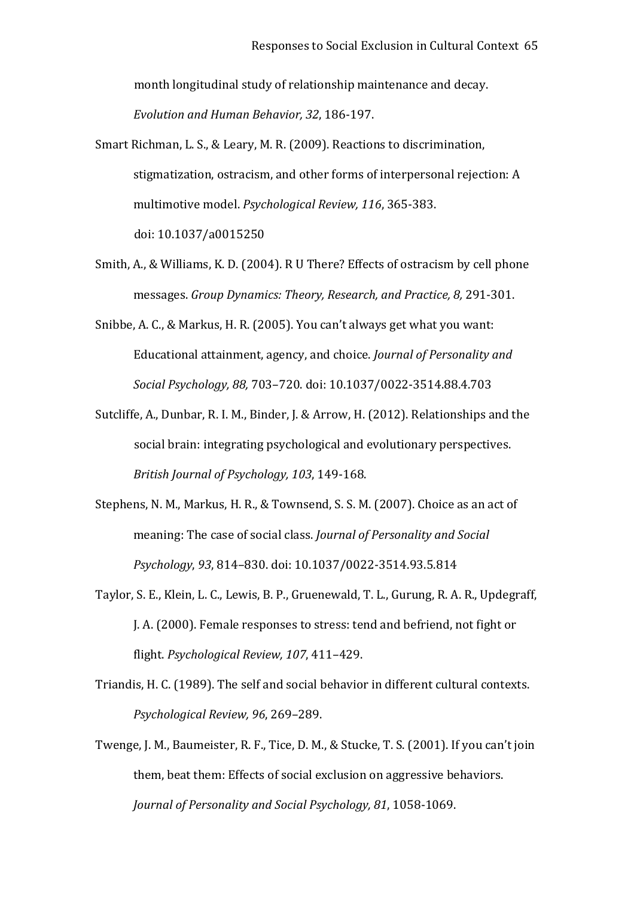month longitudinal study of relationship maintenance and decay. *Evolution and Human Behavior, 32*, 186‐197.

- Smart Richman, L. S., & Leary, M. R. (2009). Reactions to discrimination, stigmatization, ostracism, and other forms of interpersonal rejection: A multimotive model. *Psychological Review, 116*, 365‐383. doi: 10.1037/a0015250
- Smith, A., & Williams, K. D. (2004). R U There? Effects of ostracism by cell phone messages. *Group Dynamics: Theory, Research, and Practice, 8,* 291‐301.
- Snibbe, A. C., & Markus, H. R. (2005). You can't always get what you want: Educational attainment, agency, and choice. *Journal of Personality and Social Psychology, 88,* 703–720. doi: 10.1037/0022‐3514.88.4.703
- Sutcliffe, A., Dunbar, R. I. M., Binder, J. & Arrow, H. (2012). Relationships and the social brain: integrating psychological and evolutionary perspectives. *British Journal of Psychology, 103*, 149‐168.
- Stephens, N. M., Markus, H. R., & Townsend, S. S. M. (2007). Choice as an act of meaning: The case of social class. *Journal of Personality and Social Psychology*, *93*, 814–830. doi: 10.1037/0022‐3514.93.5.814
- Taylor, S. E., Klein, L. C., Lewis, B. P., Gruenewald, T. L., Gurung, R. A. R., Updegraff, J. A. (2000). Female responses to stress: tend and befriend, not fight or flight. *Psychological Review, 107*, 411–429.
- Triandis, H. C. (1989). The self and social behavior in different cultural contexts. *Psychological Review, 96*, 269–289.
- Twenge, J. M., Baumeister, R. F., Tice, D. M., & Stucke, T. S. (2001). If you can't join them, beat them: Effects of social exclusion on aggressive behaviors. *Journal of Personality and Social Psychology, 81*, 1058‐1069.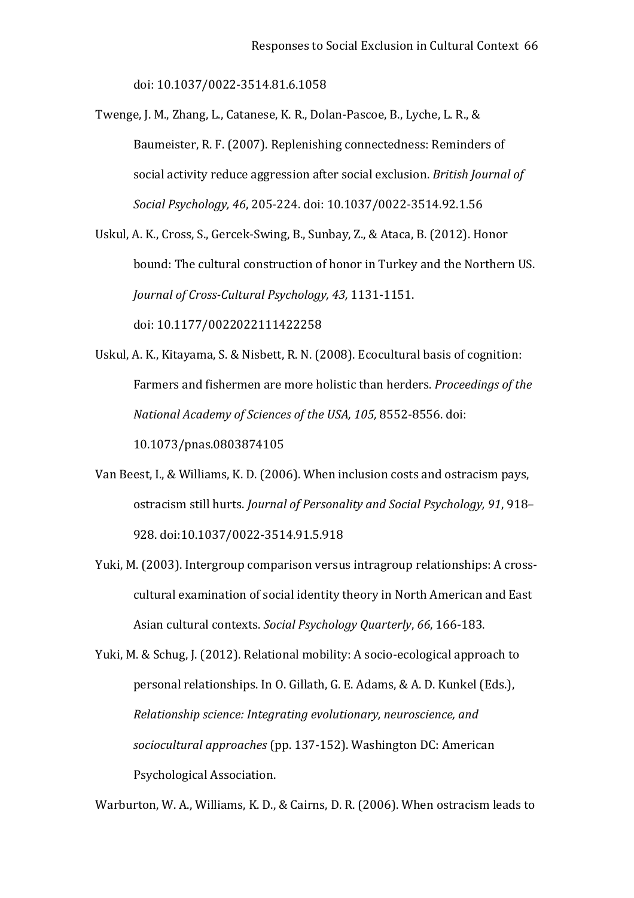doi: 10.1037/0022‐3514.81.6.1058

Twenge, J. M., Zhang, L., Catanese, K. R., Dolan‐Pascoe, B., Lyche, L. R., & Baumeister, R. F. (2007). Replenishing connectedness: Reminders of social activity reduce aggression after social exclusion. *British Journal of Social Psychology, 46*, 205‐224. doi: 10.1037/0022‐3514.92.1.56

Uskul, A. K., Cross, S., Gercek‐Swing, B., Sunbay, Z., & Ataca, B. (2012). Honor bound: The cultural construction of honor in Turkey and the Northern US. *Journal of Cross‐Cultural Psychology, 43,* 1131‐1151. doi: 10.1177/0022022111422258

Uskul, A. K., Kitayama, S. & Nisbett, R. N. (2008). Ecocultural basis of cognition: Farmers and fishermen are more holistic than herders. *Proceedings of the National Academy of Sciences of the USA, 105,* 8552‐8556. doi: 10.1073/pnas.0803874105

- Van Beest, I., & Williams, K. D. (2006). When inclusion costs and ostracism pays, ostracism still hurts. *Journal of Personality and Social Psychology, 91*, 918– 928. doi:10.1037/0022‐3514.91.5.918
- Yuki, M. (2003). Intergroup comparison versus intragroup relationships: A cross‐ cultural examination of social identity theory in North American and East Asian cultural contexts. *Social Psychology Quarterly*, *66*, 166‐183.

Yuki, M. & Schug, J. (2012). Relational mobility: A socio‐ecological approach to personal relationships. In O. Gillath, G. E. Adams, & A. D. Kunkel (Eds.), *Relationship science: Integrating evolutionary, neuroscience, and sociocultural approaches* (pp. 137‐152). Washington DC: American Psychological Association.

Warburton, W. A., Williams, K. D., & Cairns, D. R. (2006). When ostracism leads to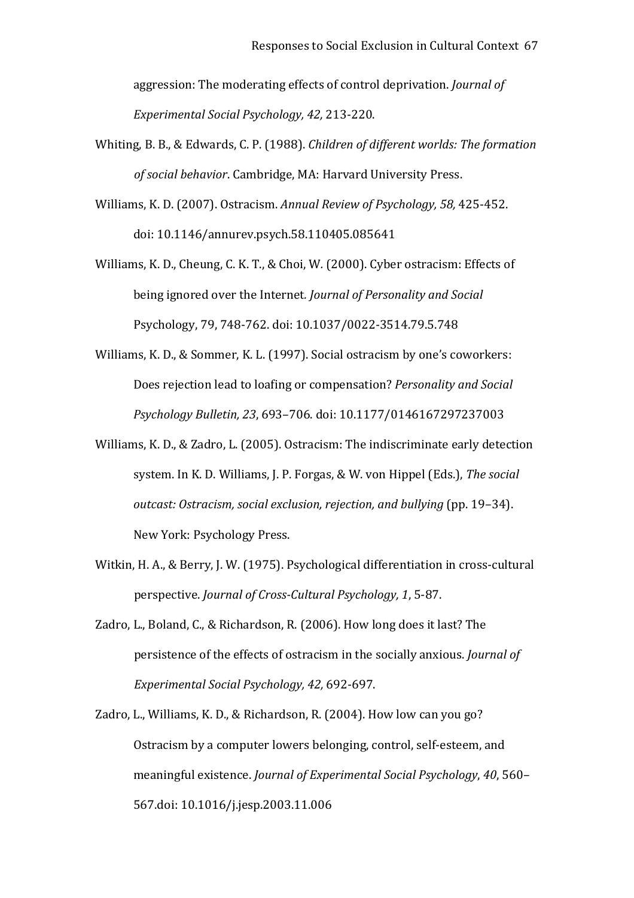aggression: The moderating effects of control deprivation. *Journal of Experimental Social Psychology, 42,* 213‐220.

- Whiting, B. B., & Edwards, C. P. (1988). *Children of different worlds: The formation of social behavior*. Cambridge, MA: Harvard University Press.
- Williams, K. D. (2007). Ostracism. *Annual Review of Psychology, 58,* 425‐452. doi: 10.1146/annurev.psych.58.110405.085641
- Williams, K. D., Cheung, C. K. T., & Choi, W*.* (2000). Cyber ostracism: Effects of being ignored over the Internet*. Journal of Personality and Social*  Psychology, 79, 748‐762. doi: 10.1037/0022‐3514.79.5.748
- Williams, K. D., & Sommer, K. L. (1997). Social ostracism by one's coworkers: Does rejection lead to loafing or compensation? *Personality and Social Psychology Bulletin, 23*, 693–706. doi: 10.1177/0146167297237003
- Williams, K. D., & Zadro, L. (2005). Ostracism: The indiscriminate early detection system. In K. D. Williams, J. P. Forgas, & W. von Hippel (Eds.), *The social outcast: Ostracism, social exclusion, rejection, and bullying* (pp. 19–34). New York: Psychology Press.
- Witkin, H. A., & Berry, J. W. (1975). Psychological differentiation in cross-cultural perspective. *Journal of Cross‐Cultural Psychology, 1*, 5‐87.
- Zadro, L., Boland, C., & Richardson, R. (2006). How long does it last? The persistence of the effects of ostracism in the socially anxious. *Journal of Experimental Social Psychology, 42,* 692‐697.
- Zadro, L., Williams, K. D., & Richardson, R. (2004). How low can you go? Ostracism by a computer lowers belonging, control, self‐esteem, and meaningful existence. *Journal of Experimental Social Psychology*, *40*, 560– 567.doi: 10.1016/j.jesp.2003.11.006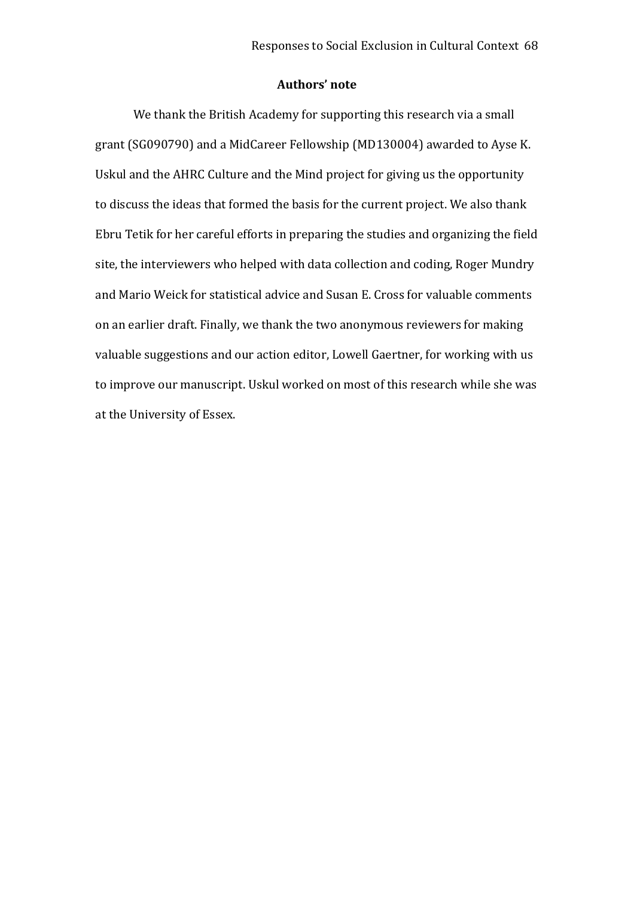## **Authors' note**

We thank the British Academy for supporting this research via a small grant (SG090790) and a MidCareer Fellowship (MD130004) awarded to Ayse K. Uskul and the AHRC Culture and the Mind project for giving us the opportunity to discuss the ideas that formed the basis for the current project. We also thank Ebru Tetik for her careful efforts in preparing the studies and organizing the field site, the interviewers who helped with data collection and coding, Roger Mundry and Mario Weick for statistical advice and Susan E. Cross for valuable comments on an earlier draft. Finally, we thank the two anonymous reviewers for making valuable suggestions and our action editor, Lowell Gaertner, for working with us to improve our manuscript. Uskul worked on most of this research while she was at the University of Essex.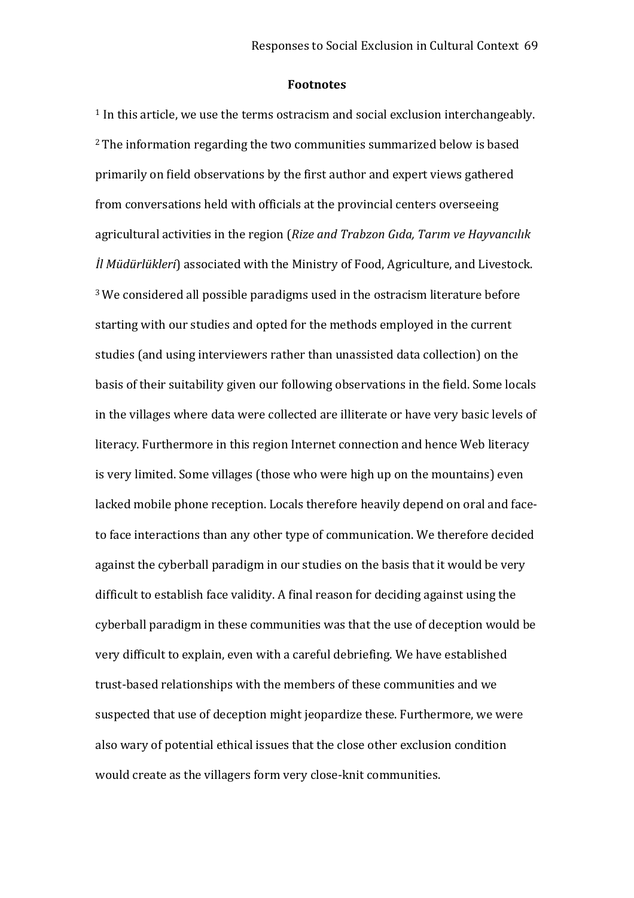#### **Footnotes**

<sup>1</sup> In this article, we use the terms ostracism and social exclusion interchangeably. <sup>2</sup>The information regarding the two communities summarized below is based primarily on field observations by the first author and expert views gathered from conversations held with officials at the provincial centers overseeing agricultural activities in the region (*Rize and Trabzon Gıda, Tarım ve Hayvancılık İl Müdürlükleri*) associated with the Ministry of Food, Agriculture, and Livestock. <sup>3</sup>We considered all possible paradigms used in the ostracism literature before starting with our studies and opted for the methods employed in the current studies (and using interviewers rather than unassisted data collection) on the basis of their suitability given our following observations in the field. Some locals in the villages where data were collected are illiterate or have very basic levels of literacy. Furthermore in this region Internet connection and hence Web literacy is very limited. Some villages (those who were high up on the mountains) even lacked mobile phone reception. Locals therefore heavily depend on oral and faceto face interactions than any other type of communication. We therefore decided against the cyberball paradigm in our studies on the basis that it would be very difficult to establish face validity. A final reason for deciding against using the cyberball paradigm in these communities was that the use of deception would be very difficult to explain, even with a careful debriefing. We have established trust-based relationships with the members of these communities and we suspected that use of deception might jeopardize these. Furthermore, we were also wary of potential ethical issues that the close other exclusion condition would create as the villagers form very close‐knit communities.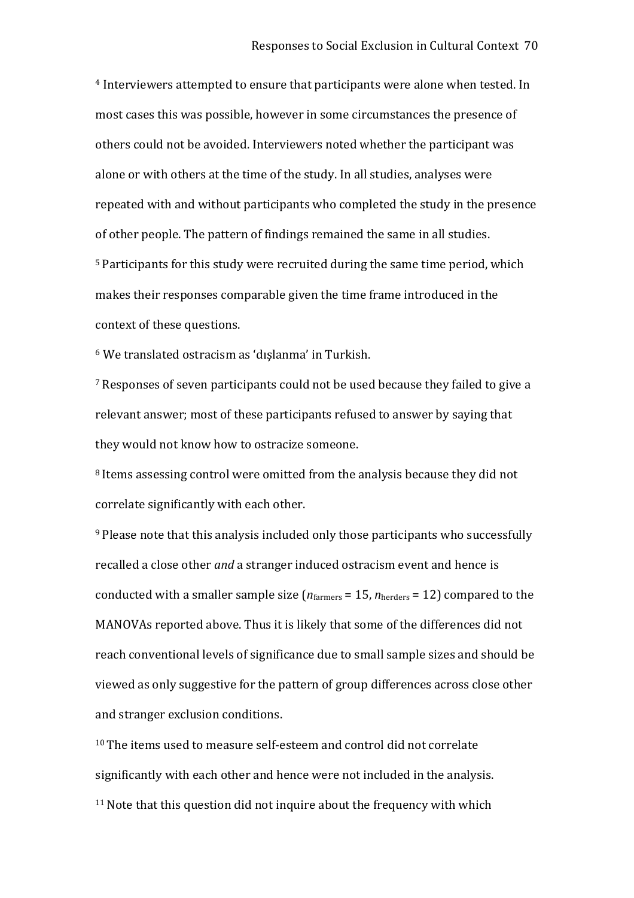<sup>4</sup> Interviewers attempted to ensure that participants were alone when tested. In most cases this was possible, however in some circumstances the presence of others could not be avoided. Interviewers noted whether the participant was alone or with others at the time of the study. In all studies, analyses were repeated with and without participants who completed the study in the presence of other people. The pattern of findings remained the same in all studies. <sup>5</sup> Participants for this study were recruited during the same time period, which makes their responses comparable given the time frame introduced in the context of these questions.

<sup>6</sup> We translated ostracism as 'dışlanma' in Turkish.

<sup>7</sup>Responses of seven participants could not be used because they failed to give a relevant answer; most of these participants refused to answer by saying that they would not know how to ostracize someone.

<sup>8</sup> Items assessing control were omitted from the analysis because they did not correlate significantly with each other.

<sup>9</sup> Please note that this analysis included only those participants who successfully recalled a close other *and* a stranger induced ostracism event and hence is conducted with a smaller sample size ( $n_{\text{farmers}} = 15$ ,  $n_{\text{herders}} = 12$ ) compared to the MANOVAs reported above. Thus it is likely that some of the differences did not reach conventional levels of significance due to small sample sizes and should be viewed as only suggestive for the pattern of group differences across close other and stranger exclusion conditions.

<sup>10</sup> The items used to measure self‐esteem and control did not correlate significantly with each other and hence were not included in the analysis.  $11$  Note that this question did not inquire about the frequency with which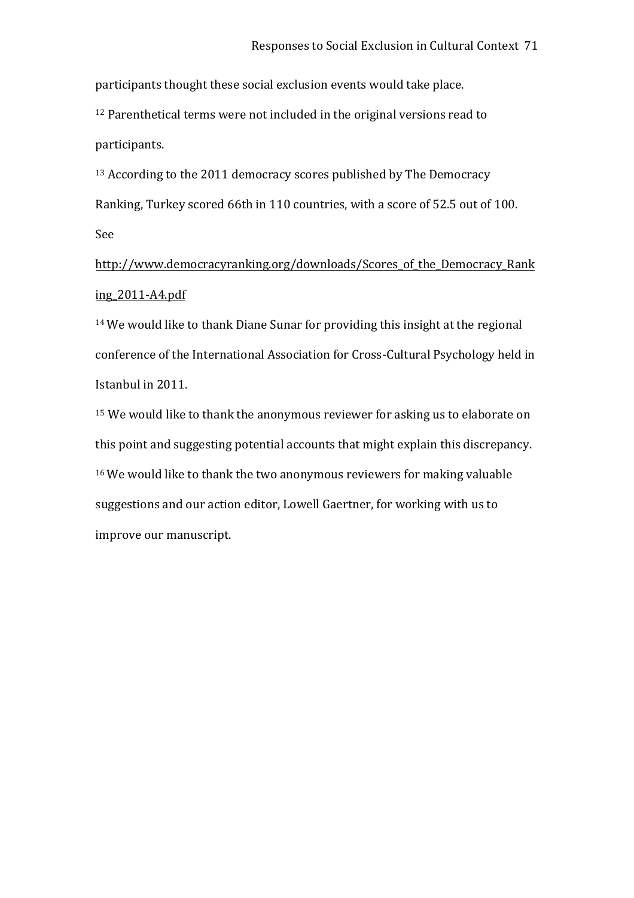participants thought these social exclusion events would take place.

<sup>12</sup> Parenthetical terms were not included in the original versions read to participants.

<sup>13</sup> According to the 2011 democracy scores published by The Democracy Ranking, Turkey scored 66th in 110 countries, with a score of 52.5 out of 100. See

http://www.democracyranking.org/downloads/Scores\_of\_the\_Democracy\_Rank ing\_2011‐A4.pdf

<sup>14</sup>We would like to thank Diane Sunar for providing this insight at the regional conference of the International Association for Cross‐Cultural Psychology held in Istanbul in 2011.

<sup>15</sup> We would like to thank the anonymous reviewer for asking us to elaborate on this point and suggesting potential accounts that might explain this discrepancy. <sup>16</sup>We would like to thank the two anonymous reviewers for making valuable suggestions and our action editor, Lowell Gaertner, for working with us to improve our manuscript.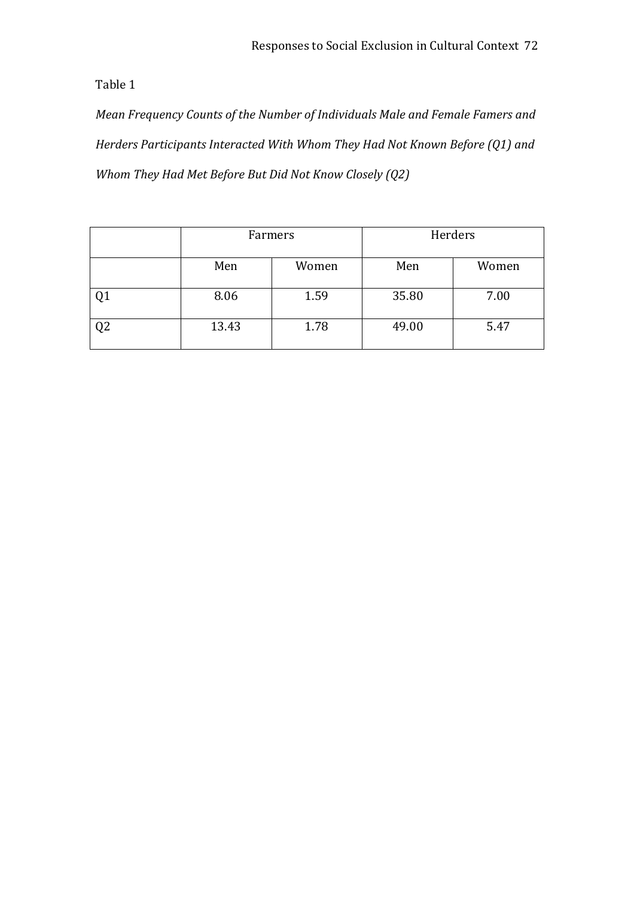*Mean Frequency Counts of the Number of Individuals Male and Female Famers and Herders Participants Interacted With Whom They Had Not Known Before (Q1) and Whom They Had Met Before But Did Not Know Closely (Q2)*

|                | Farmers |       | Herders |       |  |
|----------------|---------|-------|---------|-------|--|
|                | Men     | Women | Men     | Women |  |
| Q1             | 8.06    | 1.59  | 35.80   | 7.00  |  |
| Q <sub>2</sub> | 13.43   | 1.78  | 49.00   | 5.47  |  |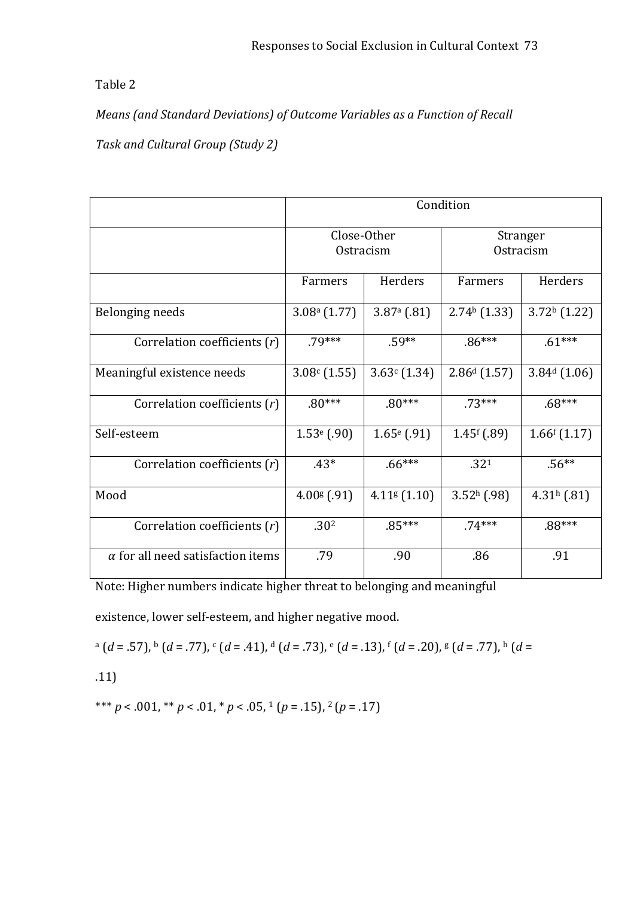*Means (and Standard Deviations) of Outcome Variables as a Function of Recall* 

*Task and Cultural Group (Study 2)*

|                                          | Condition                   |                              |                             |                |
|------------------------------------------|-----------------------------|------------------------------|-----------------------------|----------------|
|                                          | Close-Other<br>Ostracism    |                              | Stranger<br>Ostracism       |                |
|                                          | Farmers                     | Herders                      | Farmers                     | Herders        |
| Belonging needs                          | $3.08a$ (1.77)              | $3.87a$ (.81)                | $2.74b$ (1.33)              | $3.72b$ (1.22) |
| Correlation coefficients (r)             | $.79***$                    | $.59**$                      | $.86***$                    | $.61***$       |
| Meaningful existence needs               | 3.08c(1.55)                 | 3.63c(1.34)                  | $2.86d$ (1.57)              | $3.84d$ (1.06) |
| Correlation coefficients (r)             | $.80***$                    | $.80***$                     | $.73***$                    | $.68***$       |
| Self-esteem                              | $1.53$ <sup>e</sup> (.90)   | $1.65$ <sup>e</sup> $(.91)$  | $1.45$ <sup>f</sup> $(.89)$ | 1.66f(1.17)    |
| Correlation coefficients (r)             | $.43*$                      | $.66***$                     | .321                        | $.56**$        |
| Mood                                     | $4.00$ <sup>g</sup> $(.91)$ | $4.11$ <sup>g</sup> $(1.10)$ | $3.52h$ (.98)               | $4.31h$ (.81)  |
| Correlation coefficients $(r)$           | .30 <sup>2</sup>            | $.85***$                     | $.74***$                    | $.88***$       |
| $\alpha$ for all need satisfaction items | .79                         | .90                          | .86                         | .91            |

Note: Higher numbers indicate higher threat to belonging and meaningful

existence, lower self‐esteem, and higher negative mood.

$$
^{a} (d=.57),^{b} (d=.77),^{c} (d=.41),^{d} (d=.73),^{e} (d=.13),^{f} (d=.20),^{g} (d=.77),^{h} (d=.77)
$$

.11)

\*\*\* *p* < .001, \*\* *p* < .01, \* *p* < .05, <sup>1</sup> (*p* = .15), <sup>2</sup> (*p* = .17)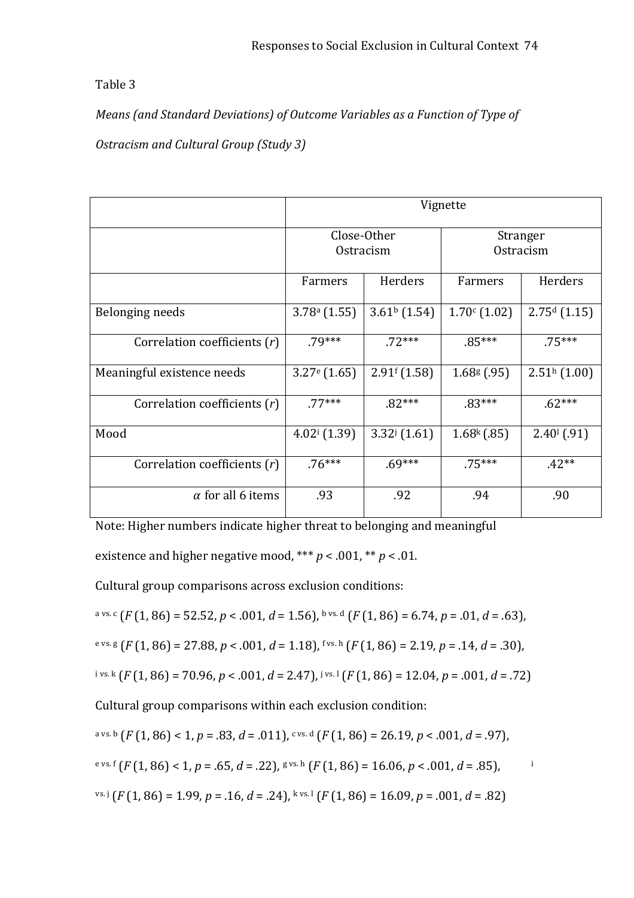*Means (and Standard Deviations) of Outcome Variables as a Function of Type of Ostracism and Cultural Group (Study 3)*

|                              | Vignette                   |                           |                             |                    |  |
|------------------------------|----------------------------|---------------------------|-----------------------------|--------------------|--|
|                              | Close-Other<br>Ostracism   |                           | Stranger<br>Ostracism       |                    |  |
|                              | Farmers                    | Herders                   | Farmers                     | Herders            |  |
| Belonging needs              | $3.78a$ (1.55)             | $3.61b$ (1.54)            | 1.70c(1.02)                 | $2.75d$ (1.15)     |  |
| Correlation coefficients (r) | $.79***$                   | $.72***$                  | $.85***$                    | $.75***$           |  |
| Meaningful existence needs   | $3.27$ <sup>e</sup> (1.65) | 2.91 <sup>f</sup> (1.58)  | $1.68$ <sup>g</sup> $(.95)$ | $2.51h$ (1.00)     |  |
| Correlation coefficients (r) | $.77***$                   | $.82***$                  | $.83***$                    | $.62***$           |  |
| Mood                         | $4.02$ <sup>i</sup> (1.39) | $3.32^{\mathrm{j}}(1.61)$ | $1.68k$ (.85)               | $2.40^{(0)}$ (.91) |  |
| Correlation coefficients (r) | $.76***$                   | $.69***$                  | $.75***$                    | $.42**$            |  |
| $\alpha$ for all 6 items     | .93                        | .92                       | .94                         | .90                |  |

Note: Higher numbers indicate higher threat to belonging and meaningful

existence and higher negative mood, \*\*\*  $p < .001$ , \*\*  $p < .01$ .

Cultural group comparisons across exclusion conditions:

$$
a vs. c (F (1, 86) = 52.52, p < .001, d = 1.56), b vs. d (F (1, 86) = 6.74, p = .01, d = .63),
$$

e vs. g 
$$
(F(1, 86) = 27.88, p < .001, d = 1.18)
$$
, f vs. h  $(F(1, 86) = 2.19, p = .14, d = .30)$ ,

$$
i \text{ vs. k} \left( F(1, 86) = 70.96, p < .001, d = 2.47 \right), i \text{ vs. } 1 \left( F(1, 86) = 12.04, p = .001, d = .72 \right)
$$

Cultural group comparisons within each exclusion condition:

$$
a vs. b (F(1, 86) < 1, p = .83, d = .011), c vs. d (F(1, 86) = 26.19, p < .001, d = .97),
$$

$$
e^{vs.f}(F(1,86) < 1, p = .65, d = .22),
$$
 
$$
g^{vs.h}(F(1,86) = 16.06, p < .001, d = .85),
$$

$$
^{vs. j} (F(1, 86) = 1.99, p = .16, d = .24), {^{kvs. 1} (F(1, 86) = 16.09, p = .001, d = .82)}
$$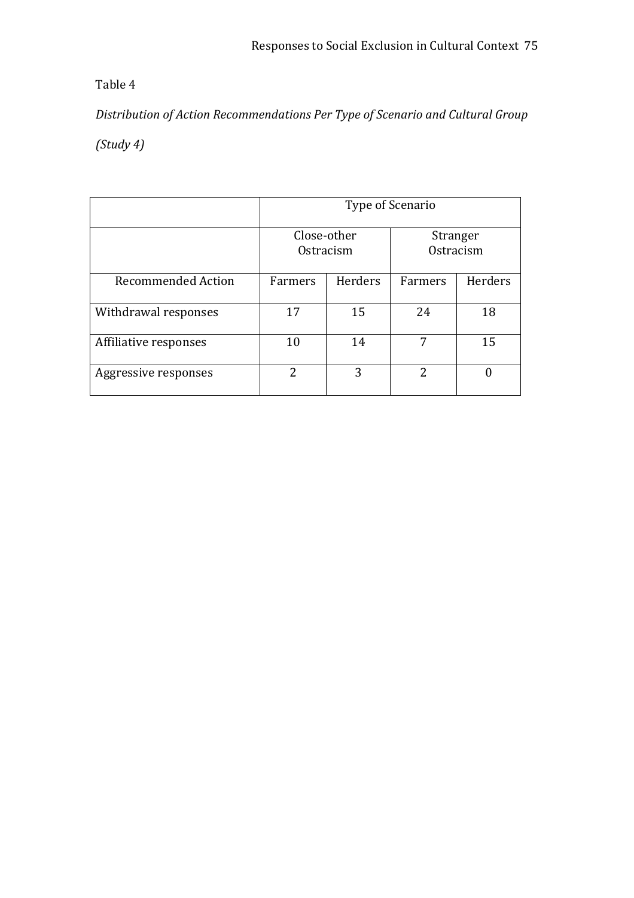*Distribution of Action Recommendations Per Type of Scenario and Cultural Group*

*(Study 4)*

|                           | Type of Scenario         |         |                       |         |  |
|---------------------------|--------------------------|---------|-----------------------|---------|--|
|                           | Close-other<br>Ostracism |         | Stranger<br>Ostracism |         |  |
| <b>Recommended Action</b> | Farmers                  | Herders | Farmers               | Herders |  |
| Withdrawal responses      | 17                       | 15      | 24                    | 18      |  |
| Affiliative responses     | 10                       | 14      | 7                     | 15      |  |
| Aggressive responses      | $\overline{2}$           | 3       | 2                     |         |  |